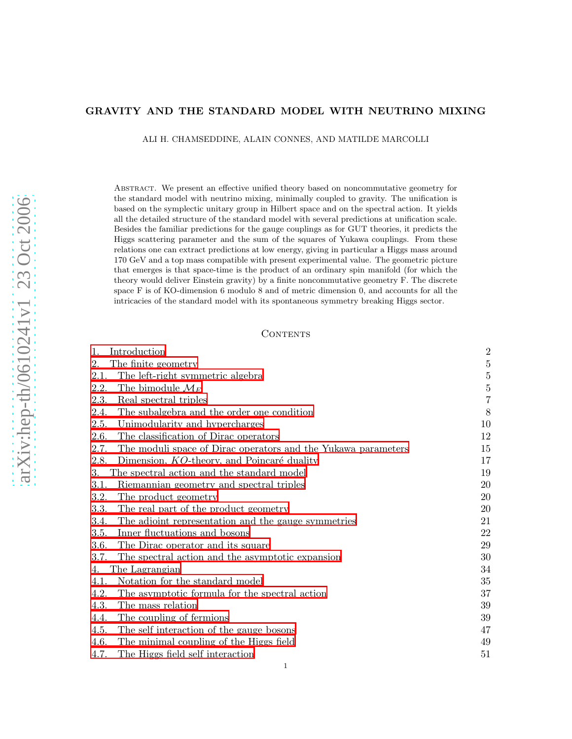### GRAVITY AND THE STANDARD MODEL WITH NEUTRINO MIXING

ALI H. CHAMSEDDINE, ALAIN CONNES, AND MATILDE MARCOLLI

Abstract. We present an effective unified theory based on noncommutative geometry for the standard model with neutrino mixing, minimally coupled to gravity. The unification is based on the symplectic unitary group in Hilbert space and on the spectral action. It yields all the detailed structure of the standard model with several predictions at unification scale. Besides the familiar predictions for the gauge couplings as for GUT theories, it predicts the Higgs scattering parameter and the sum of the squares of Yukawa couplings. From these relations one can extract predictions at low energy, giving in particular a Higgs mass around 170 GeV and a top mass compatible with present experimental value. The geometric picture that emerges is that space-time is the product of an ordinary spin manifold (for which the theory would deliver Einstein gravity) by a finite noncommutative geometry F. The discrete space F is of KO-dimension 6 modulo 8 and of metric dimension 0, and accounts for all the intricacies of the standard model with its spontaneous symmetry breaking Higgs sector.

### **CONTENTS**

| 1.<br>Introduction                                                    | $\boldsymbol{2}$ |
|-----------------------------------------------------------------------|------------------|
| 2.<br>The finite geometry                                             | $\bf 5$          |
| 2.1.<br>The left-right symmetric algebra                              | $\bf 5$          |
| The bimodule $\mathcal{M}_F$<br>2.2.                                  | $\overline{5}$   |
| Real spectral triples<br>2.3.                                         | $\overline{7}$   |
| The subalgebra and the order one condition<br>2.4.                    | $8\,$            |
| Unimodularity and hypercharges<br>2.5.                                | 10               |
| The classification of Dirac operators<br>2.6.                         | 12               |
| The moduli space of Dirac operators and the Yukawa parameters<br>2.7. | 15               |
| Dimension, KO-theory, and Poincaré duality<br>2.8.                    | 17               |
| 3.<br>The spectral action and the standard model                      | 19               |
| 3.1.<br>Riemannian geometry and spectral triples                      | $20\,$           |
| The product geometry<br>3.2.                                          | 20               |
| The real part of the product geometry<br>3.3.                         | $20\,$           |
| The adjoint representation and the gauge symmetries<br>3.4.           | 21               |
| Inner fluctuations and bosons<br>3.5.                                 | 22               |
| 3.6.<br>The Dirac operator and its square                             | 29               |
| 3.7.<br>The spectral action and the asymptotic expansion              | 30               |
| The Lagrangian<br>4.                                                  | 34               |
| Notation for the standard model<br>4.1.                               | $35\,$           |
| 4.2.<br>The asymptotic formula for the spectral action                | 37               |
| 4.3.<br>The mass relation                                             | 39               |
| 4.4.<br>The coupling of fermions                                      | 39               |
| The self interaction of the gauge bosons<br>4.5.                      | 47               |
| The minimal coupling of the Higgs field<br>4.6.                       | 49               |
| The Higgs field self interaction<br>4.7.                              | 51               |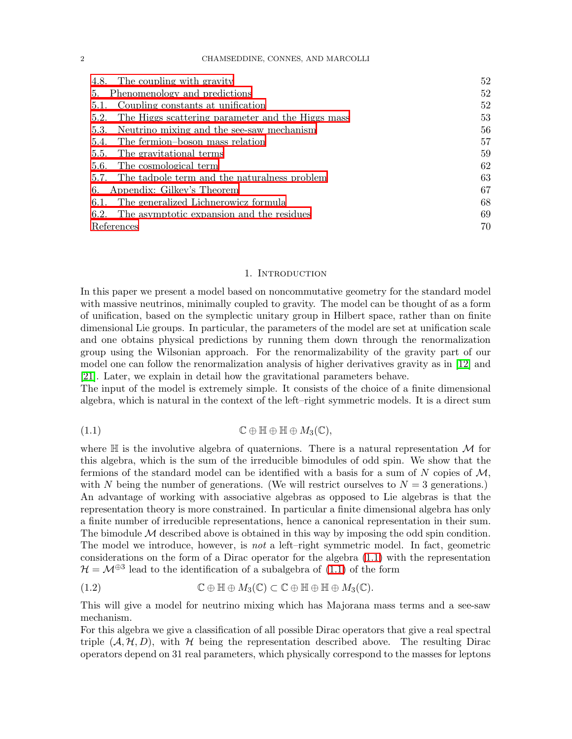| 4.8. The coupling with gravity                            | 52 |
|-----------------------------------------------------------|----|
| 5. Phenomenology and predictions                          | 52 |
| Coupling constants at unification<br>5.1.                 | 52 |
| The Higgs scattering parameter and the Higgs mass<br>5.2. | 53 |
| Neutrino mixing and the see-saw mechanism<br>5.3.         | 56 |
| 5.4. The fermion-boson mass relation                      | 57 |
| The gravitational terms<br>5.5.                           | 59 |
| 5.6. The cosmological term                                | 62 |
| 5.7. The tadpole term and the naturalness problem         | 63 |
| Appendix: Gilkey's Theorem<br>6.                          | 67 |
| The generalized Lichnerowicz formula<br>6.1.              | 68 |
| The asymptotic expansion and the residues<br>6.2.         | 69 |
| References                                                | 70 |

#### 1. Introduction

<span id="page-1-0"></span>In this paper we present a model based on noncommutative geometry for the standard model with massive neutrinos, minimally coupled to gravity. The model can be thought of as a form of unification, based on the symplectic unitary group in Hilbert space, rather than on finite dimensional Lie groups. In particular, the parameters of the model are set at unification scale and one obtains physical predictions by running them down through the renormalization group using the Wilsonian approach. For the renormalizability of the gravity part of our model one can follow the renormalization analysis of higher derivatives gravity as in [\[12\]](#page-69-1) and [\[21\]](#page-69-2). Later, we explain in detail how the gravitational parameters behave.

<span id="page-1-1"></span>The input of the model is extremely simple. It consists of the choice of a finite dimensional algebra, which is natural in the context of the left–right symmetric models. It is a direct sum

(1.1) 
$$
\mathbb{C} \oplus \mathbb{H} \oplus \mathbb{H} \oplus M_3(\mathbb{C}),
$$

where  $\mathbb H$  is the involutive algebra of quaternions. There is a natural representation M for this algebra, which is the sum of the irreducible bimodules of odd spin. We show that the fermions of the standard model can be identified with a basis for a sum of N copies of  $M$ , with N being the number of generations. (We will restrict ourselves to  $N = 3$  generations.) An advantage of working with associative algebras as opposed to Lie algebras is that the representation theory is more constrained. In particular a finite dimensional algebra has only a finite number of irreducible representations, hence a canonical representation in their sum. The bimodule  $M$  described above is obtained in this way by imposing the odd spin condition. The model we introduce, however, is *not* a left–right symmetric model. In fact, geometric considerations on the form of a Dirac operator for the algebra [\(1.1\)](#page-1-1) with the representation  $\mathcal{H} = \mathcal{M}^{\oplus 3}$  lead to the identification of a subalgebra of  $(1.1)$  of the form

(1.2) 
$$
\mathbb{C} \oplus \mathbb{H} \oplus M_3(\mathbb{C}) \subset \mathbb{C} \oplus \mathbb{H} \oplus M_3(\mathbb{C}).
$$

This will give a model for neutrino mixing which has Majorana mass terms and a see-saw mechanism.

For this algebra we give a classification of all possible Dirac operators that give a real spectral triple  $(A, H, D)$ , with H being the representation described above. The resulting Dirac operators depend on 31 real parameters, which physically correspond to the masses for leptons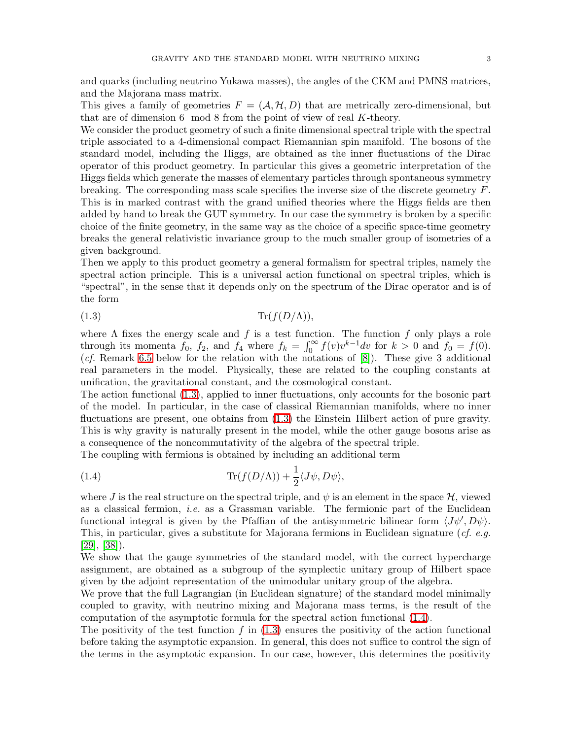and quarks (including neutrino Yukawa masses), the angles of the CKM and PMNS matrices, and the Majorana mass matrix.

This gives a family of geometries  $F = (\mathcal{A}, \mathcal{H}, D)$  that are metrically zero-dimensional, but that are of dimension 6 mod 8 from the point of view of real K-theory.

We consider the product geometry of such a finite dimensional spectral triple with the spectral triple associated to a 4-dimensional compact Riemannian spin manifold. The bosons of the standard model, including the Higgs, are obtained as the inner fluctuations of the Dirac operator of this product geometry. In particular this gives a geometric interpretation of the Higgs fields which generate the masses of elementary particles through spontaneous symmetry breaking. The corresponding mass scale specifies the inverse size of the discrete geometry F. This is in marked contrast with the grand unified theories where the Higgs fields are then added by hand to break the GUT symmetry. In our case the symmetry is broken by a specific choice of the finite geometry, in the same way as the choice of a specific space-time geometry breaks the general relativistic invariance group to the much smaller group of isometries of a given background.

<span id="page-2-0"></span>Then we apply to this product geometry a general formalism for spectral triples, namely the spectral action principle. This is a universal action functional on spectral triples, which is "spectral", in the sense that it depends only on the spectrum of the Dirac operator and is of the form

$$
(1.3) \tTr(f(D/\Lambda)),
$$

where  $\Lambda$  fixes the energy scale and  $f$  is a test function. The function  $f$  only plays a role through its momenta  $f_0$ ,  $f_2$ , and  $f_4$  where  $f_k = \int_0^\infty f(v)v^{k-1}dv$  for  $k > 0$  and  $f_0 = f(0)$ . (*cf.* Remark [6.5](#page-69-3) below for the relation with the notations of [\[8\]](#page-69-4)). These give 3 additional real parameters in the model. Physically, these are related to the coupling constants at unification, the gravitational constant, and the cosmological constant.

The action functional [\(1.3\)](#page-2-0), applied to inner fluctuations, only accounts for the bosonic part of the model. In particular, in the case of classical Riemannian manifolds, where no inner fluctuations are present, one obtains from [\(1.3\)](#page-2-0) the Einstein–Hilbert action of pure gravity. This is why gravity is naturally present in the model, while the other gauge bosons arise as a consequence of the noncommutativity of the algebra of the spectral triple.

<span id="page-2-1"></span>The coupling with fermions is obtained by including an additional term

(1.4) 
$$
\text{Tr}(f(D/\Lambda)) + \frac{1}{2}\langle J\psi, D\psi\rangle,
$$

where J is the real structure on the spectral triple, and  $\psi$  is an element in the space  $\mathcal{H}$ , viewed as a classical fermion, *i.e.* as a Grassman variable. The fermionic part of the Euclidean functional integral is given by the Pfaffian of the antisymmetric bilinear form  $\langle J\psi', D\psi \rangle$ . This, in particular, gives a substitute for Majorana fermions in Euclidean signature (*cf. e.g.* [\[29\]](#page-69-5), [\[38\]](#page-70-0)).

We show that the gauge symmetries of the standard model, with the correct hypercharge assignment, are obtained as a subgroup of the symplectic unitary group of Hilbert space given by the adjoint representation of the unimodular unitary group of the algebra.

We prove that the full Lagrangian (in Euclidean signature) of the standard model minimally coupled to gravity, with neutrino mixing and Majorana mass terms, is the result of the computation of the asymptotic formula for the spectral action functional [\(1.4\)](#page-2-1).

The positivity of the test function  $f$  in  $(1.3)$  ensures the positivity of the action functional before taking the asymptotic expansion. In general, this does not suffice to control the sign of the terms in the asymptotic expansion. In our case, however, this determines the positivity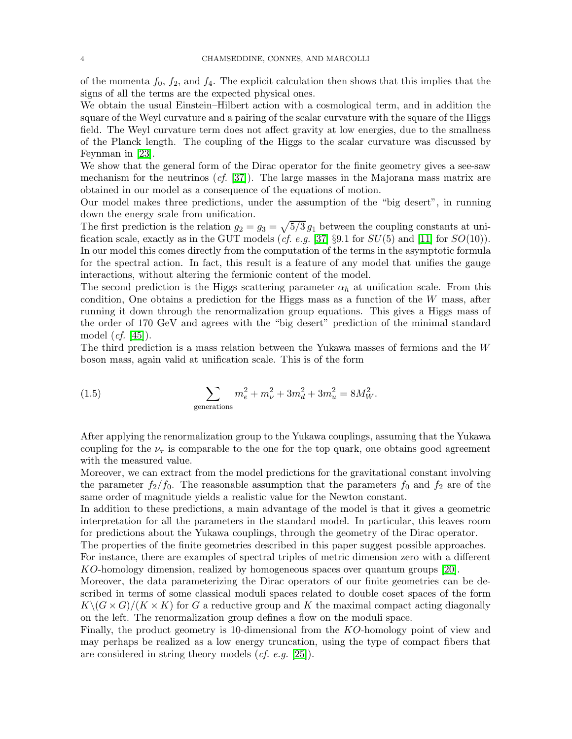of the momenta  $f_0$ ,  $f_2$ , and  $f_4$ . The explicit calculation then shows that this implies that the signs of all the terms are the expected physical ones.

We obtain the usual Einstein–Hilbert action with a cosmological term, and in addition the square of the Weyl curvature and a pairing of the scalar curvature with the square of the Higgs field. The Weyl curvature term does not affect gravity at low energies, due to the smallness of the Planck length. The coupling of the Higgs to the scalar curvature was discussed by Feynman in [\[23\]](#page-69-6).

We show that the general form of the Dirac operator for the finite geometry gives a see-saw mechanism for the neutrinos (*cf.* [\[37\]](#page-70-1)). The large masses in the Majorana mass matrix are obtained in our model as a consequence of the equations of motion.

Our model makes three predictions, under the assumption of the "big desert", in running down the energy scale from unification.

The first prediction is the relation  $g_2 = g_3 = \sqrt{5/3} g_1$  between the coupling constants at unification scale, exactly as in the GUT models (*cf. e.g.* [\[37\]](#page-70-1) §9.1 for  $SU(5)$  and [\[11\]](#page-69-7) for  $SO(10)$ ). In our model this comes directly from the computation of the terms in the asymptotic formula for the spectral action. In fact, this result is a feature of any model that unifies the gauge interactions, without altering the fermionic content of the model.

The second prediction is the Higgs scattering parameter  $\alpha_h$  at unification scale. From this condition, One obtains a prediction for the Higgs mass as a function of the W mass, after running it down through the renormalization group equations. This gives a Higgs mass of the order of 170 GeV and agrees with the "big desert" prediction of the minimal standard model (*cf.* [\[45\]](#page-70-2)).

The third prediction is a mass relation between the Yukawa masses of fermions and the W boson mass, again valid at unification scale. This is of the form

(1.5) 
$$
\sum_{\text{generations}} m_e^2 + m_\nu^2 + 3m_d^2 + 3m_u^2 = 8M_W^2.
$$

After applying the renormalization group to the Yukawa couplings, assuming that the Yukawa coupling for the  $\nu_{\tau}$  is comparable to the one for the top quark, one obtains good agreement with the measured value.

Moreover, we can extract from the model predictions for the gravitational constant involving the parameter  $f_2/f_0$ . The reasonable assumption that the parameters  $f_0$  and  $f_2$  are of the same order of magnitude yields a realistic value for the Newton constant.

In addition to these predictions, a main advantage of the model is that it gives a geometric interpretation for all the parameters in the standard model. In particular, this leaves room for predictions about the Yukawa couplings, through the geometry of the Dirac operator.

The properties of the finite geometries described in this paper suggest possible approaches. For instance, there are examples of spectral triples of metric dimension zero with a different KO-homology dimension, realized by homogeneous spaces over quantum groups [\[20\]](#page-69-8).

Moreover, the data parameterizing the Dirac operators of our finite geometries can be described in terms of some classical moduli spaces related to double coset spaces of the form  $K\backslash (G \times G)/(K \times K)$  for G a reductive group and K the maximal compact acting diagonally on the left. The renormalization group defines a flow on the moduli space.

Finally, the product geometry is 10-dimensional from the KO-homology point of view and may perhaps be realized as a low energy truncation, using the type of compact fibers that are considered in string theory models (*cf. e.g.* [\[25\]](#page-69-9)).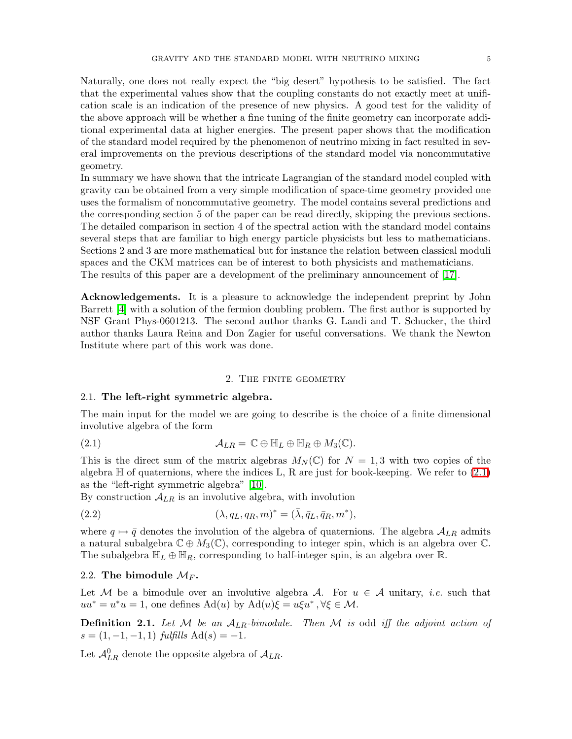Naturally, one does not really expect the "big desert" hypothesis to be satisfied. The fact that the experimental values show that the coupling constants do not exactly meet at unification scale is an indication of the presence of new physics. A good test for the validity of the above approach will be whether a fine tuning of the finite geometry can incorporate additional experimental data at higher energies. The present paper shows that the modification of the standard model required by the phenomenon of neutrino mixing in fact resulted in several improvements on the previous descriptions of the standard model via noncommutative geometry.

In summary we have shown that the intricate Lagrangian of the standard model coupled with gravity can be obtained from a very simple modification of space-time geometry provided one uses the formalism of noncommutative geometry. The model contains several predictions and the corresponding section 5 of the paper can be read directly, skipping the previous sections. The detailed comparison in section 4 of the spectral action with the standard model contains several steps that are familiar to high energy particle physicists but less to mathematicians. Sections 2 and 3 are more mathematical but for instance the relation between classical moduli spaces and the CKM matrices can be of interest to both physicists and mathematicians. The results of this paper are a development of the preliminary announcement of [\[17\]](#page-69-10).

Acknowledgements. It is a pleasure to acknowledge the independent preprint by John Barrett [\[4\]](#page-69-11) with a solution of the fermion doubling problem. The first author is supported by NSF Grant Phys-0601213. The second author thanks G. Landi and T. Schucker, the third author thanks Laura Reina and Don Zagier for useful conversations. We thank the Newton Institute where part of this work was done.

#### 2. The finite geometry

### <span id="page-4-1"></span><span id="page-4-0"></span>2.1. The left-right symmetric algebra.

<span id="page-4-3"></span>The main input for the model we are going to describe is the choice of a finite dimensional involutive algebra of the form

(2.1) 
$$
\mathcal{A}_{LR} = \mathbb{C} \oplus \mathbb{H}_L \oplus \mathbb{H}_R \oplus M_3(\mathbb{C}).
$$

This is the direct sum of the matrix algebras  $M_N(\mathbb{C})$  for  $N = 1, 3$  with two copies of the algebra  $\mathbb H$  of quaternions, where the indices L, R are just for book-keeping. We refer to [\(2.1\)](#page-4-3) as the "left-right symmetric algebra" [\[10\]](#page-69-12).

By construction  $A_{LR}$  is an involutive algebra, with involution

(2.2) 
$$
(\lambda, q_L, q_R, m)^* = (\bar{\lambda}, \bar{q}_L, \bar{q}_R, m^*),
$$

where  $q \mapsto \bar{q}$  denotes the involution of the algebra of quaternions. The algebra  $\mathcal{A}_{LR}$  admits a natural subalgebra  $\mathbb{C} \oplus M_3(\mathbb{C})$ , corresponding to integer spin, which is an algebra over  $\mathbb{C}$ . The subalgebra  $\mathbb{H}_L \oplus \mathbb{H}_R$ , corresponding to half-integer spin, is an algebra over  $\mathbb{R}$ .

### <span id="page-4-2"></span>2.2. The bimodule  $\mathcal{M}_F$ .

<span id="page-4-4"></span>Let M be a bimodule over an involutive algebra A. For  $u \in A$  unitary, *i.e.* such that  $uu^* = u^*u = 1$ , one defines  $\text{Ad}(u)$  by  $\text{Ad}(u)\xi = u\xi u^*$ ,  $\forall \xi \in \mathcal{M}$ .

Definition 2.1. *Let* M *be an* ALR*-bimodule. Then* M *is* odd *iff the adjoint action of*  $s = (1, -1, -1, 1)$  *fulfills*  $Ad(s) = -1$ .

Let  $\mathcal{A}_{LR}^0$  denote the opposite algebra of  $\mathcal{A}_{LR}$ .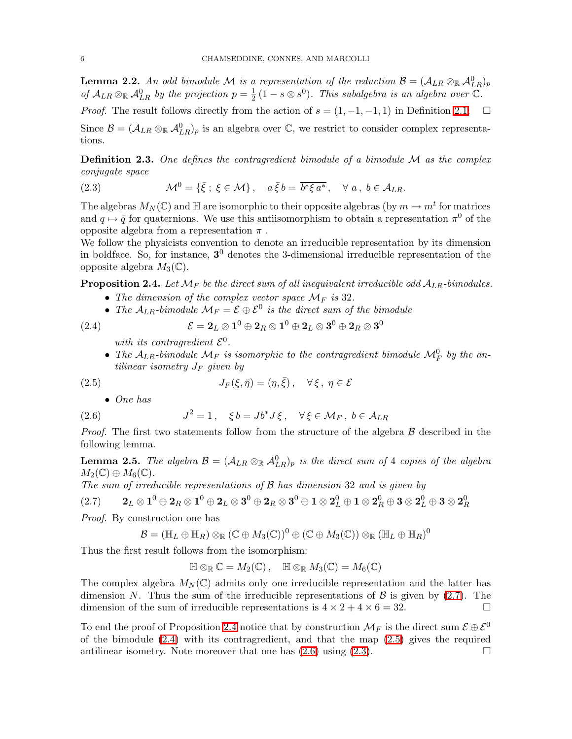**Lemma 2.2.** An odd bimodule M is a representation of the reduction  $\mathcal{B} = (\mathcal{A}_{LR} \otimes_R \mathcal{A}_{LR}^0)_p$ *of*  $A_{LR} \otimes_{\mathbb{R}} A_{LR}^0$  *by the projection*  $p = \frac{1}{2}$  $\frac{1}{2}(1-s\otimes s^0)$ . This subalgebra is an algebra over  $\overline{\mathbb{C}}$ .

*Proof.* The result follows directly from the action of  $s = (1, -1, -1, 1)$  in Definition [2.1.](#page-4-4)  $\Box$ 

Since  $\mathcal{B} = (\mathcal{A}_{LR} \otimes_{\mathbb{R}} \mathcal{A}_{LR}^0)_p$  is an algebra over  $\mathbb{C}$ , we restrict to consider complex representations.

<span id="page-5-5"></span>Definition 2.3. *One defines the contragredient bimodule of a bimodule* M *as the complex conjugate space*

(2.3) 
$$
\mathcal{M}^0 = \{\bar{\xi}\,;\,\xi \in \mathcal{M}\},\quad a\,\bar{\xi}\,b = \overline{b^*\xi\,a^*}\,,\quad \forall\,a,\,b \in \mathcal{A}_{LR}.
$$

The algebras  $M_N(\mathbb{C})$  and  $\mathbb{H}$  are isomorphic to their opposite algebras (by  $m \mapsto m^t$  for matrices and  $q \mapsto \bar{q}$  for quaternions. We use this antiisomorphism to obtain a representation  $\pi^0$  of the opposite algebra from a representation  $\pi$ .

We follow the physicists convention to denote an irreducible representation by its dimension in boldface. So, for instance,  $3^0$  denotes the 3-dimensional irreducible representation of the opposite algebra  $M_3(\mathbb{C})$ .

<span id="page-5-1"></span>**Proposition 2.4.** Let  $\mathcal{M}_F$  be the direct sum of all inequivalent irreducible odd  $\mathcal{A}_{LR}$ -bimodules.

- The dimension of the complex vector space  $\mathcal{M}_F$  is 32.
- The  $A_{LR}$ -bimodule  $\mathcal{M}_F = \mathcal{E} \oplus \mathcal{E}^0$  is the direct sum of the bimodule

(2.4) 
$$
\mathcal{E} = 2_L \otimes 1^0 \oplus 2_R \otimes 1^0 \oplus 2_L \otimes 3^0 \oplus 2_R \otimes 3^0
$$

<span id="page-5-3"></span><span id="page-5-2"></span>with its contragredient  $\mathcal{E}^0$ .

• The  $A_{LR}$ -bimodule  $\mathcal{M}_F$  is isomorphic to the contragredient bimodule  $\mathcal{M}_F^0$  by the an*tilinear isometry*  $J_F$  *given by* 

<span id="page-5-4"></span>
$$
2.5)
$$

(2.5) 
$$
J_F(\xi, \bar{\eta}) = (\eta, \bar{\xi}), \quad \forall \xi, \ \eta \in \mathcal{E}
$$

• *One has*

(2.6) 
$$
J^2 = 1, \quad \xi b = Jb^*J\xi, \quad \forall \xi \in \mathcal{M}_F, b \in \mathcal{A}_{LR}
$$

*Proof.* The first two statements follow from the structure of the algebra B described in the following lemma.

**Lemma 2.5.** The algebra  $\mathcal{B} = (\mathcal{A}_{LR} \otimes_{\mathbb{R}} \mathcal{A}_{LR}^0)_p$  is the direct sum of 4 copies of the algebra  $M_2(\mathbb{C}) \oplus M_6(\mathbb{C})$ .

*The sum of irreducible representations of* B *has dimension* 32 *and is given by*

$$
(2.7) \qquad 2_L \otimes 1^0 \oplus 2_R \otimes 1^0 \oplus 2_L \otimes 3^0 \oplus 2_R \otimes 3^0 \oplus 1 \otimes 2^0_L \oplus 1 \otimes 2^0_R \oplus 3 \otimes 2^0_L \oplus 3 \otimes 2^0_R
$$

*Proof.* By construction one has

$$
\mathcal{B}=(\mathbb{H}_L\oplus\mathbb{H}_R)\otimes_{\mathbb{R}}(\mathbb{C}\oplus M_3(\mathbb{C}))^0\oplus(\mathbb{C}\oplus M_3(\mathbb{C}))\otimes_{\mathbb{R}}(\mathbb{H}_L\oplus\mathbb{H}_R)^0
$$

Thus the first result follows from the isomorphism:

<span id="page-5-0"></span> $\mathbb{H} \otimes_{\mathbb{R}} \mathbb{C} = M_2(\mathbb{C}), \quad \mathbb{H} \otimes_{\mathbb{R}} M_3(\mathbb{C}) = M_6(\mathbb{C})$ 

The complex algebra  $M_N(\mathbb{C})$  admits only one irreducible representation and the latter has dimension N. Thus the sum of the irreducible representations of  $\beta$  is given by [\(2.7\)](#page-5-0). The dimension of the sum of irreducible representations is  $4 \times 2 + 4 \times 6 = 32$ . dimension of the sum of irreducible representations is  $4 \times 2 + 4 \times 6 = 32$ .

To end the proof of Proposition [2.4](#page-5-1) notice that by construction  $\mathcal{M}_F$  is the direct sum  $\mathcal{E} \oplus \mathcal{E}^0$ of the bimodule [\(2.4\)](#page-5-2) with its contragredient, and that the map [\(2.5\)](#page-5-3) gives the required antilinear isometry. Note moreover that one has  $(2.6)$  using  $(2.3)$ .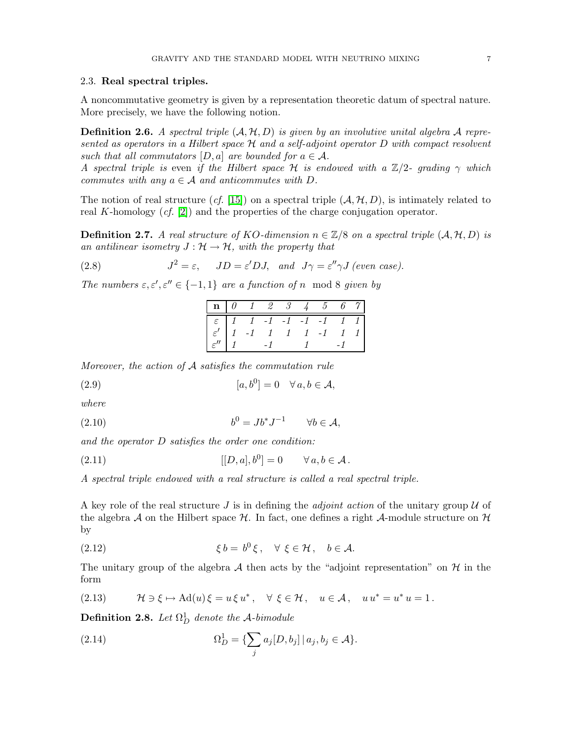### <span id="page-6-0"></span>2.3. Real spectral triples.

A noncommutative geometry is given by a representation theoretic datum of spectral nature. More precisely, we have the following notion.

**Definition 2.6.** A spectral triple  $(A, \mathcal{H}, D)$  is given by an involutive unital algebra A repre*sented as operators in a Hilbert space* H *and a self-adjoint operator* D *with compact resolvent such that all commutators*  $[D, a]$  *are bounded for*  $a \in \mathcal{A}$ *.* 

*A spectral triple is* even *if the Hilbert space* <sup>H</sup> *is endowed with a* <sup>Z</sup>/2*- grading* <sup>γ</sup> *which commutes with any*  $a \in \mathcal{A}$  *and anticommutes with*  $D$ .

<span id="page-6-1"></span>The notion of real structure (*cf.* [\[15\]](#page-69-13)) on a spectral triple  $(A, H, D)$ , is intimately related to real K-homology (*cf.* [\[2\]](#page-69-14)) and the properties of the charge conjugation operator.

**Definition 2.7.** *A real structure of KO-dimension*  $n \in \mathbb{Z}/8$  *on a spectral triple*  $(A, H, D)$  *is an antilinear isometry*  $J: \mathcal{H} \to \mathcal{H}$ *, with the property that* 

(2.8) 
$$
J^2 = \varepsilon, \quad JD = \varepsilon' DJ, \text{ and } J\gamma = \varepsilon''\gamma J \text{ (even case)}.
$$

The numbers  $\varepsilon, \varepsilon', \varepsilon'' \in \{-1, 1\}$  *are a function of* n mod 8 *given by* 

<span id="page-6-3"></span><span id="page-6-2"></span>

|                                                                                                                                                                                       |  |  | $\frac{1}{4}$ 5 | $6\quad7$ |             |
|---------------------------------------------------------------------------------------------------------------------------------------------------------------------------------------|--|--|-----------------|-----------|-------------|
|                                                                                                                                                                                       |  |  |                 |           | $1 \quad 1$ |
|                                                                                                                                                                                       |  |  |                 |           |             |
| $\begin{array}{ c cccc } \hline \varepsilon & 1 & 1 & -1 & -1 & -1 & -1 \\ \hline \varepsilon' & 1 & -1 & 1 & 1 & 1 & -1 \\ \varepsilon'' & 1 & -1 & 1 & 1 & 1 \\ \hline \end{array}$ |  |  |                 |           |             |

*Moreover, the action of* A *satisfies the commutation rule*

(2.9)  $[a, b^0] = 0 \quad \forall \, a, b \in \mathcal{A},$ 

*where*

(2.10) 
$$
b^0 = Jb^*J^{-1} \qquad \forall b \in \mathcal{A},
$$

*and the operator* D *satisfies the order one condition:*

(2.11) 
$$
[[D, a], b^0] = 0 \qquad \forall a, b \in \mathcal{A}.
$$

*A spectral triple endowed with a real structure is called a real spectral triple.*

A key role of the real structure  $J$  is in defining the *adjoint action* of the unitary group  $U$  of the algebra A on the Hilbert space  $H$ . In fact, one defines a right A-module structure on  $H$ by

(2.12) 
$$
\xi b = b^0 \xi, \quad \forall \xi \in \mathcal{H}, \quad b \in \mathcal{A}.
$$

The unitary group of the algebra A then acts by the "adjoint representation" on  $\mathcal H$  in the form

(2.13) 
$$
\mathcal{H} \ni \xi \mapsto \mathrm{Ad}(u)\,\xi = u\,\xi\,u^*, \quad \forall \xi \in \mathcal{H}, \quad u \in \mathcal{A}, \quad u\,u^* = u^*\,u = 1.
$$

**Definition 2.8.** Let  $\Omega_D^1$  denote the A-bimodule

(2.14) 
$$
\Omega_D^1 = \{ \sum_j a_j [D, b_j] \, | \, a_j, b_j \in \mathcal{A} \}.
$$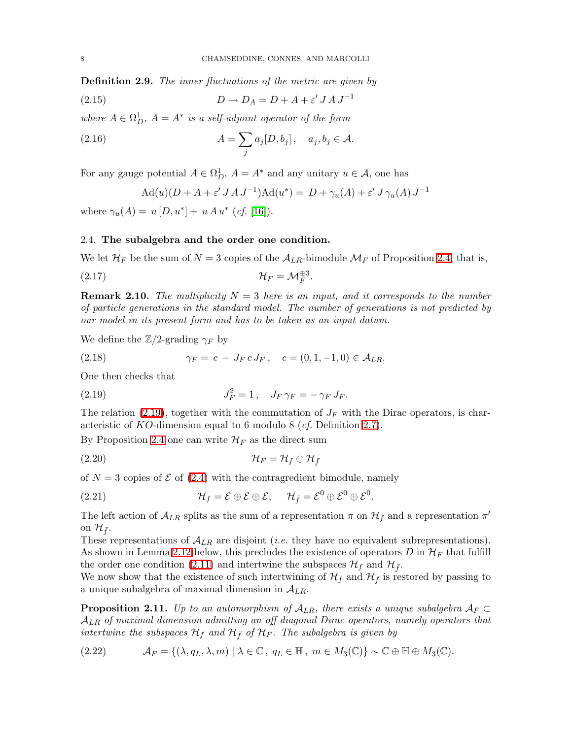Definition 2.9. *The inner fluctuations of the metric are given by*

(2.15) 
$$
D \to D_A = D + A + \varepsilon' J A J^{-1}
$$

where  $A \in \Omega_D^1$ ,  $A = A^*$  is a self-adjoint operator of the form

(2.16) 
$$
A = \sum_{j} a_j [D, b_j], \quad a_j, b_j \in \mathcal{A}.
$$

For any gauge potential  $A \in \Omega_D^1$ ,  $A = A^*$  and any unitary  $u \in \mathcal{A}$ , one has

$$
Ad(u)(D + A + \varepsilon' J A J^{-1}) Ad(u^*) = D + \gamma_u(A) + \varepsilon' J \gamma_u(A) J^{-1}
$$

where  $\gamma_u(A) = u[D, u^*] + u A u^*$  (*cf.* [\[16\]](#page-69-15)).

#### <span id="page-7-0"></span>2.4. The subalgebra and the order one condition.

We let  $\mathcal{H}_F$  be the sum of  $N = 3$  copies of the  $\mathcal{A}_{LR}$ -bimodule  $\mathcal{M}_F$  of Proposition [2.4,](#page-5-1) that is,

$$
\mathcal{H}_F = \mathcal{M}_F^{\oplus 3}.
$$

Remark 2.10. *The multiplicity* N = 3 *here is an input, and it corresponds to the number of particle generations in the standard model. The number of generations is not predicted by our model in its present form and has to be taken as an input datum.*

We define the  $\mathbb{Z}/2$ -grading  $\gamma_F$  by

<span id="page-7-1"></span>(2.18) 
$$
\gamma_F = c - J_F c J_F, \quad c = (0, 1, -1, 0) \in \mathcal{A}_{LR}.
$$

One then checks that

(2.19) 
$$
J_F^2 = 1, \quad J_F \gamma_F = -\gamma_F J_F.
$$

The relation [\(2.19\)](#page-7-1), together with the commutation of  $J_F$  with the Dirac operators, is characteristic of KO-dimension equal to 6 modulo 8 (*cf.* Definition [2.7\)](#page-6-1).

By Proposition [2.4](#page-5-1) one can write  $\mathcal{H}_F$  as the direct sum

$$
(\text{2.20}) \quad \mathcal{H}_F = \mathcal{H}_f \oplus \mathcal{H}_{\bar{f}}
$$

of  $N = 3$  copies of  $\mathcal E$  of [\(2.4\)](#page-5-2) with the contragredient bimodule, namely

(2.21) 
$$
\mathcal{H}_f = \mathcal{E} \oplus \mathcal{E} \oplus \mathcal{E}, \quad \mathcal{H}_{\bar{f}} = \mathcal{E}^0 \oplus \mathcal{E}^0 \oplus \mathcal{E}^0.
$$

The left action of  $\mathcal{A}_{LR}$  splits as the sum of a representation  $\pi$  on  $\mathcal{H}_f$  and a representation  $\pi'$ on  $\mathcal{H}_{\bar{f}}$ .

These representations of  $\mathcal{A}_{LR}$  are disjoint *(i.e.* they have no equivalent subrepresentations). As shown in Lemma [2.12](#page-8-0) below, this precludes the existence of operators D in  $\mathcal{H}_F$  that fulfill the order one condition [\(2.11\)](#page-6-2) and intertwine the subspaces  $\mathcal{H}_f$  and  $\mathcal{H}_{\bar{f}}$ .

<span id="page-7-2"></span>We now show that the existence of such intertwining of  $\mathcal{H}_f$  and  $\mathcal{H}_{\bar{f}}$  is restored by passing to a unique subalgebra of maximal dimension in  $A_{LR}$ .

<span id="page-7-3"></span>**Proposition 2.11.** *Up to an automorphism of*  $\mathcal{A}_{LR}$ *, there exists a unique subalgebra*  $\mathcal{A}_F \subset$ ALR *of maximal dimension admitting an off diagonal Dirac operators, namely operators that intertwine the subspaces*  $\mathcal{H}_f$  *and*  $\mathcal{H}_{\bar{f}}$  *of*  $\mathcal{H}_F$ *. The subalgebra is given by* 

(2.22) 
$$
\mathcal{A}_F = \{ (\lambda, q_L, \lambda, m) \mid \lambda \in \mathbb{C}, q_L \in \mathbb{H}, m \in M_3(\mathbb{C}) \} \sim \mathbb{C} \oplus \mathbb{H} \oplus M_3(\mathbb{C}).
$$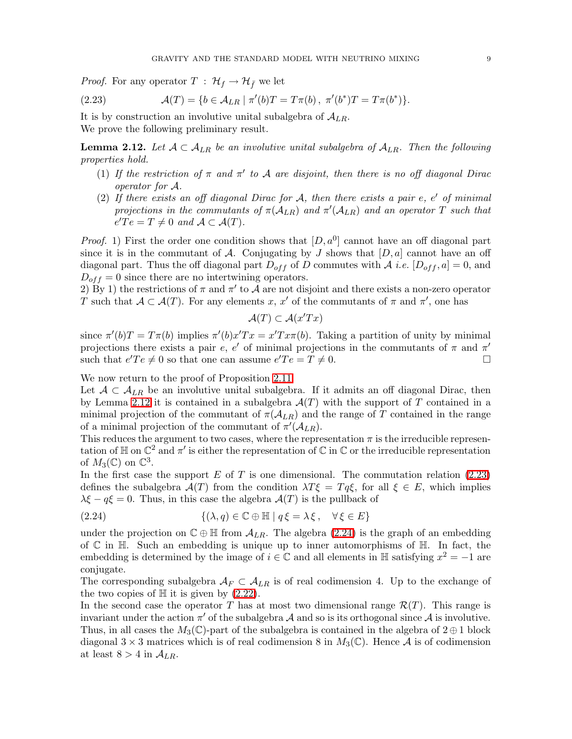<span id="page-8-1"></span>*Proof.* For any operator  $T : \mathcal{H}_f \to \mathcal{H}_{\bar{f}}$  we let

(2.23) 
$$
\mathcal{A}(T) = \{b \in \mathcal{A}_{LR} \mid \pi'(b)T = T\pi(b), \ \pi'(b^*)T = T\pi(b^*)\}.
$$

<span id="page-8-0"></span>It is by construction an involutive unital subalgebra of  $A_{LR}$ . We prove the following preliminary result.

**Lemma 2.12.** Let  $A \subset A_{LR}$  be an involutive unital subalgebra of  $A_{LR}$ . Then the following *properties hold.*

- (1) *If the restriction of* π *and* π ′ *to* A *are disjoint, then there is no off diagonal Dirac operator for* A*.*
- (2) *If there exists an off diagonal Dirac for* A*, then there exists a pair* e*,* e ′ *of minimal projections in the commutants of*  $\pi(\mathcal{A}_{LR})$  *and*  $\pi'(\mathcal{A}_{LR})$  *and an operator*  $T$  *such that*  $e^{\prime}Te = T \neq 0$  and  $\mathcal{A} \subset \mathcal{A}(T)$ .

*Proof.* 1) First the order one condition shows that  $[D, a^0]$  cannot have an off diagonal part since it is in the commutant of A. Conjugating by J shows that  $[D,a]$  cannot have an off diagonal part. Thus the off diagonal part  $D_{off}$  of D commutes with A *i.e.*  $[D_{off}, a] = 0$ , and  $D_{off} = 0$  since there are no intertwining operators.

2) By 1) the restrictions of  $\pi$  and  $\pi'$  to  $\mathcal A$  are not disjoint and there exists a non-zero operator T such that  $A \subset \mathcal{A}(T)$ . For any elements x, x' of the commutants of  $\pi$  and  $\pi'$ , one has

<span id="page-8-2"></span>
$$
\mathcal{A}(T) \subset \mathcal{A}(x'Tx)
$$

since  $\pi'(b)T = T\pi(b)$  implies  $\pi'(b)x'Tx = x'Tx\pi(b)$ . Taking a partition of unity by minimal projections there exists a pair e, e' of minimal projections in the commutants of  $\pi$  and  $\pi'$ such that  $e'Te \neq 0$  so that one can assume  $e'Te = T \neq 0$ .

We now return to the proof of Proposition [2.11.](#page-7-2)

Let  $A \subset A_{LR}$  be an involutive unital subalgebra. If it admits an off diagonal Dirac, then by Lemma [2.12](#page-8-0) it is contained in a subalgebra  $\mathcal{A}(T)$  with the support of T contained in a minimal projection of the commutant of  $\pi(A_{LR})$  and the range of T contained in the range of a minimal projection of the commutant of  $\pi'(\mathcal{A}_{LR})$ .

This reduces the argument to two cases, where the representation  $\pi$  is the irreducible representation of  $\mathbb H$  on  $\mathbb C^2$  and  $\pi'$  is either the representation of  $\mathbb C$  in  $\mathbb C$  or the irreducible representation of  $M_3(\mathbb{C})$  on  $\mathbb{C}^3$ .

In the first case the support E of T is one dimensional. The commutation relation  $(2.23)$ defines the subalgebra  $\mathcal{A}(T)$  from the condition  $\lambda T\xi = Tq\xi$ , for all  $\xi \in E$ , which implies  $\lambda \xi - q \xi = 0$ . Thus, in this case the algebra  $\mathcal{A}(T)$  is the pullback of

(2.24) 
$$
\{(\lambda, q) \in \mathbb{C} \oplus \mathbb{H} \mid q\xi = \lambda \xi, \quad \forall \xi \in E\}
$$

under the projection on  $\mathbb{C} \oplus \mathbb{H}$  from  $\mathcal{A}_{LR}$ . The algebra [\(2.24\)](#page-8-2) is the graph of an embedding of  $\mathbb C$  in  $\mathbb H$ . Such an embedding is unique up to inner automorphisms of  $\mathbb H$ . In fact, the embedding is determined by the image of  $i \in \mathbb{C}$  and all elements in  $\mathbb{H}$  satisfying  $x^2 = -1$  are conjugate.

The corresponding subalgebra  $A_F \subset A_{LR}$  is of real codimension 4. Up to the exchange of the two copies of  $\mathbb H$  it is given by  $(2.22)$ .

In the second case the operator T has at most two dimensional range  $\mathcal{R}(T)$ . This range is invariant under the action  $\pi'$  of the subalgebra A and so is its orthogonal since A is involutive. Thus, in all cases the  $M_3(\mathbb{C})$ -part of the subalgebra is contained in the algebra of  $2 \oplus 1$  block diagonal  $3 \times 3$  matrices which is of real codimension 8 in  $M_3(\mathbb{C})$ . Hence A is of codimension at least  $8 > 4$  in  $\mathcal{A}_{LR}$ .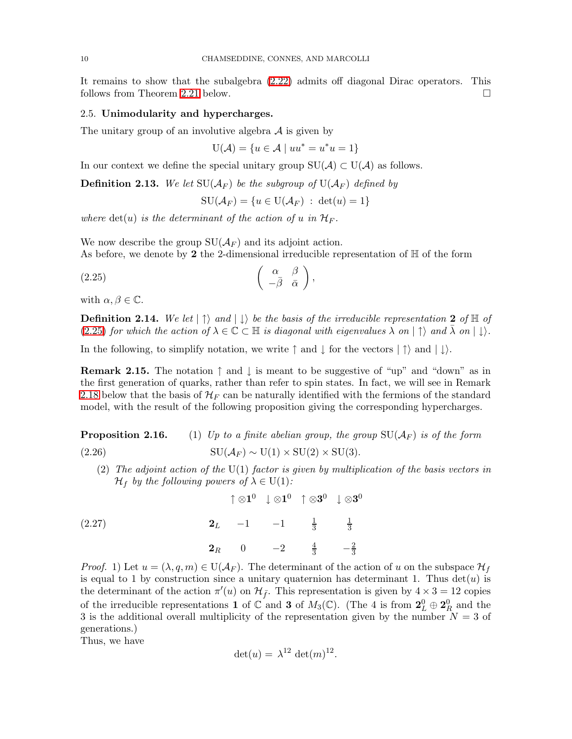It remains to show that the subalgebra [\(2.22\)](#page-7-3) admits off diagonal Dirac operators. This follows from Theorem [2.21](#page-11-1) below.

### <span id="page-9-0"></span>2.5. Unimodularity and hypercharges.

The unitary group of an involutive algebra  $A$  is given by

 $U(\mathcal{A}) = \{u \in \mathcal{A} \mid uu^* = u^*u = 1\}$ 

<span id="page-9-4"></span>In our context we define the special unitary group  $SU(\mathcal{A}) \subset U(\mathcal{A})$  as follows.

**Definition 2.13.** We let  $SU(\mathcal{A}_F)$  be the subgroup of  $U(\mathcal{A}_F)$  defined by

<span id="page-9-1"></span> $\text{SU}(\mathcal{A}_F) = \{u \in \text{U}(\mathcal{A}_F) : \det(u) = 1\}$ 

where  $det(u)$  *is the determinant of the action of* u *in*  $\mathcal{H}_F$ .

We now describe the group  $SU(\mathcal{A}_F)$  and its adjoint action. As before, we denote by 2 the 2-dimensional irreducible representation of  $\mathbb H$  of the form

$$
\begin{pmatrix}\n\alpha & \beta \\
-\bar{\beta} & \bar{\alpha}\n\end{pmatrix},
$$

with  $\alpha, \beta \in \mathbb{C}$ .

**Definition 2.14.** We let  $|\uparrow\rangle$  and  $|\downarrow\rangle$  be the basis of the irreducible representation 2 of  $\mathbb{H}$  of [\(2.25\)](#page-9-1) *for which the action of*  $\lambda \in \mathbb{C} \subset \mathbb{H}$  *is diagonal with eigenvalues*  $\lambda$  *on*  $|\uparrow\rangle$  *and*  $\overline{\lambda}$  *on*  $|\downarrow\rangle$ *.* 

In the following, to simplify notation, we write  $\uparrow$  and  $\downarrow$  for the vectors  $|\uparrow\rangle$  and  $|\downarrow\rangle$ .

**Remark 2.15.** The notation  $\uparrow$  and  $\downarrow$  is meant to be suggestive of "up" and "down" as in the first generation of quarks, rather than refer to spin states. In fact, we will see in Remark [2.18](#page-10-0) below that the basis of  $\mathcal{H}_F$  can be naturally identified with the fermions of the standard model, with the result of the following proposition giving the corresponding hypercharges.

<span id="page-9-3"></span>**Proposition 2.16.** (1) *Up to a finite abelian group, the group*  $SU(\mathcal{A}_F)$  *is of the form* (2.26)  $\text{SU}(\mathcal{A}_F) \sim \text{U}(1) \times \text{SU}(2) \times \text{SU}(3).$ 

<span id="page-9-2"></span>(2) *The adjoint action of the* U(1) *factor is given by multiplication of the basis vectors in*  $\mathcal{H}_f$  *by the following powers of*  $\lambda \in U(1)$ *:* 

$$
\uparrow \otimes 1^{0} \downarrow \otimes 1^{0} \uparrow \otimes 3^{0} \downarrow \otimes 3^{0}
$$
  
2L  $-1$   $-1$   $\frac{1}{3}$   $\frac{1}{3}$   
2R  $0$   $-2$   $\frac{4}{3}$   $-\frac{2}{3}$ 

*Proof.* 1) Let  $u = (\lambda, q, m) \in U(\mathcal{A}_F)$ . The determinant of the action of u on the subspace  $\mathcal{H}_f$ is equal to 1 by construction since a unitary quaternion has determinant 1. Thus  $det(u)$  is the determinant of the action  $\pi'(u)$  on  $\mathcal{H}_{\bar{f}}$ . This representation is given by  $4 \times 3 = 12$  copies of the irreducible representations 1 of  $\mathbb C$  and 3 of  $M_3(\mathbb C)$ . (The 4 is from  $\mathbf{2}_L^0 \oplus \mathbf{2}_R^0$  and the 3 is the additional overall multiplicity of the representation given by the number  $N = 3$  of generations.)

Thus, we have

 $(2)$ 

$$
\det(u) = \lambda^{12} \det(m)^{12}.
$$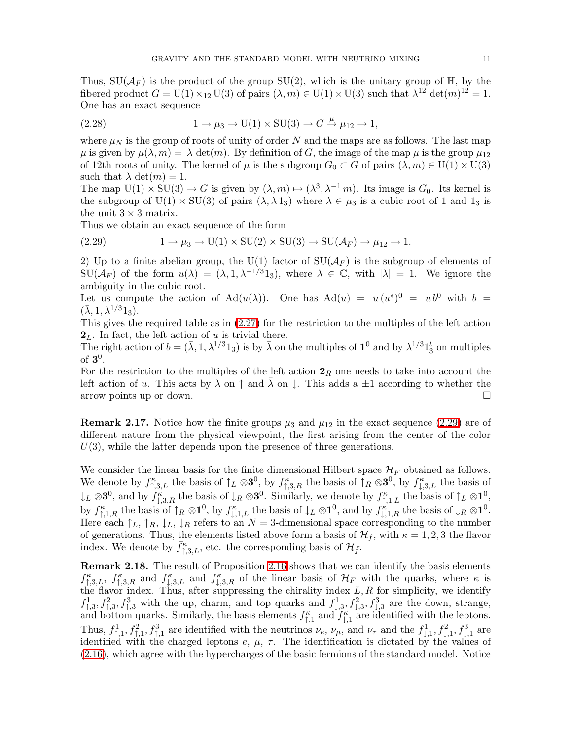Thus,  $SU(\mathcal{A}_F)$  is the product of the group  $SU(2)$ , which is the unitary group of  $\mathbb{H}$ , by the fibered product  $G = U(1) \times_{12} U(3)$  of pairs  $(\lambda, m) \in U(1) \times U(3)$  such that  $\lambda^{12} \det(m)^{12} = 1$ . One has an exact sequence

(2.28) 
$$
1 \to \mu_3 \to U(1) \times SU(3) \to G \stackrel{\mu}{\to} \mu_{12} \to 1,
$$

where  $\mu_N$  is the group of roots of unity of order N and the maps are as follows. The last map  $\mu$  is given by  $\mu(\lambda,m) = \lambda \det(m)$ . By definition of G, the image of the map  $\mu$  is the group  $\mu_{12}$ of 12th roots of unity. The kernel of  $\mu$  is the subgroup  $G_0 \subset G$  of pairs  $(\lambda, m) \in U(1) \times U(3)$ such that  $\lambda \det(m) = 1$ .

The map  $U(1) \times SU(3) \rightarrow G$  is given by  $(\lambda, m) \mapsto (\lambda^3, \lambda^{-1} m)$ . Its image is  $G_0$ . Its kernel is the subgroup of U(1)  $\times$  SU(3) of pairs ( $\lambda$ ,  $\lambda$ 1<sub>3</sub>) where  $\lambda \in \mu_3$  is a cubic root of 1 and 1<sub>3</sub> is the unit  $3 \times 3$  matrix.

<span id="page-10-1"></span>Thus we obtain an exact sequence of the form

(2.29) 
$$
1 \rightarrow \mu_3 \rightarrow U(1) \times SU(2) \times SU(3) \rightarrow SU(\mathcal{A}_F) \rightarrow \mu_{12} \rightarrow 1.
$$

2) Up to a finite abelian group, the U(1) factor of  $SU(\mathcal{A}_F)$  is the subgroup of elements of  $\text{SU}(\mathcal{A}_F)$  of the form  $u(\lambda) = (\lambda, 1, \lambda^{-1/3}1_3)$ , where  $\lambda \in \mathbb{C}$ , with  $|\lambda| = 1$ . We ignore the ambiguity in the cubic root.

Let us compute the action of  $\text{Ad}(u(\lambda))$ . One has  $\text{Ad}(u) = u(u^*)^0 = u b^0$  with  $b =$  $(\bar{\lambda}, 1, \lambda^{1/3}1_3).$ 

This gives the required table as in [\(2.27\)](#page-9-2) for the restriction to the multiples of the left action  $2<sub>L</sub>$ . In fact, the left action of u is trivial there.

The right action of  $b = (\bar{\lambda}, 1, \lambda^{1/3} 1_3)$  is by  $\bar{\lambda}$  on the multiples of  $\mathbf{1}^0$  and by  $\lambda^{1/3} 1_3^t$  on multiples of  $3^0$ .

For the restriction to the multiples of the left action  $2_R$  one needs to take into account the left action of u. This acts by  $\lambda$  on  $\uparrow$  and  $\lambda$  on  $\downarrow$ . This adds a  $\pm 1$  according to whether the arrow points up or down. arrow points up or down.

**Remark 2.17.** Notice how the finite groups  $\mu_3$  and  $\mu_{12}$  in the exact sequence [\(2.29\)](#page-10-1) are of different nature from the physical viewpoint, the first arising from the center of the color  $U(3)$ , while the latter depends upon the presence of three generations.

We consider the linear basis for the finite dimensional Hilbert space  $\mathcal{H}_F$  obtained as follows. We denote by  $f_{\uparrow,3,L}^{\kappa}$  the basis of  $\uparrow_L \otimes 3^0$ , by  $f_{\uparrow,3,R}^{\kappa}$  the basis of  $\uparrow_R \otimes 3^0$ , by  $f_{\downarrow,3,L}^{\kappa}$  the basis of  $\downarrow_L \otimes 3^0$ , and by  $f_{1,3,R}^{\kappa}$  the basis of  $\downarrow_R \otimes 3^0$ . Similarly, we denote by  $f_{\uparrow,1,L}^{\kappa}$  the basis of  $\uparrow_L \otimes 1^0$ , by  $f_{\uparrow,1,R}^{\kappa}$  the basis of  $\uparrow_R \otimes \mathbf{1}^0$ , by  $f_{\downarrow,1,L}^{\kappa}$  the basis of  $\downarrow_L \otimes \mathbf{1}^0$ , and by  $f_{\downarrow,1,R}^{\kappa}$  the basis of  $\downarrow_R \otimes \mathbf{1}^0$ . Here each  $\uparrow_L$ ,  $\uparrow_R$ ,  $\downarrow_L$ ,  $\downarrow_R$  refers to an  $N=3$ -dimensional space corresponding to the number of generations. Thus, the elements listed above form a basis of  $\mathcal{H}_f$ , with  $\kappa = 1, 2, 3$  the flavor index. We denote by  $\bar{f}_{\uparrow,3,L}^{\kappa}$ , etc. the corresponding basis of  $\mathcal{H}_{\bar{f}}$ .

<span id="page-10-0"></span>Remark 2.18. The result of Proposition [2.16](#page-9-3) shows that we can identify the basis elements  $f_{\uparrow,3,L}^{\kappa}$ ,  $f_{\uparrow,3,R}^{\kappa}$  and  $f_{\downarrow,3,L}^{\kappa}$  and  $f_{\downarrow,3,R}^{\kappa}$  of the linear basis of  $\mathcal{H}_F$  with the quarks, where  $\kappa$  is the flavor index. Thus, after suppressing the chirality index  $L, R$  for simplicity, we identify  $f_{\uparrow,3}^1, f_{\uparrow,3}^2, f_{\uparrow,3}^3$  with the up, charm, and top quarks and  $f_{\downarrow,3}^1, f_{\downarrow,3}^2, f_{\downarrow,3}^3$  are the down, strange, and bottom quarks. Similarly, the basis elements  $f_{\uparrow,1}^{\kappa}$  and  $f_{\downarrow,1}^{\kappa}$  are identified with the leptons. Thus,  $f_{\uparrow,1}^1, f_{\uparrow,1}^2, f_{\uparrow,1}^3$  are identified with the neutrinos  $\nu_e, \nu_\mu$ , and  $\nu_\tau$  and the  $f_{\downarrow,1}^1, f_{\downarrow,1}^2, f_{\downarrow,1}^3$  are identified with the charged leptons  $e, \mu, \tau$ . The identification is dictated by the values of [\(2.16\)](#page-9-3), which agree with the hypercharges of the basic fermions of the standard model. Notice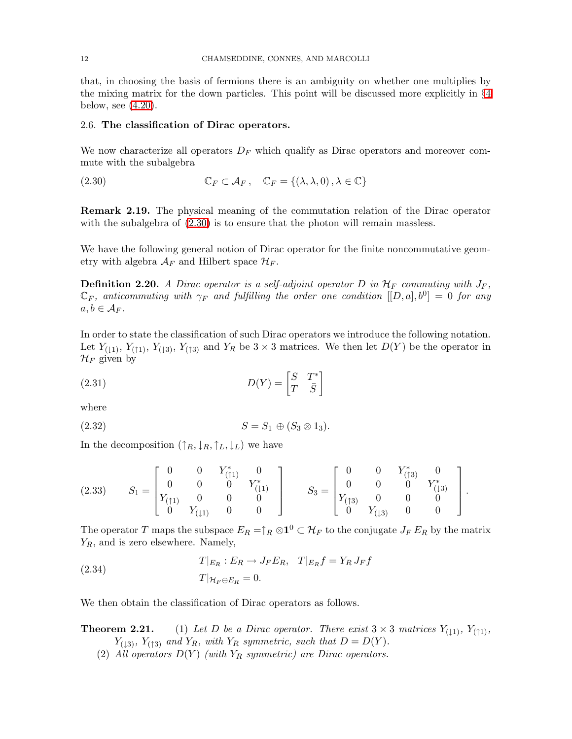that, in choosing the basis of fermions there is an ambiguity on whether one multiplies by the mixing matrix for the down particles. This point will be discussed more explicitly in §[4](#page-33-0) below, see [\(4.20\)](#page-39-0).

#### <span id="page-11-0"></span>2.6. The classification of Dirac operators.

<span id="page-11-2"></span>We now characterize all operators  $D_F$  which qualify as Dirac operators and moreover commute with the subalgebra

(2.30) 
$$
\mathbb{C}_F \subset \mathcal{A}_F, \quad \mathbb{C}_F = \{(\lambda, \lambda, 0), \lambda \in \mathbb{C}\}
$$

Remark 2.19. The physical meaning of the commutation relation of the Dirac operator with the subalgebra of  $(2.30)$  is to ensure that the photon will remain massless.

<span id="page-11-6"></span>We have the following general notion of Dirac operator for the finite noncommutative geometry with algebra  $\mathcal{A}_F$  and Hilbert space  $\mathcal{H}_F$ .

**Definition 2.20.** A Dirac operator is a self-adjoint operator D in  $\mathcal{H}_F$  commuting with  $J_F$ ,  $\mathbb{C}_F$ *, anticommuting with*  $\gamma_F$  *and fulfilling the order one condition*  $[[D, a], b^0] = 0$  *for any*  $a, b \in A_F$ .

<span id="page-11-3"></span>In order to state the classification of such Dirac operators we introduce the following notation. Let  $Y_{(11)}, Y_{(11)}, Y_{(13)}, Y_{(13)}$  and  $Y_R$  be  $3 \times 3$  matrices. We then let  $D(Y)$  be the operator in  $\mathcal{H}_F$  given by

$$
(2.31)\qquad \qquad D(Y) = \begin{bmatrix} S & T^* \\ T & \bar{S} \end{bmatrix}
$$

<span id="page-11-4"></span>where

<span id="page-11-5"></span>(2.32) 
$$
S = S_1 \oplus (S_3 \otimes 1_3).
$$

In the decomposition  $({\uparrow}_R, {\downarrow}_R, {\uparrow}_L, {\downarrow}_L)$  we have

$$
(2.33) \tS_1 = \begin{bmatrix} 0 & 0 & Y_{(11)}^* & 0 \\ 0 & 0 & 0 & Y_{(11)}^* \\ Y_{(11)} & 0 & 0 & 0 \\ 0 & Y_{(11)} & 0 & 0 \end{bmatrix} \tS_3 = \begin{bmatrix} 0 & 0 & Y_{(13)}^* & 0 \\ 0 & 0 & 0 & Y_{(13)}^* \\ Y_{(13)} & 0 & 0 & 0 \\ 0 & Y_{(13)} & 0 & 0 \end{bmatrix}.
$$

The operator T maps the subspace  $E_R = \uparrow_R \otimes 1^0 \subset \mathcal{H}_F$  to the conjugate  $J_F E_R$  by the matrix  $Y_R$ , and is zero elsewhere. Namely,

(2.34) 
$$
T|_{E_R}: E_R \to J_F E_R, \quad T|_{E_R} f = Y_R J_F f
$$

$$
T|_{\mathcal{H}_F \ominus E_R} = 0.
$$

<span id="page-11-1"></span>We then obtain the classification of Dirac operators as follows.

**Theorem 2.21.** (1) Let D be a Dirac operator. There exist  $3 \times 3$  matrices  $Y_{(11)}$ ,  $Y_{(11)}$ ,  $Y_{(13)}$ *,*  $Y_{(13)}$  *and*  $Y_R$ *, with*  $Y_R$  *symmetric, such that*  $D = D(Y)$ *.* 

(2) All operators  $D(Y)$  (with  $Y_R$  symmetric) are Dirac operators.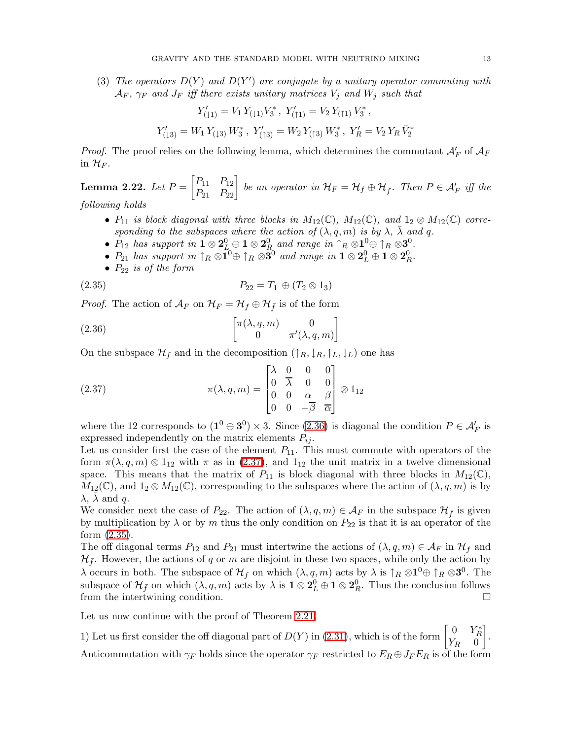$(3)$  *The operators*  $D(Y)$  and  $D(Y')$  are conjugate by a unitary operator commuting with  $\mathcal{A}_F$ ,  $\gamma_F$  and  $J_F$  *iff there exists unitary matrices*  $V_j$  *and*  $W_j$  *such that* 

$$
Y'_{(11)} = V_1 Y_{(11)} V_3^*, Y'_{(11)} = V_2 Y_{(11)} V_3^*,
$$
  

$$
Y'_{(13)} = W_1 Y_{(13)} W_3^*, Y'_{(13)} = W_2 Y_{(13)} W_3^*, Y'_R = V_2 Y_R \bar{V}_2^*
$$

<span id="page-12-3"></span>*Proof.* The proof relies on the following lemma, which determines the commutant  $\mathcal{A}'_F$  of  $\mathcal{A}_F$ in  $\mathcal{H}_F$ .

**Lemma 2.22.** Let  $P = \begin{bmatrix} P_{11} & P_{12} \\ P_{21} & P_{22} \end{bmatrix}$  be an operator in  $\mathcal{H}_F = \mathcal{H}_f \oplus \mathcal{H}_{\bar{f}}$ . Then  $P \in \mathcal{A}'_F$  iff the

*following holds*

- $P_{11}$  *is block diagonal with three blocks in*  $M_{12}(\mathbb{C})$ *,*  $M_{12}(\mathbb{C})$ *, and*  $1_2 \otimes M_{12}(\mathbb{C})$  *corresponding to the subspaces where the action of*  $(\lambda, q, m)$  *is by*  $\lambda$ *,*  $\lambda$  *and* q.
- $P_{12}$  has support in  $\mathbf{1} \otimes \mathbf{2}_{L}^{0} \oplus \mathbf{1} \otimes \mathbf{2}_{R}^{0}$  and range in  $\uparrow_R \otimes \mathbf{1}_{R}^{0} \oplus \uparrow_R \otimes \mathbf{3}_{R}^{0}$ .
- <span id="page-12-2"></span>•  $P_{21}$  has support in  $\uparrow_R \otimes 1^0 \oplus \uparrow_R \otimes 3^0$  and range in  $1 \otimes 2^0_L \oplus 1 \otimes 2^0_R$ .
- <span id="page-12-1"></span><span id="page-12-0"></span>•  $P_{22}$  *is of the form*

$$
(2.35) \t\t P_{22} = T_1 \oplus (T_2 \otimes 1_3)
$$

*Proof.* The action of  $\mathcal{A}_F$  on  $\mathcal{H}_F = \mathcal{H}_f \oplus \mathcal{H}_{\bar{f}}$  is of the form

(2.36) 
$$
\begin{bmatrix} \pi(\lambda, q, m) & 0 \\ 0 & \pi'(\lambda, q, m) \end{bmatrix}
$$

On the subspace  $\mathcal{H}_f$  and in the decomposition  $(\uparrow_R, \downarrow_R, \uparrow_L, \downarrow_L)$  one has

(2.37) 
$$
\pi(\lambda, q, m) = \begin{bmatrix} \lambda & 0 & 0 & 0 \\ 0 & \overline{\lambda} & 0 & 0 \\ 0 & 0 & \alpha & \beta \\ 0 & 0 & -\overline{\beta} & \overline{\alpha} \end{bmatrix} \otimes 1_{12}
$$

where the 12 corresponds to  $(1^0 \oplus 3^0) \times 3$ . Since  $(2.36)$  is diagonal the condition  $P \in \mathcal{A}'_F$  is expressed independently on the matrix elements  $P_{ij}$ .

Let us consider first the case of the element  $P_{11}$ . This must commute with operators of the form  $\pi(\lambda, q, m) \otimes 1_{12}$  with  $\pi$  as in [\(2.37\)](#page-12-1), and  $1_{12}$  the unit matrix in a twelve dimensional space. This means that the matrix of  $P_{11}$  is block diagonal with three blocks in  $M_{12}(\mathbb{C}),$  $M_{12}(\mathbb{C})$ , and  $1_2 \otimes M_{12}(\mathbb{C})$ , corresponding to the subspaces where the action of  $(\lambda, q, m)$  is by  $\lambda$ ,  $\lambda$  and q.

We consider next the case of  $P_{22}$ . The action of  $(\lambda, q, m) \in \mathcal{A}_F$  in the subspace  $\mathcal{H}_{\bar{f}}$  is given by multiplication by  $\lambda$  or by m thus the only condition on  $P_{22}$  is that it is an operator of the form [\(2.35\)](#page-12-2).

The off diagonal terms  $P_{12}$  and  $P_{21}$  must intertwine the actions of  $(\lambda, q, m) \in \mathcal{A}_F$  in  $\mathcal{H}_f$  and  $\mathcal{H}_{\bar{f}}$ . However, the actions of q or m are disjoint in these two spaces, while only the action by  $\lambda$  occurs in both. The subspace of  $\mathcal{H}_f$  on which  $(\lambda, q, m)$  acts by  $\lambda$  is  $\uparrow_R \otimes \mathbf{1}^0 \oplus \uparrow_R \otimes \mathbf{3}^0$ . The subspace of  $\mathcal{H}_{\bar{f}}$  on which  $(\lambda, q, m)$  acts by  $\lambda$  is  $\mathbf{1} \otimes \mathbf{2}_{L}^{0} \oplus \mathbf{1} \otimes \mathbf{2}_{R}^{0}$ . Thus the conclusion follows from the intertwining condition.  $\Box$ 

Let us now continue with the proof of Theorem [2.21.](#page-11-1)

1) Let us first consider the off diagonal part of  $D(Y)$  in [\(2.31\)](#page-11-3), which is of the form  $\begin{bmatrix} 0 & Y_R^* \ Y_R & 0 \end{bmatrix}$  . Anticommutation with  $\gamma_F$  holds since the operator  $\gamma_F$  restricted to  $E_R \oplus J_F E_R$  is of the form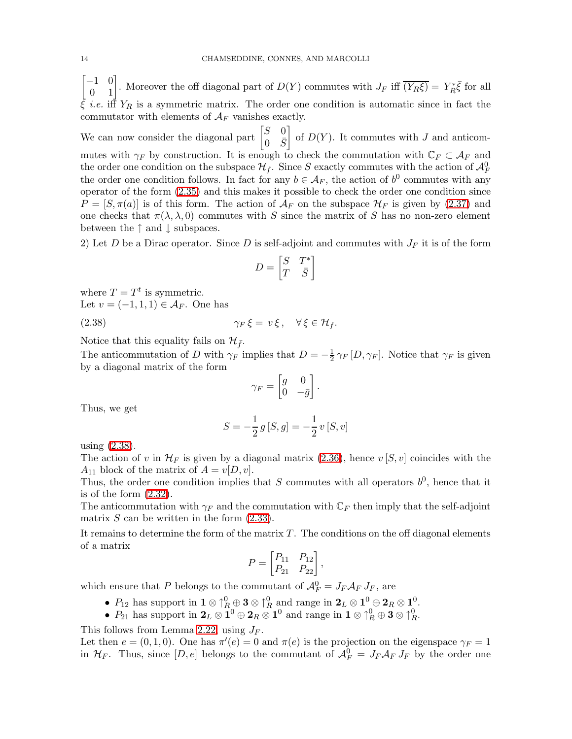$\sqrt{ }$ −1 0  $\begin{bmatrix} -1 & 0 \\ 0 & 1 \end{bmatrix}$ . Moreover the off diagonal part of  $D(Y)$  commutes with  $J_F$  iff  $\overline{(Y_R \xi)} = Y_R^* \overline{\xi}$  for all  $\bar{\xi}$  *i.e.* if  $Y_R$  is a symmetric matrix. The order one condition is automatic since in fact the commutator with elements of  $A_F$  vanishes exactly.

We can now consider the diagonal part  $\begin{bmatrix} S & 0 \\ 0 & \overline{c} \end{bmatrix}$  $0 \quad \bar{S}$ of  $D(Y)$ . It commutes with J and anticommutes with  $\gamma_F$  by construction. It is enough to check the commutation with  $\mathbb{C}_F \subset \mathcal{A}_F$  and the order one condition on the subspace  $\mathcal{H}_f$ . Since S exactly commutes with the action of  $\mathcal{A}_F^0$ the order one condition follows. In fact for any  $b \in A_F$ , the action of  $b^0$  commutes with any operator of the form [\(2.35\)](#page-12-2) and this makes it possible to check the order one condition since  $P = [S, \pi(a)]$  is of this form. The action of  $A_F$  on the subspace  $\mathcal{H}_F$  is given by [\(2.37\)](#page-12-1) and one checks that  $\pi(\lambda, \lambda, 0)$  commutes with S since the matrix of S has no non-zero element between the  $\uparrow$  and  $\downarrow$  subspaces.

2) Let D be a Dirac operator. Since D is self-adjoint and commutes with  $J_F$  it is of the form

$$
D = \begin{bmatrix} S & T^* \\ T & \bar{S} \end{bmatrix}
$$

<span id="page-13-0"></span>where  $T = T^t$  is symmetric. Let  $v = (-1, 1, 1) \in \mathcal{A}_F$ . One has

$$
\gamma_F \xi = v \xi, \quad \forall \xi \in \mathcal{H}_f.
$$

Notice that this equality fails on  $\mathcal{H}_{\bar{f}}$ .

The anticommutation of D with  $\gamma_F$  implies that  $D = -\frac{1}{2}$  $\frac{1}{2} \gamma_F [D, \gamma_F]$ . Notice that  $\gamma_F$  is given by a diagonal matrix of the form

$$
\gamma_F = \begin{bmatrix} g & 0 \\ 0 & -\bar{g} \end{bmatrix}.
$$

Thus, we get

$$
S = -\frac{1}{2} g\, [S,g] = -\frac{1}{2} v\, [S,v]
$$

using [\(2.38\)](#page-13-0).

The action of v in  $\mathcal{H}_F$  is given by a diagonal matrix [\(2.36\)](#page-12-0), hence  $v [S, v]$  coincides with the  $A_{11}$  block of the matrix of  $A = v[D, v]$ .

Thus, the order one condition implies that S commutes with all operators  $b^0$ , hence that it is of the form [\(2.32\)](#page-11-4).

The anticommutation with  $\gamma_F$  and the commutation with  $\mathbb{C}_F$  then imply that the self-adjoint matrix  $S$  can be written in the form  $(2.33)$ .

It remains to determine the form of the matrix  $T$ . The conditions on the off diagonal elements of a matrix

$$
P = \begin{bmatrix} P_{11} & P_{12} \\ P_{21} & P_{22} \end{bmatrix},
$$

which ensure that P belongs to the commutant of  $\mathcal{A}_F^0 = J_F \mathcal{A}_F J_F$ , are

- $P_{12}$  has support in  $\mathbf{1} \otimes \uparrow^0_R \oplus \mathbf{3} \otimes \uparrow^0_R$  and range in  $\mathbf{2}_L \otimes \mathbf{1}^0 \oplus \mathbf{2}_R \otimes \mathbf{1}^0$ .
- $P_{21}$  has support in  $\mathbf{2}_L \otimes \mathbf{1}^0 \oplus \mathbf{2}_R \otimes \mathbf{1}^0$  and range in  $\mathbf{1} \otimes \uparrow_R^0 \oplus \mathbf{3} \otimes \uparrow_R^0$ .

This follows from Lemma [2.22,](#page-12-3) using  $J_F$ .

Let then  $e = (0, 1, 0)$ . One has  $\pi'(e) = 0$  and  $\pi(e)$  is the projection on the eigenspace  $\gamma_F = 1$ in  $\mathcal{H}_F$ . Thus, since  $[D,e]$  belongs to the commutant of  $\mathcal{A}_F^0 = J_F \mathcal{A}_F J_F$  by the order one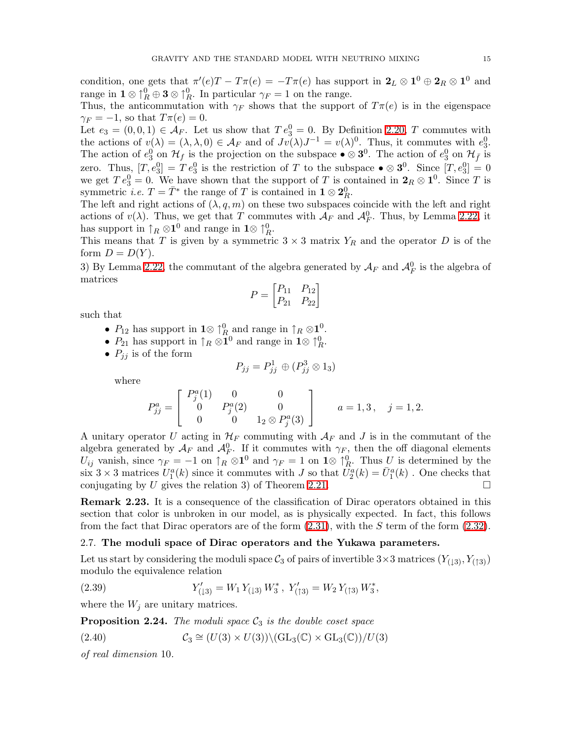condition, one gets that  $\pi'(e)T - T\pi(e) = -T\pi(e)$  has support in  $\mathbf{2}_L \otimes \mathbf{1}^0 \oplus \mathbf{2}_R \otimes \mathbf{1}^0$  and range in  $\mathbf{1} \otimes \uparrow_R^0 \oplus \mathbf{3} \otimes \uparrow_R^0$ . In particular  $\gamma_F = 1$  on the range.

Thus, the anticommutation with  $\gamma_F$  shows that the support of  $T\pi(e)$  is in the eigenspace  $\gamma_F = -1$ , so that  $T\pi(e) = 0$ .

Let  $e_3 = (0,0,1) \in \mathcal{A}_F$ . Let us show that  $Te_3^0 = 0$ . By Definition [2.20,](#page-11-6) T commutes with the actions of  $v(\lambda) = (\lambda, \lambda, 0) \in \mathcal{A}_F$  and of  $Jv(\lambda)J^{-1} = v(\lambda)^0$ . Thus, it commutes with  $e_3^0$ . The action of  $e_3^0$  on  $\mathcal{H}_f$  is the projection on the subspace  $\bullet \otimes 3^0$ . The action of  $e_3^0$  on  $\mathcal{H}_{\bar{f}}$  is zero. Thus,  $[T, e_3^0] = T e_3^0$  is the restriction of T to the subspace  $\bullet \otimes 3^0$ . Since  $[T, e_3^0] = 0$ we get  $Te_3^0 = 0$ . We have shown that the support of T is contained in  $2_R \otimes 1^0$ . Since T is symmetric *i.e.*  $T = \overline{T}^*$  the range of T is contained in  $\mathbf{1} \otimes \mathbf{2}_R^0$ .

The left and right actions of  $(\lambda, q, m)$  on these two subspaces coincide with the left and right actions of  $v(\lambda)$ . Thus, we get that T commutes with  $\mathcal{A}_F$  and  $\mathcal{A}_F^0$ . Thus, by Lemma [2.22,](#page-12-3) it has support in  $\uparrow_R \otimes \mathbf{1}^0$  and range in  $\mathbf{1} \otimes \uparrow_R^0$ .

This means that T is given by a symmetric  $3 \times 3$  matrix  $Y_R$  and the operator D is of the form  $D = D(Y)$ .

3) By Lemma [2.22,](#page-12-3) the commutant of the algebra generated by  $\mathcal{A}_F$  and  $\mathcal{A}_F^0$  is the algebra of matrices

$$
P = \begin{bmatrix} P_{11} & P_{12} \\ P_{21} & P_{22} \end{bmatrix}
$$

such that

- $P_{12}$  has support in  $1 \otimes \uparrow^0_{R_{\Omega}}$  and range in  $\uparrow_R \otimes 1^0$ .
- $P_{21}$  has support in  $\uparrow_R \otimes \mathbf{1}^0$  and range in  $\mathbf{1} \otimes \uparrow_R^0$ .
- $\bullet$   $\,P_{ij}$  is of the form

$$
P_{jj} = P_{jj}^1 \oplus (P_{jj}^3 \otimes 1_3)
$$

where

$$
P_{jj}^{a} = \begin{bmatrix} P_{j}^{a}(1) & 0 & 0 \\ 0 & P_{j}^{a}(2) & 0 \\ 0 & 0 & 1_{2} \otimes P_{j}^{a}(3) \end{bmatrix} \qquad a = 1, 3, \quad j = 1, 2.
$$

A unitary operator U acting in  $\mathcal{H}_F$  commuting with  $\mathcal{A}_F$  and J is in the commutant of the algebra generated by  $\mathcal{A}_F$  and  $\mathcal{A}_F^0$ . If it commutes with  $\gamma_{F}$ , then the off diagonal elements  $U_{ij}$  vanish, since  $\gamma_F = -1$  on  $\uparrow_R \otimes 1^0$  and  $\gamma_F = 1$  on  $1 \otimes \uparrow_R^0$ . Thus U is determined by the six 3 × 3 matrices  $U_1^a(k)$  since it commutes with J so that  $U_2^a(k) = \bar{U}_1^a(k)$ . One checks that conjugating by U gives the relation 3) of Theorem [2.21.](#page-11-1)

Remark 2.23. It is a consequence of the classification of Dirac operators obtained in this section that color is unbroken in our model, as is physically expected. In fact, this follows from the fact that Dirac operators are of the form  $(2.31)$ , with the S term of the form  $(2.32)$ .

#### <span id="page-14-0"></span>2.7. The moduli space of Dirac operators and the Yukawa parameters.

<span id="page-14-1"></span>Let us start by considering the moduli space  $C_3$  of pairs of invertible  $3\times 3$  matrices  $(Y_{(13)}, Y_{(13)})$ modulo the equivalence relation

(2.39) 
$$
Y'_{(13)} = W_1 Y_{(13)} W_3^*, Y'_{(13)} = W_2 Y_{(13)} W_3^*,
$$

<span id="page-14-2"></span>where the  $W_j$  are unitary matrices.

Proposition 2.24. *The moduli space*  $C_3$  *is the double coset space* 

(2.40) 
$$
C_3 \cong (U(3) \times U(3)) \setminus (\text{GL}_3(\mathbb{C}) \times \text{GL}_3(\mathbb{C}))/U(3)
$$

*of real dimension* 10*.*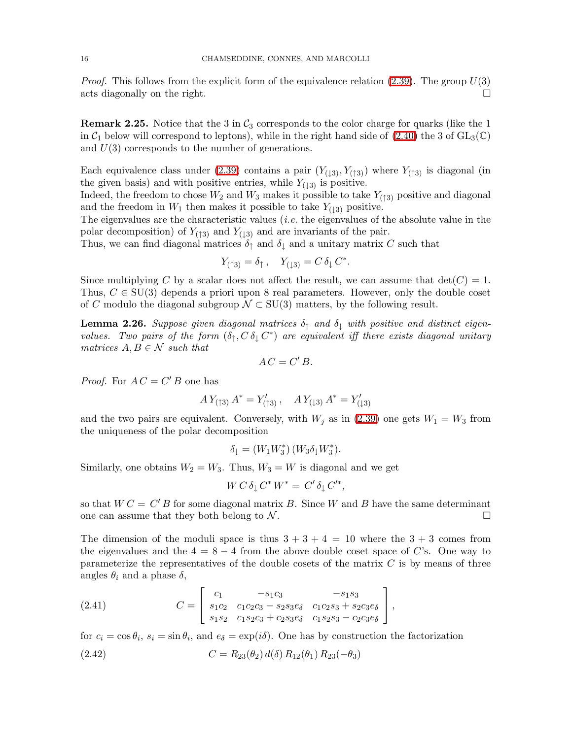*Proof.* This follows from the explicit form of the equivalence relation [\(2.39\)](#page-14-1). The group  $U(3)$ acts diagonally on the right.

**Remark 2.25.** Notice that the 3 in  $\mathcal{C}_3$  corresponds to the color charge for quarks (like the 1 in  $C_1$  below will correspond to leptons), while in the right hand side of [\(2.40\)](#page-14-2) the 3 of  $GL_3(\mathbb{C})$ and  $U(3)$  corresponds to the number of generations.

Each equivalence class under [\(2.39\)](#page-14-1) contains a pair  $(Y_{(13)}, Y_{(13)})$  where  $Y_{(13)}$  is diagonal (in the given basis) and with positive entries, while  $Y_{(13)}$  is positive.

Indeed, the freedom to chose  $W_2$  and  $W_3$  makes it possible to take  $Y_{(13)}$  positive and diagonal and the freedom in  $W_1$  then makes it possible to take  $Y_{(1,3)}$  positive.

The eigenvalues are the characteristic values (*i.e.* the eigenvalues of the absolute value in the polar decomposition) of  $Y_{(†3)}$  and  $Y_{(†3)}$  and are invariants of the pair.

Thus, we can find diagonal matrices  $\delta_{\uparrow}$  and  $\delta_{\downarrow}$  and a unitary matrix C such that

$$
Y_{(\uparrow 3)} = \delta_{\uparrow} , \quad Y_{(\downarrow 3)} = C \, \delta_{\downarrow} C^*.
$$

Since multiplying C by a scalar does not affect the result, we can assume that  $\det(C) = 1$ . Thus,  $C \in SU(3)$  depends a priori upon 8 real parameters. However, only the double coset of C modulo the diagonal subgroup  $\mathcal{N} \subset SU(3)$  matters, by the following result.

**Lemma 2.26.** Suppose given diagonal matrices  $\delta_{\uparrow}$  and  $\delta_{\downarrow}$  with positive and distinct eigen*values.* Two pairs of the form  $(\delta_{\uparrow}, C \, \delta_{\downarrow} C^*)$  are equivalent iff there exists diagonal unitary *matrices*  $A, B \in \mathcal{N}$  *such that* 

$$
AC = C'B.
$$

*Proof.* For  $AC = C'B$  one has

$$
A Y_{(13)} A^* = Y'_{(13)}, \quad A Y_{(13)} A^* = Y'_{(13)}
$$

and the two pairs are equivalent. Conversely, with  $W_j$  as in [\(2.39\)](#page-14-1) one gets  $W_1 = W_3$  from the uniqueness of the polar decomposition

$$
\delta_{\downarrow} = (W_1 W_3^*) (W_3 \delta_{\downarrow} W_3^*).
$$

Similarly, one obtains  $W_2 = W_3$ . Thus,  $W_3 = W$  is diagonal and we get

$$
W C \,\delta_\downarrow C^* W^* = C' \,\delta_\downarrow C'^*,
$$

so that  $W C = C' B$  for some diagonal matrix B. Since W and B have the same determinant one can assume that they both belong to  $\mathcal N$ .

The dimension of the moduli space is thus  $3 + 3 + 4 = 10$  where the  $3 + 3$  comes from the eigenvalues and the  $4 = 8 - 4$  from the above double coset space of C's. One way to parameterize the representatives of the double cosets of the matrix  $C$  is by means of three angles  $\theta_i$  and a phase  $\delta$ ,

(2.41) 
$$
C = \begin{bmatrix} c_1 & -s_1c_3 & -s_1s_3 \ s_1c_2 & c_1c_2c_3 - s_2s_3e_\delta & c_1c_2s_3 + s_2c_3e_\delta \ s_1s_2 & c_1s_2c_3 + c_2s_3e_\delta & c_1s_2s_3 - c_2c_3e_\delta \end{bmatrix},
$$

for  $c_i = \cos \theta_i$ ,  $s_i = \sin \theta_i$ , and  $e_\delta = \exp(i\delta)$ . One has by construction the factorization

(2.42) 
$$
C = R_{23}(\theta_2) d(\delta) R_{12}(\theta_1) R_{23}(-\theta_3)
$$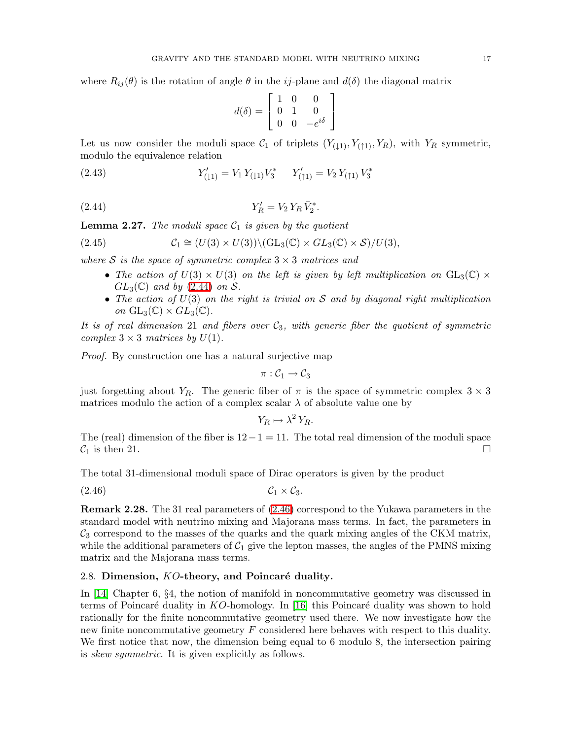where  $R_{ij}(\theta)$  is the rotation of angle  $\theta$  in the *ij*-plane and  $d(\delta)$  the diagonal matrix

$$
d(\delta) = \left[ \begin{array}{ccc} 1 & 0 & 0 \\ 0 & 1 & 0 \\ 0 & 0 & -e^{i\delta} \end{array} \right]
$$

Let us now consider the moduli space  $C_1$  of triplets  $(Y_{(11)}, Y_{(11)}, Y_R)$ , with  $Y_R$  symmetric, modulo the equivalence relation

<span id="page-16-1"></span>(2.43) 
$$
Y'_{(\downarrow 1)} = V_1 Y_{(\downarrow 1)} V_3^* \t Y'_{(\uparrow 1)} = V_2 Y_{(\uparrow 1)} V_3^*
$$

(2.44) 
$$
Y'_R = V_2 Y_R \bar{V}_2^*.
$$

**Lemma 2.27.** *The moduli space*  $C_1$  *is given by the quotient* 

(2.45) 
$$
\mathcal{C}_1 \cong (U(3) \times U(3)) \setminus (\text{GL}_3(\mathbb{C}) \times GL_3(\mathbb{C}) \times S)/U(3),
$$

*where*  $S$  *is the space of symmetric complex*  $3 \times 3$  *matrices and* 

- The action of  $U(3) \times U(3)$  on the left is given by left multiplication on  $GL_3(\mathbb{C}) \times$  $GL_3(\mathbb{C})$  *and by* [\(2.44\)](#page-16-1) *on* S.
- *The action of* U(3) *on the right is trivial on* S *and by diagonal right multiplication on*  $GL_3(\mathbb{C}) \times GL_3(\mathbb{C})$ .

It is of real dimension 21 and fibers over  $C_3$ , with generic fiber the quotient of symmetric *complex*  $3 \times 3$  *matrices by*  $U(1)$ *.* 

*Proof.* By construction one has a natural surjective map

$$
\pi:\mathcal{C}_1\to\mathcal{C}_3
$$

just forgetting about  $Y_R$ . The generic fiber of  $\pi$  is the space of symmetric complex  $3 \times 3$ matrices modulo the action of a complex scalar  $\lambda$  of absolute value one by

<span id="page-16-2"></span>
$$
Y_R \mapsto \lambda^2 Y_R.
$$

The (real) dimension of the fiber is  $12-1 = 11$ . The total real dimension of the moduli space  $C_1$  is then 21.  $\mathcal{C}_1$  is then 21.

The total 31-dimensional moduli space of Dirac operators is given by the product

(2.46) C<sup>1</sup> × C3.

Remark 2.28. The 31 real parameters of [\(2.46\)](#page-16-2) correspond to the Yukawa parameters in the standard model with neutrino mixing and Majorana mass terms. In fact, the parameters in  $\mathcal{C}_3$  correspond to the masses of the quarks and the quark mixing angles of the CKM matrix, while the additional parameters of  $C_1$  give the lepton masses, the angles of the PMNS mixing matrix and the Majorana mass terms.

#### <span id="page-16-0"></span>2.8. Dimension,  $KO$ -theory, and Poincaré duality.

In [\[14\]](#page-69-16) Chapter 6, §4, the notion of manifold in noncommutative geometry was discussed in terms of Poincaré duality in  $KO$ -homology. In [\[16\]](#page-69-15) this Poincaré duality was shown to hold rationally for the finite noncommutative geometry used there. We now investigate how the new finite noncommutative geometry F considered here behaves with respect to this duality. We first notice that now, the dimension being equal to 6 modulo 8, the intersection pairing is *skew symmetric*. It is given explicitly as follows.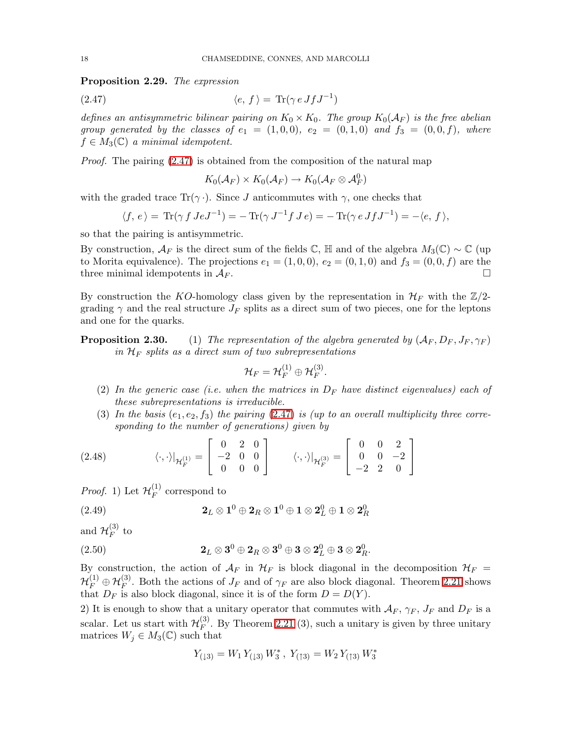<span id="page-17-0"></span>Proposition 2.29. *The expression*

(2.47) 
$$
\langle e, f \rangle = \text{Tr}(\gamma e J f J^{-1})
$$

*defines an antisymmetric bilinear pairing on*  $K_0 \times K_0$ . The group  $K_0(\mathcal{A}_F)$  *is the free abelian group generated by the classes of*  $e_1 = (1, 0, 0), e_2 = (0, 1, 0)$  *and*  $f_3 = (0, 0, f)$ *, where*  $f \in M_3(\mathbb{C})$  *a minimal idempotent.* 

*Proof.* The pairing  $(2.47)$  is obtained from the composition of the natural map

$$
K_0(\mathcal{A}_F) \times K_0(\mathcal{A}_F) \to K_0(\mathcal{A}_F \otimes \mathcal{A}_F^0)
$$

with the graded trace  $\text{Tr}(\gamma \cdot)$ . Since J anticommutes with  $\gamma$ , one checks that

$$
\langle f, e \rangle = \text{Tr}(\gamma f J e J^{-1}) = - \text{Tr}(\gamma J^{-1} f J e) = - \text{Tr}(\gamma e J f J^{-1}) = -\langle e, f \rangle,
$$

so that the pairing is antisymmetric.

By construction,  $\mathcal{A}_F$  is the direct sum of the fields  $\mathbb{C}$ , H and of the algebra  $M_3(\mathbb{C}) \sim \mathbb{C}$  (up to Morita equivalence). The projections  $e_1 = (1, 0, 0), e_2 = (0, 1, 0)$  and  $f_3 = (0, 0, f)$  are the three minimal idempotents in  $\mathcal{A}_F$ .

By construction the KO-homology class given by the representation in  $\mathcal{H}_F$  with the  $\mathbb{Z}/2$ grading  $\gamma$  and the real structure  $J_F$  splits as a direct sum of two pieces, one for the leptons and one for the quarks.

**Proposition 2.30.** (1) *The representation of the algebra generated by*  $(A_F, D_F, J_F, \gamma_F)$ in  $\mathcal{H}_F$  *splits as a direct sum of two subrepresentations* 

<span id="page-17-1"></span>
$$
\mathcal{H}_F=\mathcal{H}_F^{(1)}\oplus\mathcal{H}_F^{(3)}.
$$

- (2) *In the generic case (i.e. when the matrices in* D<sup>F</sup> *have distinct eigenvalues) each of these subrepresentations is irreducible.*
- $(3)$  *In the basis*  $(e_1, e_2, f_3)$  *the pairing*  $(2.47)$  *is (up to an overall multiplicity three corresponding to the number of generations) given by*

(2.48) 
$$
\langle \cdot, \cdot \rangle |_{\mathcal{H}_F^{(1)}} = \begin{bmatrix} 0 & 2 & 0 \\ -2 & 0 & 0 \\ 0 & 0 & 0 \end{bmatrix} \qquad \langle \cdot, \cdot \rangle |_{\mathcal{H}_F^{(3)}} = \begin{bmatrix} 0 & 0 & 2 \\ 0 & 0 & -2 \\ -2 & 2 & 0 \end{bmatrix}
$$

*Proof.* 1) Let  $\mathcal{H}_F^{(1)}$  $\bigg|_F^{(1)}$  correspond to

(2.49) 
$$
\qquad \qquad \mathbf{2}_L \otimes \mathbf{1}^0 \oplus \mathbf{2}_R \otimes \mathbf{1}^0 \oplus \mathbf{1} \otimes \mathbf{2}_L^0 \oplus \mathbf{1} \otimes \mathbf{2}_R^0
$$

and  $\mathcal{H}_F^{(3)}$  $\int\limits_F^{(3)}$  to

(2.50) 
$$
\mathbf{2}_L \otimes \mathbf{3}^0 \oplus \mathbf{2}_R \otimes \mathbf{3}^0 \oplus \mathbf{3} \otimes \mathbf{2}_L^0 \oplus \mathbf{3} \otimes \mathbf{2}_R^0.
$$

By construction, the action of  $A_F$  in  $H_F$  is block diagonal in the decomposition  $H_F$  =  $\mathcal{H}_F^{(1)} \oplus \mathcal{H}_F^{(3)}$ . Both the actions of  $J_F$  and of  $\gamma_F$  are also block diagonal. Theorem [2.21](#page-11-1) shows that  $D_F$  is also block diagonal, since it is of the form  $D = D(Y)$ .

2) It is enough to show that a unitary operator that commutes with  $A_F$ ,  $\gamma_F$ ,  $J_F$  and  $D_F$  is a scalar. Let us start with  $\mathcal{H}_F^{(3)}$  $_{F}^{\circ}$ . By Theorem [2.21](#page-11-1) (3), such a unitary is given by three unitary matrices  $W_j \in M_3(\mathbb{C})$  such that

$$
Y_{(13)} = W_1 Y_{(13)} W_3^*, Y_{(13)} = W_2 Y_{(13)} W_3^*
$$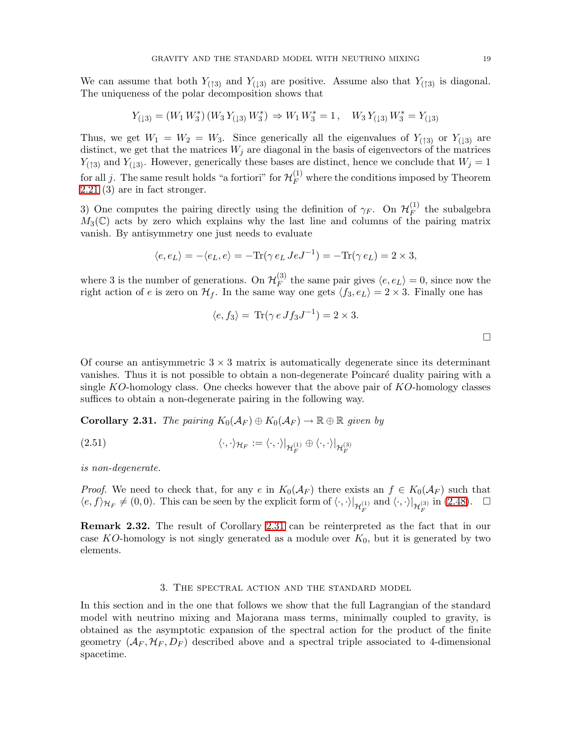We can assume that both  $Y_{(13)}$  and  $Y_{(13)}$  are positive. Assume also that  $Y_{(13)}$  is diagonal. The uniqueness of the polar decomposition shows that

$$
Y_{(13)} = (W_1 W_3^*) (W_3 Y_{(13)} W_3^*) \Rightarrow W_1 W_3^* = 1, \quad W_3 Y_{(13)} W_3^* = Y_{(13)}
$$

Thus, we get  $W_1 = W_2 = W_3$ . Since generically all the eigenvalues of  $Y_{(13)}$  or  $Y_{(13)}$  are distinct, we get that the matrices  $W_j$  are diagonal in the basis of eigenvectors of the matrices  $Y_{(13)}$  and  $Y_{(13)}$ . However, generically these bases are distinct, hence we conclude that  $W_j = 1$ for all j. The same result holds "a fortiori" for  $\mathcal{H}_F^{(1)}$  where the conditions imposed by Theorem [2.21](#page-11-1) (3) are in fact stronger.

3) One computes the pairing directly using the definition of  $\gamma_F$ . On  $\mathcal{H}_F^{(1)}$  $\bigg|_F^{(1)}$  the subalgebra  $M_3(\mathbb{C})$  acts by zero which explains why the last line and columns of the pairing matrix vanish. By antisymmetry one just needs to evaluate

$$
\langle e, e_L \rangle = -\langle e_L, e \rangle = -\text{Tr}(\gamma e_L J e J^{-1}) = -\text{Tr}(\gamma e_L) = 2 \times 3,
$$

where 3 is the number of generations. On  $\mathcal{H}_F^{(3)}$  $\binom{S}{F}$  the same pair gives  $\langle e, e_L \rangle = 0$ , since now the right action of e is zero on  $\mathcal{H}_f$ . In the same way one gets  $\langle f_3, e_L \rangle = 2 \times 3$ . Finally one has

$$
\langle e, f_3 \rangle = \text{Tr}(\gamma e J f_3 J^{-1}) = 2 \times 3.
$$

Of course an antisymmetric  $3 \times 3$  matrix is automatically degenerate since its determinant vanishes. Thus it is not possible to obtain a non-degenerate Poincaré duality pairing with a single  $KO$ -homology class. One checks however that the above pair of  $KO$ -homology classes suffices to obtain a non-degenerate pairing in the following way.

<span id="page-18-1"></span>**Corollary 2.31.** *The pairing*  $K_0(\mathcal{A}_F) \oplus K_0(\mathcal{A}_F) \to \mathbb{R} \oplus \mathbb{R}$  *given by* 

(2.51) 
$$
\langle \cdot, \cdot \rangle_{\mathcal{H}_F} := \langle \cdot, \cdot \rangle|_{\mathcal{H}_F^{(1)}} \oplus \langle \cdot, \cdot \rangle|_{\mathcal{H}_F^{(3)}}
$$

*is non-degenerate.*

*Proof.* We need to check that, for any e in  $K_0(\mathcal{A}_F)$  there exists an  $f \in K_0(\mathcal{A}_F)$  such that  $\langle e, f \rangle_{\mathcal{H}_F} \neq (0, 0)$ . This can be seen by the explicit form of  $\langle \cdot, \cdot \rangle|_{\mathcal{H}_F^{(1)}}$  and  $\langle \cdot, \cdot \rangle|_{\mathcal{H}_F^{(3)}}$  in [\(2.48\)](#page-17-1).  $\Box$ 

Remark 2.32. The result of Corollary [2.31](#page-18-1) can be reinterpreted as the fact that in our case  $KO$ -homology is not singly generated as a module over  $K_0$ , but it is generated by two elements.

#### 3. The spectral action and the standard model

<span id="page-18-0"></span>In this section and in the one that follows we show that the full Lagrangian of the standard model with neutrino mixing and Majorana mass terms, minimally coupled to gravity, is obtained as the asymptotic expansion of the spectral action for the product of the finite geometry  $(A_F, H_F, D_F)$  described above and a spectral triple associated to 4-dimensional spacetime.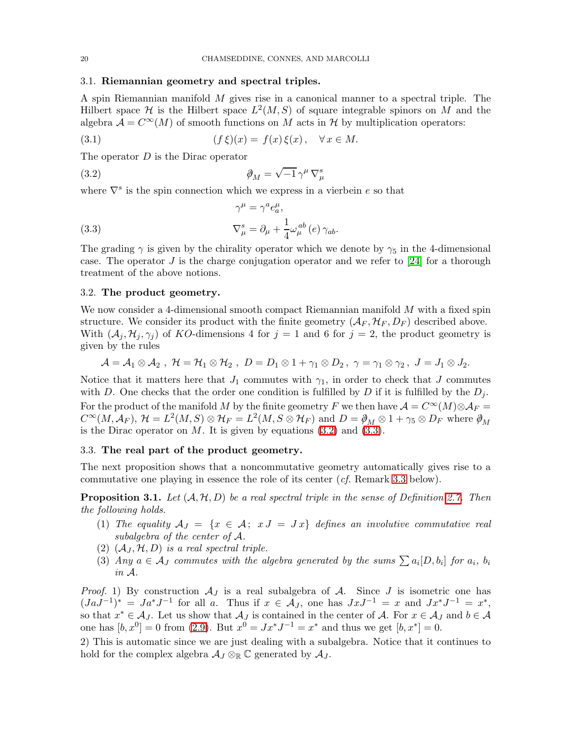### <span id="page-19-0"></span>3.1. Riemannian geometry and spectral triples.

A spin Riemannian manifold M gives rise in a canonical manner to a spectral triple. The Hilbert space  $\mathcal H$  is the Hilbert space  $L^2(M, S)$  of square integrable spinors on M and the algebra  $\mathcal{A} = C^{\infty}(M)$  of smooth functions on M acts in H by multiplication operators:

<span id="page-19-3"></span>(3.1) 
$$
(f \xi)(x) = f(x) \xi(x), \quad \forall x \in M.
$$

The operator  $D$  is the Dirac operator

(3.2) 
$$
\partial_M = \sqrt{-1} \gamma^\mu \nabla_\mu^s
$$

where  $\nabla^s$  is the spin connection which we express in a vierbein  $e$  so that

<span id="page-19-4"></span>(3.3) 
$$
\gamma^{\mu} = \gamma^{a} e^{\mu}_{a},
$$

$$
\nabla_{\mu}^{s} = \partial_{\mu} + \frac{1}{4} \omega_{\mu}^{ab} (e) \gamma_{ab}.
$$

The grading  $\gamma$  is given by the chirality operator which we denote by  $\gamma_5$  in the 4-dimensional case. The operator  $J$  is the charge conjugation operator and we refer to [\[24\]](#page-69-17) for a thorough treatment of the above notions.

### <span id="page-19-1"></span>3.2. The product geometry.

We now consider a 4-dimensional smooth compact Riemannian manifold M with a fixed spin structure. We consider its product with the finite geometry  $(A_F, \mathcal{H}_F, D_F)$  described above. With  $(A_j, H_j, \gamma_j)$  of KO-dimensions 4 for  $j = 1$  and 6 for  $j = 2$ , the product geometry is given by the rules

$$
\mathcal{A} = \mathcal{A}_1 \otimes \mathcal{A}_2 , \; \mathcal{H} = \mathcal{H}_1 \otimes \mathcal{H}_2 , \; D = D_1 \otimes 1 + \gamma_1 \otimes D_2 , \; \gamma = \gamma_1 \otimes \gamma_2 , \; J = J_1 \otimes J_2.
$$

Notice that it matters here that  $J_1$  commutes with  $\gamma_1$ , in order to check that J commutes with D. One checks that the order one condition is fulfilled by D if it is fulfilled by the  $D_i$ . For the product of the manifold M by the finite geometry F we then have  $\mathcal{A} = C^{\infty}(M) \otimes \mathcal{A}_F =$  $C^{\infty}(M, \mathcal{A}_F), \mathcal{H} = L^2(M, S) \otimes \mathcal{H}_F = L^2(M, S \otimes \mathcal{H}_F) \text{ and } D = \mathcal{P}_M \otimes 1 + \gamma_5 \otimes D_F \text{ where } \mathcal{P}_M$ is the Dirac operator on  $M$ . It is given by equations  $(3.2)$  and  $(3.3)$ .

#### <span id="page-19-2"></span>3.3. The real part of the product geometry.

<span id="page-19-5"></span>The next proposition shows that a noncommutative geometry automatically gives rise to a commutative one playing in essence the role of its center (*cf.* Remark [3.3](#page-20-1) below).

**Proposition 3.1.** Let  $(A, \mathcal{H}, D)$  be a real spectral triple in the sense of Definition [2.7.](#page-6-1) Then *the following holds.*

- (1) *The equality*  $A_J = \{x \in A; xJ = Jx\}$  *defines an involutive commutative real subalgebra of the center of* A*.*
- $(2)$   $(\mathcal{A}_J, \mathcal{H}, D)$  *is a real spectral triple.*
- (3) *Any*  $a \in A_J$  *commutes with the algebra generated by the sums*  $\sum a_i[D,b_i]$  *for*  $a_i$ *, b<sub>i</sub> in* A*.*

*Proof.* 1) By construction  $A_J$  is a real subalgebra of A. Since J is isometric one has  $(JaJ^{-1})^* = Ja^*J^{-1}$  for all a. Thus if  $x \in \mathcal{A}_J$ , one has  $JxJ^{-1} = x$  and  $Jx^*J^{-1} = x^*$ , so that  $x^* \in \mathcal{A}_J$ . Let us show that  $\mathcal{A}_J$  is contained in the center of  $\mathcal{A}$ . For  $x \in \mathcal{A}_J$  and  $b \in \mathcal{A}$ one has  $[b, x^0] = 0$  from [\(2.9\)](#page-6-3). But  $x^0 = Jx^*J^{-1} = x^*$  and thus we get  $[b, x^*] = 0$ .

2) This is automatic since we are just dealing with a subalgebra. Notice that it continues to hold for the complex algebra  $\mathcal{A}_J \otimes_{\mathbb{R}} \mathbb{C}$  generated by  $\mathcal{A}_J$ .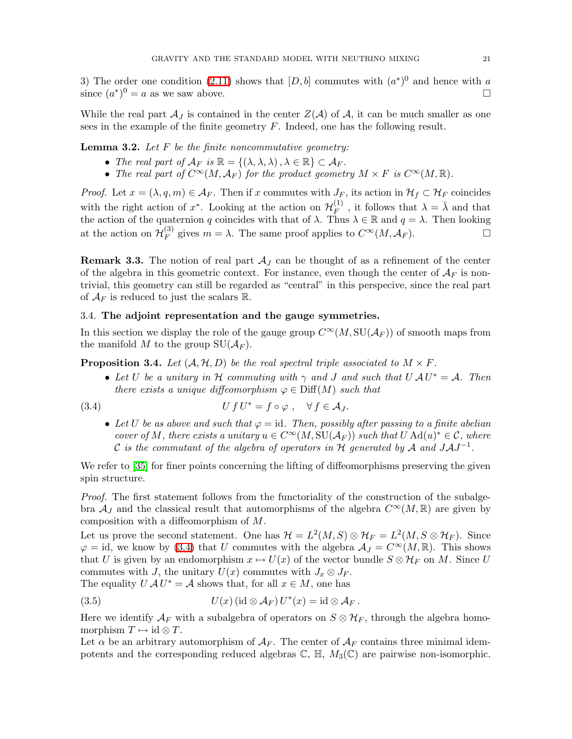3) The order one condition [\(2.11\)](#page-6-2) shows that  $[D, b]$  commutes with  $(a^*)^0$  and hence with a since  $(a^*)^0 = a$  as we saw above.

<span id="page-20-4"></span>While the real part  $\mathcal{A}_I$  is contained in the center  $Z(\mathcal{A})$  of  $\mathcal{A}$ , it can be much smaller as one sees in the example of the finite geometry  $F$ . Indeed, one has the following result.

Lemma 3.2. *Let* F *be the finite noncommutative geometry:*

- *The real part of*  $\mathcal{A}_F$  *is*  $\mathbb{R} = \{(\lambda, \lambda, \lambda), \lambda \in \mathbb{R}\} \subset \mathcal{A}_F$ *.*
- The real part of  $C^{\infty}(M, \mathcal{A}_F)$  for the product geometry  $M \times F$  is  $C^{\infty}(M, \mathbb{R})$ .

*Proof.* Let  $x = (\lambda, q, m) \in \mathcal{A}_F$ . Then if x commutes with  $J_F$ , its action in  $\mathcal{H}_f \subset \mathcal{H}_F$  coincides with the right action of  $x^*$ . Looking at the action on  $\mathcal{H}_F^{(1)}$  $\mathcal{F}_{F}^{(1)}$ , it follows that  $\lambda = \overline{\lambda}$  and that the action of the quaternion q coincides with that of  $\lambda$ . Thus  $\lambda \in \mathbb{R}$  and  $q = \lambda$ . Then looking at the action on  $\mathcal{H}_F^{(3)}$ <sup>(3)</sup> gives  $m = \lambda$ . The same proof applies to  $C^{\infty}(M, A_F)$ .

<span id="page-20-1"></span>**Remark 3.3.** The notion of real part  $A_J$  can be thought of as a refinement of the center of the algebra in this geometric context. For instance, even though the center of  $A_F$  is nontrivial, this geometry can still be regarded as "central" in this perspecive, since the real part of  $\mathcal{A}_F$  is reduced to just the scalars  $\mathbb{R}$ .

### <span id="page-20-0"></span>3.4. The adjoint representation and the gauge symmetries.

In this section we display the role of the gauge group  $C^{\infty}(M, SU(\mathcal{A}_F))$  of smooth maps from the manifold M to the group  $SU(\mathcal{A}_F)$ .

**Proposition 3.4.** Let  $(A, \mathcal{H}, D)$  be the real spectral triple associated to  $M \times F$ .

<span id="page-20-2"></span>• Let U be a unitary in H commuting with  $\gamma$  and J and such that  $U A U^* = A$ . Then *there exists a unique diffeomorphism*  $\varphi \in \text{Diff}(M)$  *such that* 

(3.4) 
$$
U f U^* = f \circ \varphi \ , \quad \forall f \in \mathcal{A}_J.
$$

• Let U be as above and such that  $\varphi = id$ . Then, possibly after passing to a finite abelian *cover of* M, there exists a unitary  $u \in C^{\infty}(M, SU(\mathcal{A}_F))$  such that  $U \text{Ad}(u)^* \in \mathcal{C}$ , where  $\mathcal C$  *is the commutant of the algebra of operators in*  $\mathcal H$  *generated by*  $\mathcal A$  *and*  $J\mathcal A J^{-1}$ *.* 

We refer to [\[35\]](#page-70-3) for finer points concerning the lifting of diffeomorphisms preserving the given spin structure.

*Proof.* The first statement follows from the functoriality of the construction of the subalgebra  $\mathcal{A}_J$  and the classical result that automorphisms of the algebra  $C^{\infty}(M,\mathbb{R})$  are given by composition with a diffeomorphism of M.

Let us prove the second statement. One has  $\mathcal{H} = L^2(M, S) \otimes \mathcal{H}_F = L^2(M, S \otimes \mathcal{H}_F)$ . Since  $\varphi = id$ , we know by [\(3.4\)](#page-20-2) that U commutes with the algebra  $\mathcal{A}_J = C^{\infty}(M,\mathbb{R})$ . This shows that U is given by an endomorphism  $x \mapsto U(x)$  of the vector bundle  $S \otimes \mathcal{H}_F$  on M. Since U commutes with J, the unitary  $U(x)$  commutes with  $J_x \otimes J_F$ .

<span id="page-20-3"></span>The equality  $U A U^* = A$  shows that, for all  $x \in M$ , one has

(3.5) 
$$
U(x) (\mathrm{id} \otimes A_F) U^*(x) = \mathrm{id} \otimes A_F.
$$

Here we identify  $\mathcal{A}_F$  with a subalgebra of operators on  $S \otimes \mathcal{H}_F$ , through the algebra homomorphism  $T \mapsto id \otimes T$ .

Let  $\alpha$  be an arbitrary automorphism of  $\mathcal{A}_F$ . The center of  $\mathcal{A}_F$  contains three minimal idempotents and the corresponding reduced algebras  $\mathbb{C}$ ,  $\mathbb{H}$ ,  $M_3(\mathbb{C})$  are pairwise non-isomorphic.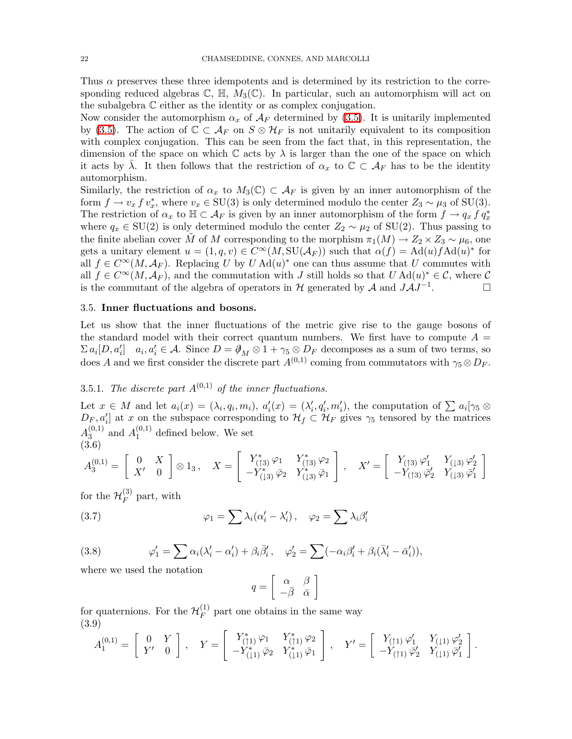Thus  $\alpha$  preserves these three idempotents and is determined by its restriction to the corresponding reduced algebras  $\mathbb{C}$ ,  $\mathbb{H}$ ,  $M_3(\mathbb{C})$ . In particular, such an automorphism will act on the subalgebra C either as the identity or as complex conjugation.

Now consider the automorphism  $\alpha_x$  of  $\mathcal{A}_F$  determined by [\(3.5\)](#page-20-3). It is unitarily implemented by [\(3.5\)](#page-20-3). The action of  $\mathbb{C} \subset A_F$  on  $S \otimes \mathcal{H}_F$  is not unitarily equivalent to its composition with complex conjugation. This can be seen from the fact that, in this representation, the dimension of the space on which  $\mathbb C$  acts by  $\lambda$  is larger than the one of the space on which it acts by  $\lambda$ . It then follows that the restriction of  $\alpha_x$  to  $\mathbb{C} \subset \mathcal{A}_F$  has to be the identity automorphism.

Similarly, the restriction of  $\alpha_x$  to  $M_3(\mathbb{C}) \subset \mathcal{A}_F$  is given by an inner automorphism of the form  $f \to v_x f v_x^*$ , where  $v_x \in SU(3)$  is only determined modulo the center  $Z_3 \sim \mu_3$  of  $SU(3)$ . The restriction of  $\alpha_x$  to  $\mathbb{H} \subset \mathcal{A}_F$  is given by an inner automorphism of the form  $f \to q_x f q_x^*$ where  $q_x \in SU(2)$  is only determined modulo the center  $Z_2 \sim \mu_2$  of SU(2). Thus passing to the finite abelian cover M of M corresponding to the morphism  $\pi_1(M) \to Z_2 \times Z_3 \sim \mu_6$ , one gets a unitary element  $u = (1, q, v) \in C^{\infty}(M, SU(\mathcal{A}_F))$  such that  $\alpha(f) = \text{Ad}(u) f \text{Ad}(u)^*$  for all  $f \in C^{\infty}(M, \mathcal{A}_F)$ . Replacing U by  $U \text{Ad}(u)^*$  one can thus assume that U commutes with all  $f \in C^{\infty}(M, \mathcal{A}_F)$ , and the commutation with J still holds so that  $U \text{Ad}(u)^* \in \mathcal{C}$ , where  $\mathcal{C}$ is the commutant of the algebra of operators in  $\mathcal H$  generated by  $\mathcal A$  and  $J\mathcal A J^{-1}$ .

### <span id="page-21-0"></span>3.5. Inner fluctuations and bosons.

Let us show that the inner fluctuations of the metric give rise to the gauge bosons of the standard model with their correct quantum numbers. We first have to compute  $A =$  $\sum a_i[D, a'_i]$   $a_i, a'_i \in \mathcal{A}$ . Since  $D = \partial_M \otimes 1 + \gamma_5 \otimes D_F$  decomposes as a sum of two terms, so does A and we first consider the discrete part  $A^{(0,1)}$  coming from commutators with  $\gamma_5 \otimes D_F$ .

# 3.5.1. The discrete part  $A^{(0,1)}$  of the inner fluctuations.

Let  $x \in M$  and let  $a_i(x) = (\lambda_i, q_i, m_i), a'_i(x) = (\lambda'_i, q'_i, m'_i)$ , the computation of  $\sum a_i [\gamma_5 \otimes$  $D_F, a'_i$  at x on the subspace corresponding to  $\mathcal{H}_f \subset \mathcal{H}_F$  gives  $\gamma_5$  tensored by the matrices  $A_3^{(0,1)}$  $A_3^{(0,1)}$  and  $A_1^{(0,1)}$  $_1^{(0,1)}$  defined below. We set (3.6)

$$
A_3^{(0,1)} = \begin{bmatrix} 0 & X \\ X' & 0 \end{bmatrix} \otimes 1_3, \quad X = \begin{bmatrix} Y_{(13)}^* \varphi_1 & Y_{(13)}^* \varphi_2 \\ -Y_{(13)}^* \bar{\varphi}_2 & Y_{(13)}^* \bar{\varphi}_1 \end{bmatrix}, \quad X' = \begin{bmatrix} Y_{(13)} \varphi_1' & Y_{(13)} \varphi_2' \\ -Y_{(13)} \bar{\varphi}_2' & Y_{(13)} \bar{\varphi}_1' \end{bmatrix}
$$

<span id="page-21-1"></span>for the  $\mathcal{H}_F^{(3)}$  $\int_{F}^{(0)}$  part, with

<span id="page-21-2"></span>(3.7) 
$$
\varphi_1 = \sum \lambda_i (\alpha'_i - \lambda'_i), \quad \varphi_2 = \sum \lambda_i \beta'_i
$$

(3.8) 
$$
\varphi_1' = \sum \alpha_i (\lambda_i' - \alpha_i') + \beta_i \overline{\beta}_i', \quad \varphi_2' = \sum (-\alpha_i \beta_i' + \beta_i (\overline{\lambda}_i' - \overline{\alpha}_i')),
$$

where we used the notation

$$
q = \left[ \begin{array}{cc} \alpha & \beta \\ -\bar{\beta} & \bar{\alpha} \end{array} \right]
$$

for quaternions. For the  $\mathcal{H}_F^{(1)}$  $F_F^{(1)}$  part one obtains in the same way (3.9)

$$
A_1^{(0,1)} = \begin{bmatrix} 0 & Y \\ Y' & 0 \end{bmatrix}, \quad Y = \begin{bmatrix} Y_{(11)}^* \varphi_1 & Y_{(11)}^* \varphi_2 \\ -Y_{(11)}^* \bar{\varphi}_2 & Y_{(11)}^* \bar{\varphi}_1 \end{bmatrix}, \quad Y' = \begin{bmatrix} Y_{(11)} \varphi_1' & Y_{(11)} \varphi_2' \\ -Y_{(11)} \bar{\varphi}_2' & Y_{(11)} \bar{\varphi}_1' \end{bmatrix}.
$$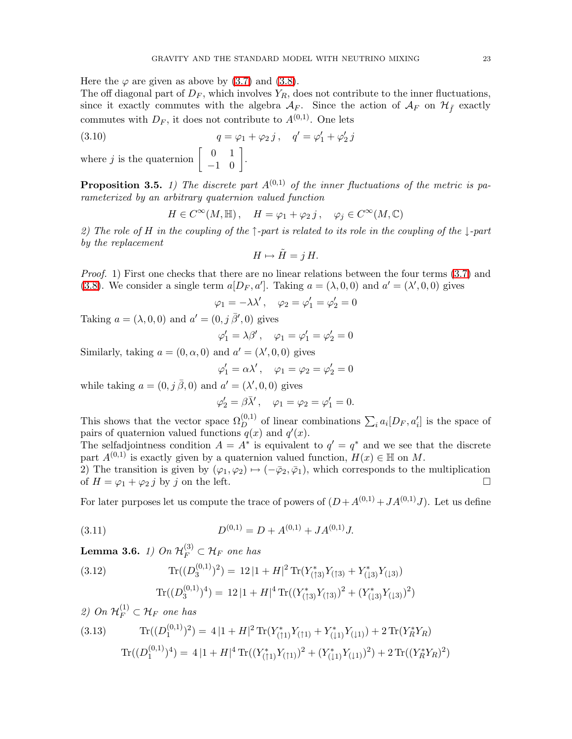Here the  $\varphi$  are given as above by [\(3.7\)](#page-21-1) and [\(3.8\)](#page-21-2).

The off diagonal part of  $D_F$ , which involves  $Y_R$ , does not contribute to the inner fluctuations, since it exactly commutes with the algebra  $A_F$ . Since the action of  $A_F$  on  $H_{\bar{f}}$  exactly commutes with  $D_F$ , it does not contribute to  $A^{(0,1)}$ . One lets

(3.10) 
$$
q = \varphi_1 + \varphi_2 j, \quad q' = \varphi_1' + \varphi_2' j
$$
where *j* is the quaternion  $\begin{bmatrix} 0 & 1 \\ -1 & 0 \end{bmatrix}$ .

<span id="page-22-2"></span>**Proposition 3.5.** 1) The discrete part  $A^{(0,1)}$  of the inner fluctuations of the metric is pa*rameterized by an arbitrary quaternion valued function*

$$
H \in C^{\infty}(M, \mathbb{H}), \quad H = \varphi_1 + \varphi_2 j, \quad \varphi_j \in C^{\infty}(M, \mathbb{C})
$$

*2) The role of* H *in the coupling of the* ↑*-part is related to its role in the coupling of the* ↓*-part by the replacement*

$$
H \mapsto \tilde{H} = j H.
$$

*Proof.* 1) First one checks that there are no linear relations between the four terms [\(3.7\)](#page-21-1) and [\(3.8\)](#page-21-2). We consider a single term  $a[D_F, a']$ . Taking  $a = (\lambda, 0, 0)$  and  $a' = (\lambda', 0, 0)$  gives

$$
\varphi_1 = -\lambda \lambda', \quad \varphi_2 = \varphi_1' = \varphi_2' = 0
$$

Taking  $a = (\lambda, 0, 0)$  and  $a' = (0, j\overline{\beta}', 0)$  gives

$$
\varphi_1' = \lambda \beta', \quad \varphi_1 = \varphi_1' = \varphi_2' = 0
$$

Similarly, taking  $a = (0, \alpha, 0)$  and  $a' = (\lambda', 0, 0)$  gives

$$
\varphi_1' = \alpha \lambda', \quad \varphi_1 = \varphi_2 = \varphi_2' = 0
$$

while taking  $a = (0, j \bar{\beta}, 0)$  and  $a' = (\lambda', 0, 0)$  gives

$$
\varphi_2'=\beta\bar\lambda',\quad \varphi_1=\varphi_2=\varphi_1'=0.
$$

This shows that the vector space  $\Omega_D^{(0,1)}$  of linear combinations  $\sum_i a_i [D_F, a'_i]$  is the space of pairs of quaternion valued functions  $q(x)$  and  $q'(x)$ .

The selfadjointness condition  $A = A^*$  is equivalent to  $q' = q^*$  and we see that the discrete part  $A^{(0,1)}$  is exactly given by a quaternion valued function,  $H(x) \in \mathbb{H}$  on M.

2) The transition is given by  $(\varphi_1, \varphi_2) \mapsto (-\bar{\varphi}_2, \bar{\varphi}_1)$ , which corresponds to the multiplication of  $H = \varphi_1 + \varphi_2 j$  by j on the left. of  $H = \varphi_1 + \varphi_2 j$  by j on the left.

<span id="page-22-3"></span>For later purposes let us compute the trace of powers of  $(D+A^{(0,1)}+JA^{(0,1)}J)$ . Let us define

<span id="page-22-1"></span>(3.11) 
$$
D^{(0,1)} = D + A^{(0,1)} + JA^{(0,1)}J.
$$

**Lemma 3.6.** *1*) On  $\mathcal{H}_F^{(3)} \subset \mathcal{H}_F$  one has

(3.12) 
$$
\text{Tr}((D_3^{(0,1)})^2) = 12|1 + H|^2 \text{Tr}(Y_{(13)}^* Y_{(13)} + Y_{(13)}^* Y_{(13)})
$$

$$
\text{Tr}((D_3^{(0,1)})^4) = 12|1 + H|^4 \text{Tr}((Y_{(13)}^* Y_{(13)})^2 + (Y_{(13)}^* Y_{(13)})^2)
$$

<span id="page-22-0"></span>2) On 
$$
\mathcal{H}_F^{(1)} \subset \mathcal{H}_F
$$
 one has  
\n(3.13) 
$$
\text{Tr}((D_1^{(0,1)})^2) = 4|1 + H|^2 \text{Tr}(Y_{(11)}^* Y_{(11)} + Y_{(11)}^* Y_{(11)}) + 2 \text{Tr}(Y_R^* Y_R)
$$
\n
$$
\text{Tr}((D_1^{(0,1)})^4) = 4|1 + H|^4 \text{Tr}((Y_{(11)}^* Y_{(11)})^2 + (Y_{(11)}^* Y_{(11)})^2) + 2 \text{Tr}((Y_R^* Y_R)^2)
$$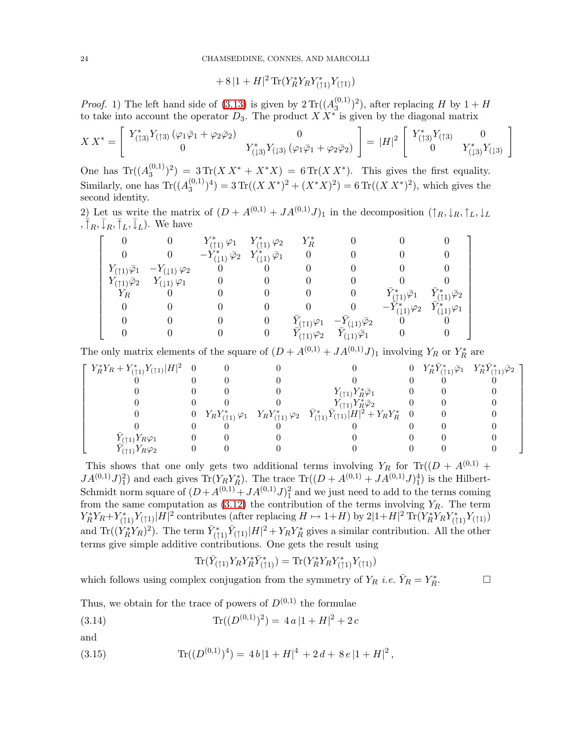$$
+8|1 + H|^2 \text{Tr}(Y_R^* Y_R Y_{(\uparrow 1)}^* Y_{(\uparrow 1)})
$$

*Proof.* 1) The left hand side of [\(3.13\)](#page-22-0) is given by  $2 \text{Tr}((A_3^{(0,1)})$  $\binom{(0,1)}{3}$ , after replacing H by  $1 + H$ to take into account the operator  $D_3$ . The product  $XX^*$  is given by the diagonal matrix

$$
XX^* = \left[ \begin{array}{cc} Y^*_{(13)}Y_{(13)} (\varphi_1 \bar{\varphi}_1 + \varphi_2 \bar{\varphi}_2) & 0 \\ 0 & Y^*_{(13)} Y_{(13)} (\varphi_1 \bar{\varphi}_1 + \varphi_2 \bar{\varphi}_2) \end{array} \right] = |H|^2 \left[ \begin{array}{cc} Y^*_{(13)} Y_{(13)} & 0 \\ 0 & Y^*_{(13)} Y_{(13)} \end{array} \right]
$$

One has  $\text{Tr}((A_3^{(0,1)})$  $\binom{(0,1)}{3}$  =  $3 \text{Tr}(X X^* + X^* X) = 6 \text{Tr}(X X^*)$ . This gives the first equality. Similarly, one has  $\text{Tr}((A_3^{(0,1)})$  $3^{(0,1)}$ <sup>4</sup> $) = 3 \text{Tr}((XX^*)^2 + (X^*X)^2) = 6 \text{Tr}((XX^*)^2)$ , which gives the second identity.

2) Let us write the matrix of  $(D + A^{(0,1)} + JA^{(0,1)}J)_1$  in the decomposition  $({\uparrow}_R, {\downarrow}_R, {\uparrow}_L, {\downarrow}_L)$  $,\overline{\uparrow}_R, \overline{\downarrow}_R, \overline{\uparrow}_L, \overline{\downarrow}_L$ . We have

$$
\left[ \begin{array}{ccccccccc} 0 & 0 & Y_{(\uparrow\!\downarrow 1)}^* \, \varphi_1 & Y_{(\uparrow\!\downarrow 1)}^* \, \varphi_2 & Y_R^* & 0 & 0 & 0 \\ 0 & 0 & -Y_{(\downarrow\!\downarrow 1)}^* \, \bar{\varphi}_2 & Y_{(\downarrow\!\downarrow 1)}^* \, \bar{\varphi}_1 & 0 & 0 & 0 & 0 \\ Y_{(\uparrow\!\downarrow 1)} \, \bar{\varphi}_1 & -Y_{(\downarrow\!\downarrow 1)} \, \varphi_2 & 0 & 0 & 0 & 0 & 0 \\ Y_{(\uparrow\!\downarrow 1)} \, \bar{\varphi}_2 & Y_{(\downarrow\!\downarrow 1)} \, \varphi_1 & 0 & 0 & 0 & 0 & 0 \\ Y_R & 0 & 0 & 0 & 0 & 0 & 0 & \bar{Y}_{(\uparrow\!\downarrow 1)}^* \, \bar{\varphi}_1 & \bar{Y}_{(\uparrow\!\downarrow 1)}^* \, \bar{\varphi}_2 \\ 0 & 0 & 0 & 0 & 0 & 0 & -Y_{(\downarrow\!\downarrow 1)}^* \, \varphi_2 & \bar{Y}_{(\uparrow\!\downarrow 1)}^* \, \varphi_1 \\ 0 & 0 & 0 & 0 & \bar{Y}_{(\uparrow\!\downarrow 1)} \, \varphi_1 & -\bar{Y}_{(\downarrow\!\downarrow 1)} \, \bar{\varphi}_2 & 0 & 0 \\ 0 & 0 & 0 & 0 & \bar{Y}_{(\uparrow\!\downarrow 1)} \, \varphi_2 & \bar{Y}_{(\downarrow\!\downarrow 1)} \, \bar{\varphi}_1 & 0 & 0 \end{array} \right]
$$

The only matrix elements of the square of  $(D + A^{(0,1)} + JA^{(0,1)}J)_1$  involving  $Y_R$  or  $Y_R^*$  are

$$
\left[\begin{array}{cccccccc} Y_R^*Y_R+Y_{( \uparrow 1)}^*Y_{( \uparrow 1)}|H|^2&0&0&0&0&0&Y_R^*\bar Y_{( \uparrow 1)}^*\bar \varphi_1 &Y_R^*\bar Y_{( \uparrow 1)}^*\bar \varphi_2 \\ 0&0&0&0&0&0&0&0 \\ 0&0&0&0&0&Y_{( \uparrow 1)}Y_R^*\bar \varphi_1&0&0&0 \\ 0&0&0&0&Y_{K}Y_{( \uparrow 1)}^*\varphi_1 &Y_RY_{( \uparrow 1)}^*\varphi_2 &\bar Y_{( \uparrow 1)}^*Y_{( \uparrow 1)}|H|^2+Y_RY_R^*&0&0&0 \\ 0&0&0&0&0&0&0&0 \\ \bar Y_{( \uparrow 1)}Y_R\varphi_1&0&0&0&0&0&0 \\ \bar Y_{( \uparrow 1)}Y_R\varphi_2&0&0&0&0&0&0&0 \\ \bar Y_{( \uparrow 1)}Y_R\varphi_2&0&0&0&0&0&0&0 \\ \end{array}\right]
$$

This shows that one only gets two additional terms involving  $Y_R$  for Tr( $(D + A^{(0,1)} +$  $JA^{(0,1)}J_1^2$  and each gives  $\text{Tr}(Y_R Y_R^*)$ . The trace  $\text{Tr}((D+A^{(0,1)}+JA^{(0,1)}J_1^4)$  is the Hilbert-Schmidt norm square of  $(D + A^{(0,1)} + JA^{(0,1)}J)^2$  and we just need to add to the terms coming from the same computation as  $(3.12)$  the contribution of the terms involving  $Y_R$ . The term  $Y_R^*Y_R+Y_{(11)}^*Y_{(11)}|H|^2$  contributes (after replacing  $H \mapsto 1+H$ ) by  $2|1+H|^2 \text{Tr}(Y_R^*Y_RY_{(11)}^*Y_{(11)})$ and  $\text{Tr}((\hat{Y}_R^*Y_R)^2)$ . The term  $\bar{Y}_{(1)}^*[\bar{Y}_{(1)}|H]^2 + Y_RY_R^*$  gives a similar contribution. All the other terms give simple additive contributions. One gets the result using

<span id="page-23-0"></span>
$$
\text{Tr}(\bar{Y}_{(\uparrow 1)}Y_RY_R^*\bar{Y}_{(\uparrow 1)}^*)=\text{Tr}(Y_R^*Y_RY_{(\uparrow 1)}^*Y_{(\uparrow 1)})
$$

which follows using complex conjugation from the symmetry of  $Y_R$  *i.e.*  $\bar{Y}_R = Y_R^*$  $\Box$ 

Thus, we obtain for the trace of powers of  $D^{(0,1)}$  the formulae

<span id="page-23-1"></span>(3.14) 
$$
\text{Tr}((D^{(0,1)})^2) = 4 a |1 + H|^2 + 2 c
$$

and

(3.15) 
$$
\text{Tr}((D^{(0,1)})^4) = 4b|1 + H|^4 + 2d + 8e|1 + H|^2,
$$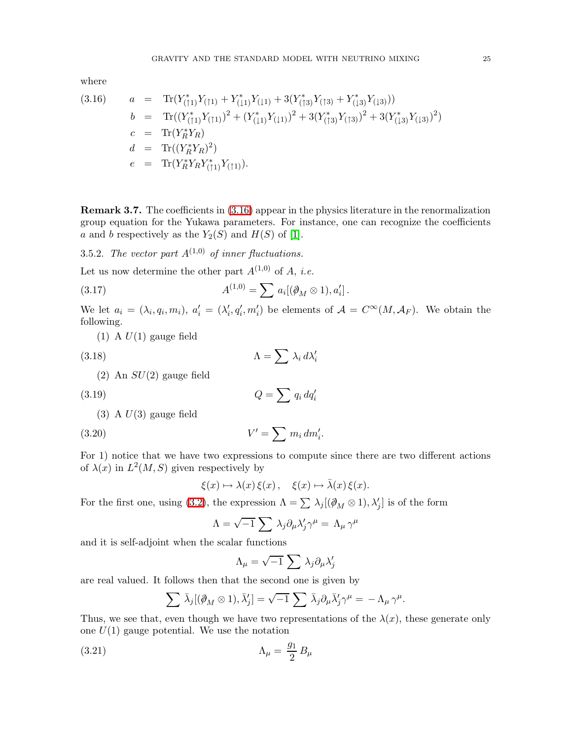where

<span id="page-24-0"></span>(3.16) 
$$
a = \text{Tr}(Y_{(11)}^* Y_{(11)} + Y_{(11)}^* Y_{(11)} + 3(Y_{(13)}^* Y_{(13)} + Y_{(13)}^* Y_{(13)}))
$$
  
\n
$$
b = \text{Tr}((Y_{(11)}^* Y_{(11)})^2 + (Y_{(11)}^* Y_{(11)})^2 + 3(Y_{(13)}^* Y_{(13)})^2 + 3(Y_{(13)}^* Y_{(13)})^2)
$$
  
\n
$$
c = \text{Tr}(Y_R^* Y_R)
$$
  
\n
$$
d = \text{Tr}((Y_R^* Y_R)^2)
$$
  
\n
$$
e = \text{Tr}(Y_R^* Y_R Y_{(11)}^* Y_{(11)}).
$$

Remark 3.7. The coefficients in [\(3.16\)](#page-24-0) appear in the physics literature in the renormalization group equation for the Yukawa parameters. For instance, one can recognize the coefficients a and b respectively as the  $Y_2(S)$  and  $H(S)$  of [\[1\]](#page-69-18).

3.5.2. *The vector part*  $A^{(1,0)}$  *of inner fluctuations.* 

Let us now determine the other part  $A^{(1,0)}$  of A, *i.e.* 

(3.17) 
$$
A^{(1,0)} = \sum a_i [(\partial_M \otimes 1), a'_i].
$$

We let  $a_i = (\lambda_i, q_i, m_i), a'_i = (\lambda'_i, q'_i, m'_i)$  be elements of  $\mathcal{A} = C^{\infty}(M, \mathcal{A}_F)$ . We obtain the following.

<span id="page-24-1"></span> $(1)$  A  $U(1)$  gauge field

$$
\Lambda = \sum \lambda_i \, d\lambda_i'
$$

<span id="page-24-2"></span> $(2)$  An  $SU(2)$  gauge field

$$
(3.19)
$$
\n
$$
Q = \sum q_i dq'_i
$$
\n
$$
(2) \Lambda U(2) \text{ square field}
$$

<span id="page-24-3"></span>(3) A 
$$
U(3)
$$
 gauge field

$$
(3.20)\t\t\t V' = \sum m_i dm'_i.
$$

For 1) notice that we have two expressions to compute since there are two different actions of  $\lambda(x)$  in  $L^2(M, S)$  given respectively by

$$
\xi(x) \mapsto \lambda(x)\,\xi(x)\,, \quad \xi(x) \mapsto \bar{\lambda}(x)\,\xi(x).
$$

For the first one, using [\(3.2\)](#page-19-3), the expression  $\Lambda = \sum \lambda_j [(\partial_M \otimes 1), \lambda'_j]$  is of the form

$$
\Lambda = \sqrt{-1} \, \sum \, \lambda_j \partial_\mu \lambda'_j \gamma^\mu = \, \Lambda_\mu \, \gamma^\mu
$$

and it is self-adjoint when the scalar functions

$$
\Lambda_\mu = \sqrt{-1} \, \sum \, \lambda_j \partial_\mu \lambda_j'
$$

are real valued. It follows then that the second one is given by

$$
\sum \bar{\lambda}_j [(\partial_M \otimes 1), \bar{\lambda}'_j] = \sqrt{-1} \sum \bar{\lambda}_j \partial_\mu \bar{\lambda}'_j \gamma^\mu = -\Lambda_\mu \gamma^\mu.
$$

Thus, we see that, even though we have two representations of the  $\lambda(x)$ , these generate only one  $U(1)$  gauge potential. We use the notation

$$
\Lambda_{\mu} = \frac{g_1}{2} B_{\mu}
$$
 (3.21)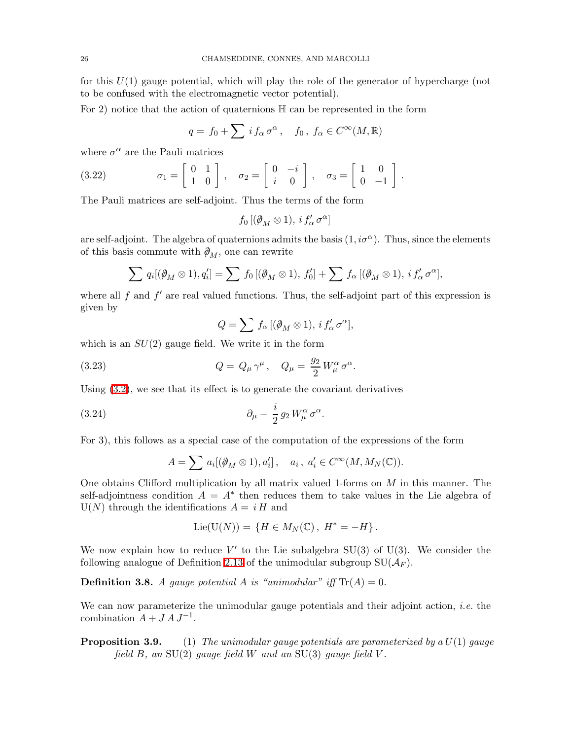for this  $U(1)$  gauge potential, which will play the role of the generator of hypercharge (not to be confused with the electromagnetic vector potential).

For 2) notice that the action of quaternions  $\mathbb H$  can be represented in the form

<span id="page-25-0"></span>
$$
q = f_0 + \sum i f_\alpha \sigma^\alpha, \quad f_0, f_\alpha \in C^\infty(M, \mathbb{R})
$$

where  $\sigma^{\alpha}$  are the Pauli matrices

(3.22) 
$$
\sigma_1 = \begin{bmatrix} 0 & 1 \\ 1 & 0 \end{bmatrix}, \quad \sigma_2 = \begin{bmatrix} 0 & -i \\ i & 0 \end{bmatrix}, \quad \sigma_3 = \begin{bmatrix} 1 & 0 \\ 0 & -1 \end{bmatrix}.
$$

The Pauli matrices are self-adjoint. Thus the terms of the form

$$
f_0\left[(\partial\!\!\!/_M \otimes 1), \, i\, f'_{\alpha}\,\sigma^{\alpha}\right]
$$

are self-adjoint. The algebra of quaternions admits the basis  $(1,i\sigma^{\alpha})$ . Thus, since the elements of this basis commute with  $\phi_M$ , one can rewrite

$$
\sum q_i [(\partial_M \otimes 1), q'_i] = \sum f_0 [(\partial_M \otimes 1), f'_0] + \sum f_\alpha [(\partial_M \otimes 1), i f'_\alpha \sigma^\alpha],
$$

where all  $f$  and  $f'$  are real valued functions. Thus, the self-adjoint part of this expression is given by

$$
Q = \sum f_{\alpha} [(\partial_M \otimes 1), i f'_{\alpha} \sigma^{\alpha}],
$$

which is an  $SU(2)$  gauge field. We write it in the form

(3.23) 
$$
Q = Q_{\mu} \gamma^{\mu}, \quad Q_{\mu} = \frac{g_2}{2} W^{\alpha}_{\mu} \sigma^{\alpha}.
$$

Using [\(3.2\)](#page-19-3), we see that its effect is to generate the covariant derivatives

(3.24) 
$$
\partial_{\mu} - \frac{i}{2} g_2 W^{\alpha}_{\mu} \sigma^{\alpha}.
$$

For 3), this follows as a special case of the computation of the expressions of the form

$$
A = \sum a_i [(\partial_M \otimes 1), a'_i], \quad a_i, a'_i \in C^{\infty}(M, M_N(\mathbb{C})).
$$

One obtains Clifford multiplication by all matrix valued 1-forms on  $M$  in this manner. The self-adjointness condition  $A = A^*$  then reduces them to take values in the Lie algebra of  $U(N)$  through the identifications  $A = iH$  and

$$
\mathrm{Lie}(\mathrm{U}(N)) = \{ H \in M_N(\mathbb{C}) \, , \; H^* = -H \} \, .
$$

We now explain how to reduce  $V'$  to the Lie subalgebra  $SU(3)$  of  $U(3)$ . We consider the following analogue of Definition [2.13](#page-9-4) of the unimodular subgroup  $SU(\mathcal{A}_F)$ .

**Definition 3.8.** A gauge potential A is "unimodular" iff  $\text{Tr}(A) = 0$ .

<span id="page-25-1"></span>We can now parameterize the unimodular gauge potentials and their adjoint action, *i.e.* the combination  $A + J A J^{-1}$ .

Proposition 3.9. (1) *The unimodular gauge potentials are parameterized by a* U(1) *gauge field* B*, an* SU(2) *gauge field* W *and an* SU(3) *gauge field* V *.*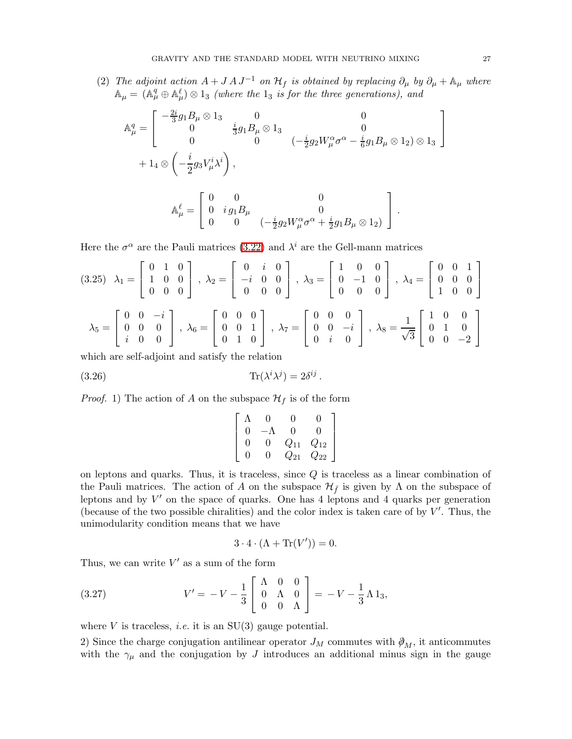(2) *The adjoint action*  $A + J A J^{-1}$  *on*  $H_f$  *is obtained by replacing*  $\partial_\mu$  *by*  $\partial_\mu + A_\mu$  *where*  $\mathbb{A}_{\mu} = (\mathbb{A}^q_{\mu} \oplus \mathbb{A}^{\ell}_{\mu}) \otimes 1_3$  *(where the* 1<sub>3</sub> *is for the three generations), and* 

$$
\mathbb{A}_{\mu}^{q} = \begin{bmatrix} -\frac{2i}{3}g_{1}B_{\mu} \otimes 1_{3} & 0 & 0 \\ 0 & \frac{i}{3}g_{1}B_{\mu} \otimes 1_{3} & 0 \\ 0 & 0 & (-\frac{i}{2}g_{2}W_{\mu}^{\alpha}\sigma^{\alpha} - \frac{i}{6}g_{1}B_{\mu} \otimes 1_{2}) \otimes 1_{3} \end{bmatrix} + 1_{4} \otimes \left( -\frac{i}{2}g_{3}V_{\mu}^{i}\lambda^{i} \right),
$$

<span id="page-26-2"></span>
$$
\mathbb{A}^{\ell}_{\mu} = \begin{bmatrix} 0 & 0 & 0 \\ 0 & i\,g_1 B_{\mu} & 0 \\ 0 & 0 & (-\frac{i}{2} g_2 W^{\alpha}_{\mu} \sigma^{\alpha} + \frac{i}{2} g_1 B_{\mu} \otimes 1_2) \end{bmatrix}.
$$

Here the  $\sigma^{\alpha}$  are the Pauli matrices [\(3.22\)](#page-25-0) and  $\lambda^{i}$  are the Gell-mann matrices

$$
(3.25) \ \lambda_1 = \begin{bmatrix} 0 & 1 & 0 \\ 1 & 0 & 0 \\ 0 & 0 & 0 \end{bmatrix}, \ \lambda_2 = \begin{bmatrix} 0 & i & 0 \\ -i & 0 & 0 \\ 0 & 0 & 0 \end{bmatrix}, \ \lambda_3 = \begin{bmatrix} 1 & 0 & 0 \\ 0 & -1 & 0 \\ 0 & 0 & 0 \end{bmatrix}, \ \lambda_4 = \begin{bmatrix} 0 & 0 & 1 \\ 0 & 0 & 0 \\ 1 & 0 & 0 \end{bmatrix}
$$

$$
\lambda_5 = \begin{bmatrix} 0 & 0 & -i \\ 0 & 0 & 0 \\ i & 0 & 0 \end{bmatrix}, \ \lambda_6 = \begin{bmatrix} 0 & 0 & 0 \\ 0 & 0 & 1 \\ 0 & 1 & 0 \end{bmatrix}, \ \lambda_7 = \begin{bmatrix} 0 & 0 & 0 \\ 0 & 0 & -i \\ 0 & i & 0 \end{bmatrix}, \ \lambda_8 = \frac{1}{\sqrt{3}} \begin{bmatrix} 1 & 0 & 0 \\ 0 & 1 & 0 \\ 0 & 0 & -2 \end{bmatrix}
$$

which are self-adjoint and satisfy the relation

(3.26) 
$$
\text{Tr}(\lambda^i \lambda^j) = 2\delta^{ij}.
$$

*Proof.* 1) The action of A on the subspace  $\mathcal{H}_f$  is of the form

<span id="page-26-1"></span>
$$
\left[\begin{array}{cccc}\n\Lambda & 0 & 0 & 0 \\
0 & -\Lambda & 0 & 0 \\
0 & 0 & Q_{11} & Q_{12} \\
0 & 0 & Q_{21} & Q_{22}\n\end{array}\right]
$$

on leptons and quarks. Thus, it is traceless, since Q is traceless as a linear combination of the Pauli matrices. The action of A on the subspace  $\mathcal{H}_{\bar{f}}$  is given by  $\Lambda$  on the subspace of leptons and by  $V'$  on the space of quarks. One has 4 leptons and 4 quarks per generation (because of the two possible chiralities) and the color index is taken care of by  $V'$ . Thus, the unimodularity condition means that we have

<span id="page-26-0"></span>
$$
3 \cdot 4 \cdot (\Lambda + \text{Tr}(V')) = 0.
$$

Thus, we can write  $V'$  as a sum of the form

(3.27) 
$$
V' = -V - \frac{1}{3} \begin{bmatrix} \Lambda & 0 & 0 \\ 0 & \Lambda & 0 \\ 0 & 0 & \Lambda \end{bmatrix} = -V - \frac{1}{3} \Lambda 1_3,
$$

where  $V$  is traceless, *i.e.* it is an  $SU(3)$  gauge potential.

2) Since the charge conjugation antilinear operator  $J_M$  commutes with  $\partial_M$ , it anticommutes with the  $\gamma_{\mu}$  and the conjugation by J introduces an additional minus sign in the gauge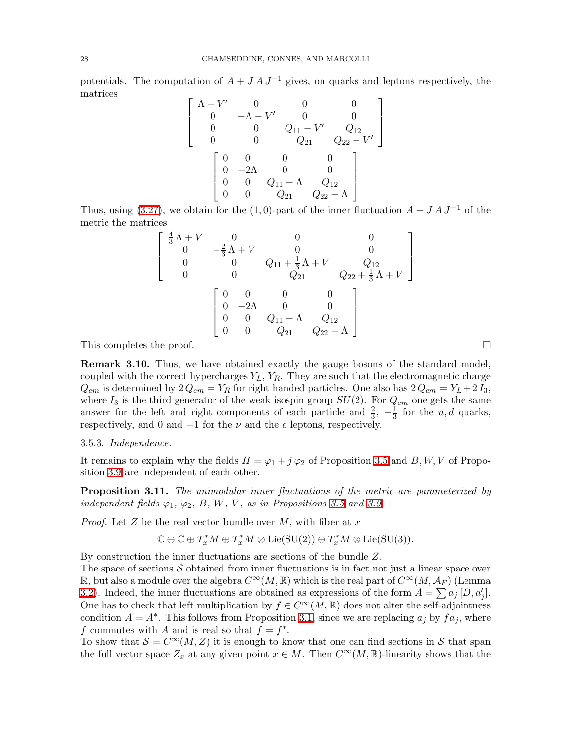potentials. The computation of  $A + J A J^{-1}$  gives, on quarks and leptons respectively, the matrices

$$
\left[\begin{array}{cccc} \Lambda-V' & 0 & 0 & 0 \\ 0 & -\Lambda-V' & 0 & 0 \\ 0 & 0 & Q_{11}-V' & Q_{12} \\ 0 & 0 & Q_{21} & Q_{22}-V' \end{array}\right]
$$

$$
\left[\begin{array}{cccc} 0 & 0 & 0 & 0 \\ 0 & -2\Lambda & 0 & 0 \\ 0 & 0 & Q_{11}-\Lambda & Q_{12} \\ 0 & 0 & Q_{21} & Q_{22}-\Lambda \end{array}\right]
$$

Thus, using [\(3.27\)](#page-26-0), we obtain for the (1,0)-part of the inner fluctuation  $A + J A J^{-1}$  of the metric the matrices

$$
\begin{bmatrix}\n\frac{4}{3}\Lambda + V & 0 & 0 & 0 \\
0 & -\frac{2}{3}\Lambda + V & 0 & 0 \\
0 & 0 & Q_{11} + \frac{1}{3}\Lambda + V & Q_{12} \\
0 & 0 & Q_{21} & Q_{22} + \frac{1}{3}\Lambda + V\n\end{bmatrix}
$$
\n
$$
\begin{bmatrix}\n0 & 0 & 0 & 0 \\
0 & -2\Lambda & 0 & 0 \\
0 & 0 & Q_{11} - \Lambda & Q_{12} \\
0 & 0 & Q_{21} & Q_{22} - \Lambda\n\end{bmatrix}
$$

This completes the proof.  $\Box$ 

Remark 3.10. Thus, we have obtained exactly the gauge bosons of the standard model, coupled with the correct hypercharges  $Y_L$ ,  $Y_R$ . They are such that the electromagnetic charge  $Q_{em}$  is determined by  $2 Q_{em} = Y_R$  for right handed particles. One also has  $2 Q_{em} = Y_L + 2 I_3$ , where  $I_3$  is the third generator of the weak isospin group  $SU(2)$ . For  $Q_{em}$  one gets the same answer for the left and right components of each particle and  $\frac{2}{3}$ ,  $-\frac{1}{3}$  $\frac{1}{3}$  for the  $u, d$  quarks, respectively, and 0 and  $-1$  for the  $\nu$  and the e leptons, respectively.

#### 3.5.3. *Independence.*

It remains to explain why the fields  $H = \varphi_1 + j \varphi_2$  of Proposition [3.5](#page-22-2) and B, W, V of Proposition [3.9](#page-25-1) are independent of each other.

Proposition 3.11. *The unimodular inner fluctuations of the metric are parameterized by independent fields*  $\varphi_1$ ,  $\varphi_2$ , B, W, V, as in Propositions [3.5](#page-22-2) and [3.9.](#page-25-1)

*Proof.* Let  $Z$  be the real vector bundle over  $M$ , with fiber at  $x$ 

$$
\mathbb{C} \oplus \mathbb{C} \oplus T_x^*M \oplus T_x^*M \otimes \mathrm{Lie}(\mathrm{SU}(2)) \oplus T_x^*M \otimes \mathrm{Lie}(\mathrm{SU}(3)).
$$

By construction the inner fluctuations are sections of the bundle Z.

The space of sections  $S$  obtained from inner fluctuations is in fact not just a linear space over R, but also a module over the algebra  $C^{\infty}(M,\mathbb{R})$  which is the real part of  $C^{\infty}(M,\mathcal{A}_F)$  (Lemma [3.2\)](#page-20-4). Indeed, the inner fluctuations are obtained as expressions of the form  $A = \sum a_j [D, a'_j]$ . One has to check that left multiplication by  $f \in C^{\infty}(M, \mathbb{R})$  does not alter the self-adjointness condition  $A = A^*$ . This follows from Proposition [3.1,](#page-19-5) since we are replacing  $a_j$  by  $fa_j$ , where f commutes with A and is real so that  $f = f^*$ .

To show that  $S = C^{\infty}(M, Z)$  it is enough to know that one can find sections in S that span the full vector space  $Z_x$  at any given point  $x \in M$ . Then  $C^{\infty}(M,\mathbb{R})$ -linearity shows that the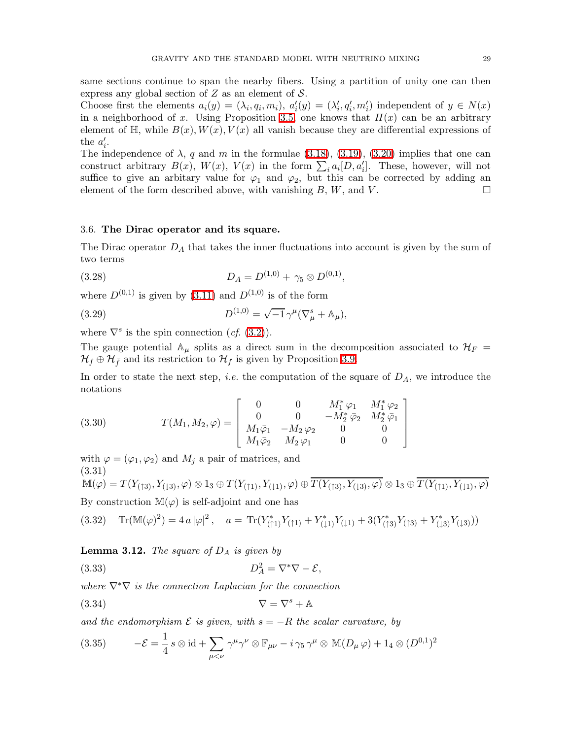same sections continue to span the nearby fibers. Using a partition of unity one can then express any global section of Z as an element of  $S$ .

Choose first the elements  $a_i(y) = (\lambda_i, q_i, m_i), a'_i(y) = (\lambda'_i, q'_i, m'_i)$  independent of  $y \in N(x)$ in a neighborhood of x. Using Proposition [3.5,](#page-22-2) one knows that  $H(x)$  can be an arbitrary element of H, while  $B(x)$ ,  $W(x)$ ,  $V(x)$  all vanish because they are differential expressions of the  $a'_i$ .

The independence of  $\lambda$ , q and m in the formulae [\(3.18\)](#page-24-1), [\(3.19\)](#page-24-2), [\(3.20\)](#page-24-3) implies that one can construct arbitrary  $B(x)$ ,  $W(x)$ ,  $V(x)$  in the form  $\sum_i a_i [D, a'_i]$ . These, however, will not suffice to give an arbitary value for  $\varphi_1$  and  $\varphi_2$ , but this can be corrected by adding an element of the form described above, with vanishing  $B, W$ , and  $V$ .

### <span id="page-28-0"></span>3.6. The Dirac operator and its square.

<span id="page-28-4"></span>The Dirac operator  $D_A$  that takes the inner fluctuations into account is given by the sum of two terms

(3.28) 
$$
D_A = D^{(1,0)} + \gamma_5 \otimes D^{(0,1)},
$$

where  $D^{(0,1)}$  is given by [\(3.11\)](#page-22-3) and  $D^{(1,0)}$  is of the form

(3.29) 
$$
D^{(1,0)} = \sqrt{-1} \gamma^{\mu} (\nabla_{\mu}^{s} + A_{\mu}),
$$

where  $\nabla^s$  is the spin connection (*cf.* [\(3.2\)](#page-19-3)).

The gauge potential  $A_\mu$  splits as a direct sum in the decomposition associated to  $\mathcal{H}_F$  =  $\mathcal{H}_f \oplus \mathcal{H}_{\bar{f}}$  and its restriction to  $\mathcal{H}_f$  is given by Proposition [3.9.](#page-25-1)

<span id="page-28-6"></span>In order to state the next step, *i.e.* the computation of the square of  $D_A$ , we introduce the notations

(3.30) 
$$
T(M_1, M_2, \varphi) = \begin{bmatrix} 0 & 0 & M_1^* \varphi_1 & M_1^* \varphi_2 \\ 0 & 0 & -M_2^* \bar{\varphi}_2 & M_2^* \bar{\varphi}_1 \\ M_1 \bar{\varphi}_1 & -M_2 \varphi_2 & 0 & 0 \\ M_1 \bar{\varphi}_2 & M_2 \varphi_1 & 0 & 0 \end{bmatrix}
$$

<span id="page-28-5"></span>with  $\varphi = (\varphi_1, \varphi_2)$  and  $M_j$  a pair of matrices, and (3.31)

<span id="page-28-3"></span>
$$
\mathbb{M}(\varphi) = T(Y_{(13)}, Y_{(13)}, \varphi) \otimes 1_3 \oplus T(Y_{(11)}, Y_{(11)}, \varphi) \oplus \overline{T(Y_{(13)}, Y_{(13)}, \varphi)} \otimes 1_3 \oplus \overline{T(Y_{(11)}, Y_{(11)}, \varphi)}
$$

By construction  $\mathbb{M}(\varphi)$  is self-adjoint and one has

$$
(3.32) \quad \text{Tr}(\mathbb{M}(\varphi)^2) = 4 \, a \, |\varphi|^2 \,, \quad a = \text{Tr}(Y_{(11)}^* Y_{(11)} + Y_{(11)}^* Y_{(11)} + 3(Y_{(13)}^* Y_{(13)} + Y_{(13)}^* Y_{(13)}))
$$

<span id="page-28-2"></span>Lemma 3.12. *The square of* D<sup>A</sup> *is given by*

$$
(3.33)\t\t D_A^2 = \nabla^* \nabla - \mathcal{E},
$$

*where* ∇∗∇ *is the connection Laplacian for the connection*

<span id="page-28-1"></span>
$$
\nabla = \nabla^s + \mathbb{A}
$$

*and the endomorphism*  $\mathcal E$  *is given, with*  $s = -R$  *the scalar curvature, by* 

(3.35) 
$$
-\mathcal{E} = \frac{1}{4} s \otimes id + \sum_{\mu < \nu} \gamma^{\mu} \gamma^{\nu} \otimes \mathbb{F}_{\mu\nu} - i \gamma_5 \gamma^{\mu} \otimes \mathbb{M}(D_{\mu} \varphi) + 1_4 \otimes (D^{0,1})^2
$$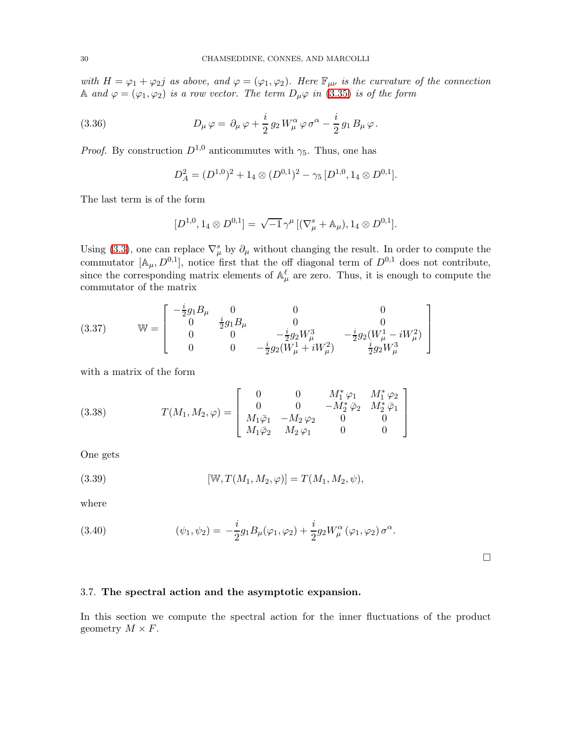*with*  $H = \varphi_1 + \varphi_2 j$  *as above, and*  $\varphi = (\varphi_1, \varphi_2)$ *. Here*  $\mathbb{F}_{\mu\nu}$  *is the curvature of the connection* A and  $\varphi = (\varphi_1, \varphi_2)$  *is a row vector. The term*  $D_\mu \varphi$  *in* [\(3.35\)](#page-28-1) *is of the form* 

(3.36) 
$$
D_{\mu}\varphi = \partial_{\mu}\varphi + \frac{i}{2} g_2 W^{\alpha}_{\mu}\varphi \sigma^{\alpha} - \frac{i}{2} g_1 B_{\mu}\varphi.
$$

*Proof.* By construction  $D^{1,0}$  anticommutes with  $\gamma_5$ . Thus, one has

<span id="page-29-1"></span>
$$
D_A^2 = (D^{1,0})^2 + 1_4 \otimes (D^{0,1})^2 - \gamma_5 [D^{1,0}, 1_4 \otimes D^{0,1}].
$$

The last term is of the form

$$
[D^{1,0}, 1_4 \otimes D^{0,1}] = \sqrt{-1} \gamma^{\mu} \left[ (\nabla_{\mu}^s + A_{\mu}), 1_4 \otimes D^{0,1} \right].
$$

Using [\(3.3\)](#page-19-4), one can replace  $\nabla^s_\mu$  by  $\partial_\mu$  without changing the result. In order to compute the commutator  $[A_\mu, D^{0,1}]$ , notice first that the off diagonal term of  $D^{0,1}$  does not contribute, since the corresponding matrix elements of  $\mathbb{A}^{\ell}_{\mu}$  are zero. Thus, it is enough to compute the commutator of the matrix

(3.37) 
$$
\mathbb{W} = \begin{bmatrix} -\frac{i}{2}g_1 B_\mu & 0 & 0 & 0 \\ 0 & \frac{i}{2}g_1 B_\mu & 0 & 0 \\ 0 & 0 & -\frac{i}{2}g_2 W_\mu^3 & -\frac{i}{2}g_2 (W_\mu^1 - iW_\mu^2) \\ 0 & 0 & -\frac{i}{2}g_2 (W_\mu^1 + iW_\mu^2) & \frac{i}{2}g_2 W_\mu^3 \end{bmatrix}
$$

with a matrix of the form

(3.38) 
$$
T(M_1, M_2, \varphi) = \begin{bmatrix} 0 & 0 & M_1^* \varphi_1 & M_1^* \varphi_2 \\ 0 & 0 & -M_2^* \bar{\varphi}_2 & M_2^* \bar{\varphi}_1 \\ M_1 \bar{\varphi}_1 & -M_2 \varphi_2 & 0 & 0 \\ M_1 \bar{\varphi}_2 & M_2 \varphi_1 & 0 & 0 \end{bmatrix}
$$

One gets

(3.39) 
$$
[\mathbb{W}, T(M_1, M_2, \varphi)] = T(M_1, M_2, \psi),
$$

where

(3.40) 
$$
(\psi_1, \psi_2) = -\frac{i}{2}g_1 B_\mu(\varphi_1, \varphi_2) + \frac{i}{2}g_2 W_\mu^\alpha(\varphi_1, \varphi_2) \sigma^\alpha.
$$

 $\Box$ 

### <span id="page-29-0"></span>3.7. The spectral action and the asymptotic expansion.

<span id="page-29-2"></span>In this section we compute the spectral action for the inner fluctuations of the product geometry  $M \times F$ .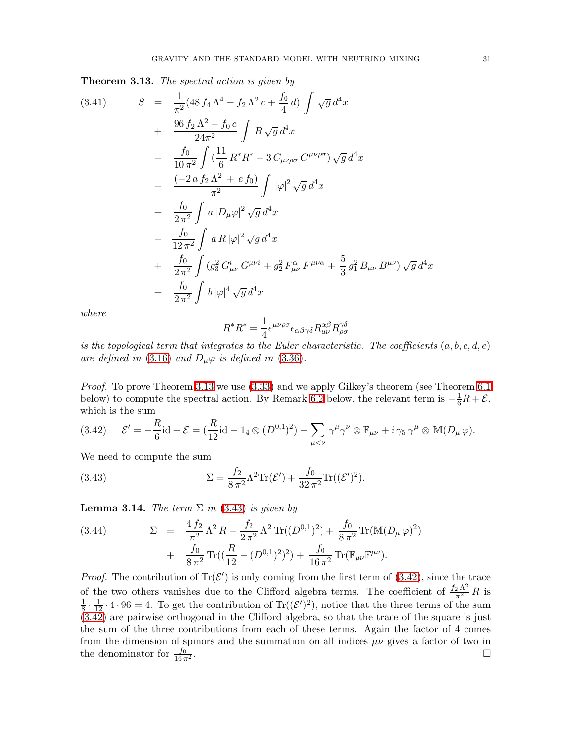Theorem 3.13. *The spectral action is given by*

<span id="page-30-3"></span>
$$
(3.41) \qquad S = \frac{1}{\pi^2} (48 f_4 \Lambda^4 - f_2 \Lambda^2 c + \frac{f_0}{4} d) \int \sqrt{g} d^4 x
$$
  
+ 
$$
\frac{96 f_2 \Lambda^2 - f_0 c}{24 \pi^2} \int R \sqrt{g} d^4 x
$$
  
+ 
$$
\frac{f_0}{10 \pi^2} \int (\frac{11}{6} R^* R^* - 3 C_{\mu\nu\rho\sigma} C^{\mu\nu\rho\sigma}) \sqrt{g} d^4 x
$$
  
+ 
$$
\frac{(-2 a f_2 \Lambda^2 + e f_0)}{\pi^2} \int |\varphi|^2 \sqrt{g} d^4 x
$$
  
+ 
$$
\frac{f_0}{2 \pi^2} \int a |D_\mu \varphi|^2 \sqrt{g} d^4 x
$$
  
- 
$$
\frac{f_0}{12 \pi^2} \int a R |\varphi|^2 \sqrt{g} d^4 x
$$
  
+ 
$$
\frac{f_0}{2 \pi^2} \int (g_3^2 G_{\mu\nu}^i G^{\mu\nu i} + g_2^2 F_{\mu\nu}^\alpha F^{\mu\nu\alpha} + \frac{5}{3} g_1^2 B_{\mu\nu} B^{\mu\nu}) \sqrt{g} d^4 x
$$
  
+ 
$$
\frac{f_0}{2 \pi^2} \int b |\varphi|^4 \sqrt{g} d^4 x
$$

*where*

$$
R^* R^* = \frac{1}{4} \epsilon^{\mu\nu\rho\sigma} \epsilon_{\alpha\beta\gamma\delta} R^{\alpha\beta}_{\mu\nu} R^{\gamma\delta}_{\rho\sigma}
$$

*is the topological term that integrates to the Euler characteristic. The coefficients*  $(a, b, c, d, e)$ *are defined in* [\(3.16\)](#page-24-0) *and*  $D_{\mu}\varphi$  *is defined in* [\(3.36\)](#page-29-1).

<span id="page-30-1"></span>*Proof.* To prove Theorem [3.13](#page-29-2) we use  $(3.33)$  and we apply Gilkey's theorem (see Theorem [6.1](#page-67-1)) below) to compute the spectral action. By Remark [6.2](#page-67-2) below, the relevant term is  $-\frac{1}{6}R + \mathcal{E}$ , which is the sum

$$
(3.42) \qquad \mathcal{E}' = -\frac{R}{6} \mathrm{id} + \mathcal{E} = (\frac{R}{12} \mathrm{id} - 1_4 \otimes (D^{0,1})^2) - \sum_{\mu < \nu} \gamma^{\mu} \gamma^{\nu} \otimes \mathbb{F}_{\mu\nu} + i \gamma_5 \gamma^{\mu} \otimes \mathbb{M}(D_{\mu} \varphi).
$$

<span id="page-30-0"></span>We need to compute the sum

(3.43) 
$$
\Sigma = \frac{f_2}{8 \pi^2} \Lambda^2 \text{Tr}(\mathcal{E}') + \frac{f_0}{32 \pi^2} \text{Tr}((\mathcal{E}')^2).
$$

**Lemma 3.14.** *The term*  $\Sigma$  *in* [\(3.43\)](#page-30-0) *is given by* 

<span id="page-30-2"></span>(3.44) 
$$
\Sigma = \frac{4 f_2}{\pi^2} \Lambda^2 R - \frac{f_2}{2 \pi^2} \Lambda^2 \text{Tr}((D^{0,1})^2) + \frac{f_0}{8 \pi^2} \text{Tr}(\mathbb{M}(D_\mu \varphi)^2) + \frac{f_0}{8 \pi^2} \text{Tr}((\frac{R}{12} - (D^{0,1})^2)^2) + \frac{f_0}{16 \pi^2} \text{Tr}(\mathbb{F}_{\mu\nu} \mathbb{F}^{\mu\nu}).
$$

*Proof.* The contribution of  $\text{Tr}(\mathcal{E}')$  is only coming from the first term of [\(3.42\)](#page-30-1), since the trace of the two others vanishes due to the Clifford algebra terms. The coefficient of  $\frac{f_2 \Lambda^2}{\pi^2} R$  is 1  $\frac{1}{8} \cdot \frac{1}{12} \cdot 4 \cdot 96 = 4$ . To get the contribution of Tr( $(\mathcal{E}')^2$ ), notice that the three terms of the sum [\(3.42\)](#page-30-1) are pairwise orthogonal in the Clifford algebra, so that the trace of the square is just the sum of the three contributions from each of these terms. Again the factor of 4 comes from the dimension of spinors and the summation on all indices  $\mu\nu$  gives a factor of two in the denominator for  $\frac{f_0}{16\pi^2}$ .  $\frac{f_0}{16 \pi^2}$ .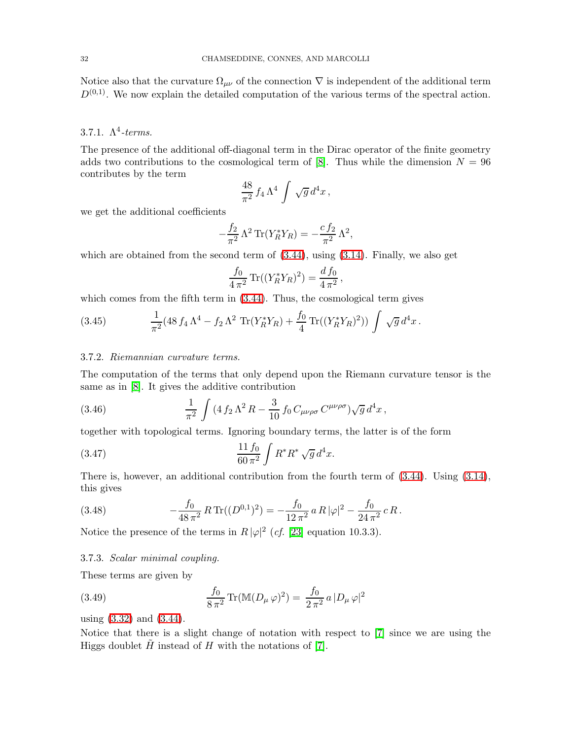Notice also that the curvature  $\Omega_{\mu\nu}$  of the connection  $\nabla$  is independent of the additional term  $D^{(0,1)}$ . We now explain the detailed computation of the various terms of the spectral action.

## $3.7.1.$   $Λ<sup>4</sup>$ -terms.

The presence of the additional off-diagonal term in the Dirac operator of the finite geometry adds two contributions to the cosmological term of [\[8\]](#page-69-4). Thus while the dimension  $N = 96$ contributes by the term

$$
\frac{48}{\pi^2} f_4 \Lambda^4 \, \int \, \sqrt{g} \, d^4x \, ,
$$

we get the additional coefficients

$$
-\frac{f_2}{\pi^2} \Lambda^2 \text{Tr}(Y_R^* Y_R) = -\frac{c f_2}{\pi^2} \Lambda^2,
$$

which are obtained from the second term of  $(3.44)$ , using  $(3.14)$ . Finally, we also get

<span id="page-31-0"></span>
$$
\frac{f_0}{4\pi^2} \operatorname{Tr}((Y_R^* Y_R)^2) = \frac{d f_0}{4\pi^2},
$$

which comes from the fifth term in  $(3.44)$ . Thus, the cosmological term gives

(3.45) 
$$
\frac{1}{\pi^2} (48 f_4 \Lambda^4 - f_2 \Lambda^2 \operatorname{Tr}(Y_R^* Y_R) + \frac{f_0}{4} \operatorname{Tr}((Y_R^* Y_R)^2)) \int \sqrt{g} d^4x.
$$

#### 3.7.2. *Riemannian curvature terms.*

The computation of the terms that only depend upon the Riemann curvature tensor is the same as in [\[8\]](#page-69-4). It gives the additive contribution

(3.46) 
$$
\frac{1}{\pi^2} \int (4 f_2 \Lambda^2 R - \frac{3}{10} f_0 C_{\mu\nu\rho\sigma} C^{\mu\nu\rho\sigma}) \sqrt{g} d^4x,
$$

together with topological terms. Ignoring boundary terms, the latter is of the form

(3.47) 
$$
\frac{11 f_0}{60 \pi^2} \int R^* R^* \sqrt{g} d^4 x.
$$

There is, however, an additional contribution from the fourth term of [\(3.44\)](#page-30-2). Using [\(3.14\)](#page-23-0), this gives

(3.48) 
$$
-\frac{f_0}{48 \pi^2} R \text{Tr}((D^{0,1})^2) = -\frac{f_0}{12 \pi^2} a R |\varphi|^2 - \frac{f_0}{24 \pi^2} c R.
$$

Notice the presence of the terms in  $R |\varphi|^2$  (*cf.* [\[23\]](#page-69-6) equation 10.3.3).

#### 3.7.3. *Scalar minimal coupling.*

These terms are given by

(3.49) 
$$
\frac{f_0}{8 \pi^2} \text{Tr}(\mathbb{M}(D_\mu \varphi)^2) = \frac{f_0}{2 \pi^2} a |D_\mu \varphi|^2
$$

using [\(3.32\)](#page-28-3) and [\(3.44\)](#page-30-2).

Notice that there is a slight change of notation with respect to [\[7\]](#page-69-19) since we are using the Higgs doublet  $\tilde{H}$  instead of H with the notations of [\[7\]](#page-69-19).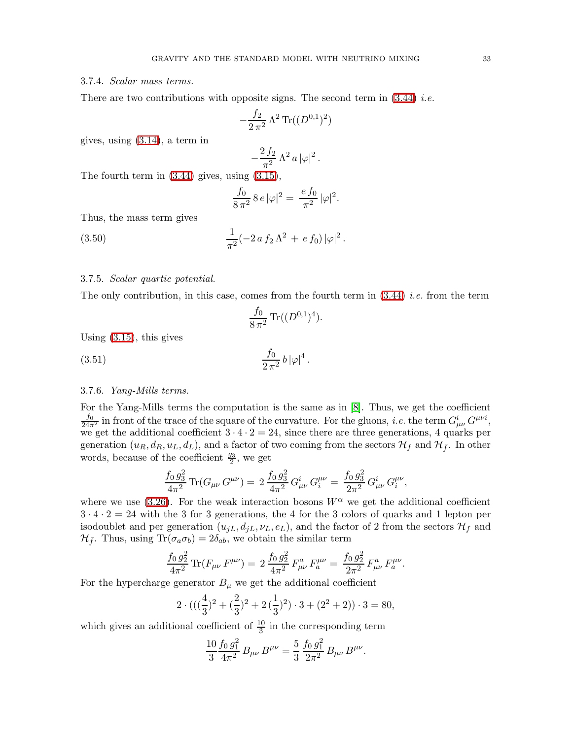### 3.7.4. *Scalar mass terms.*

There are two contributions with opposite signs. The second term in [\(3.44\)](#page-30-2) *i.e.*

$$
-\frac{f_2}{2\,\pi^2}\,\Lambda^2\,\text{Tr}((D^{0,1})^2)
$$

gives, using [\(3.14\)](#page-23-0), a term in

$$
-\frac{2\,f_2}{\pi^2}\,\Lambda^2\,a\,|\varphi|^2\,.
$$

The fourth term in [\(3.44\)](#page-30-2) gives, using [\(3.15\)](#page-23-1),

$$
\frac{f_0}{8\,\pi^2} \, 8\,e\,|\varphi|^2 = \frac{e\,f_0}{\pi^2}\,|\varphi|^2.
$$

Thus, the mass term gives

(3.50) 
$$
\frac{1}{\pi^2}(-2 a f_2 \Lambda^2 + e f_0) |\varphi|^2.
$$

### 3.7.5. *Scalar quartic potential.*

The only contribution, in this case, comes from the fourth term in [\(3.44\)](#page-30-2) *i.e.* from the term

.

$$
\frac{f_0}{8\,\pi^2}\,\text{Tr}((D^{0,1})^4).
$$

Using [\(3.15\)](#page-23-1), this gives

(3.51) 
$$
\frac{f_0}{2\,\pi^2} \, b \, |\varphi|^4
$$

#### 3.7.6. *Yang-Mills terms.*

For the Yang-Mills terms the computation is the same as in [\[8\]](#page-69-4). Thus, we get the coefficient  $\frac{f_0}{24\pi^2}$  in front of the trace of the square of the curvature. For the gluons, *i.e.* the term  $G_{\mu\nu}^i G^{\mu\nu i}$ , we get the additional coefficient  $3 \cdot 4 \cdot 2 = 24$ , since there are three generations, 4 quarks per generation  $(u_R, d_R, u_L, d_L)$ , and a factor of two coming from the sectors  $\mathcal{H}_f$  and  $\mathcal{H}_{\bar{f}}$ . In other words, because of the coefficient  $\frac{g_3}{2}$ , we get

$$
\frac{f_0 g_3^2}{4\pi^2} \, \text{Tr}(G_{\mu\nu} \, G^{\mu\nu}) = 2 \, \frac{f_0 \, g_3^2}{4\pi^2} \, G_{\mu\nu}^i \, G_i^{\mu\nu} = \frac{f_0 \, g_3^2}{2\pi^2} \, G_{\mu\nu}^i \, G_i^{\mu\nu},
$$

where we use [\(3.26\)](#page-26-1). For the weak interaction bosons  $W^{\alpha}$  we get the additional coefficient  $3 \cdot 4 \cdot 2 = 24$  with the 3 for 3 generations, the 4 for the 3 colors of quarks and 1 lepton per isodoublet and per generation  $(u_{jL}, d_{jL}, \nu_L, e_L)$ , and the factor of 2 from the sectors  $\mathcal{H}_f$  and  $\mathcal{H}_{\bar{f}}$ . Thus, using  $\text{Tr}(\sigma_a \sigma_b) = 2\delta_{ab}$ , we obtain the similar term

$$
\frac{f_0 g_2^2}{4\pi^2} \text{Tr}(F_{\mu\nu} F^{\mu\nu}) = 2 \frac{f_0 g_2^2}{4\pi^2} F_{\mu\nu}^a F_a^{\mu\nu} = \frac{f_0 g_2^2}{2\pi^2} F_{\mu\nu}^a F_a^{\mu\nu}.
$$

For the hypercharge generator  $B_{\mu}$  we get the additional coefficient

$$
2 \cdot \left( \left( \left( \frac{4}{3} \right)^2 + \left( \frac{2}{3} \right)^2 + 2 \left( \frac{1}{3} \right)^2 \right) \cdot 3 + \left( 2^2 + 2 \right) \right) \cdot 3 = 80,
$$

which gives an additional coefficient of  $\frac{10}{3}$  in the corresponding term

$$
\frac{10}{3} \frac{f_0 g_1^2}{4\pi^2} B_{\mu\nu} B^{\mu\nu} = \frac{5}{3} \frac{f_0 g_1^2}{2\pi^2} B_{\mu\nu} B^{\mu\nu}.
$$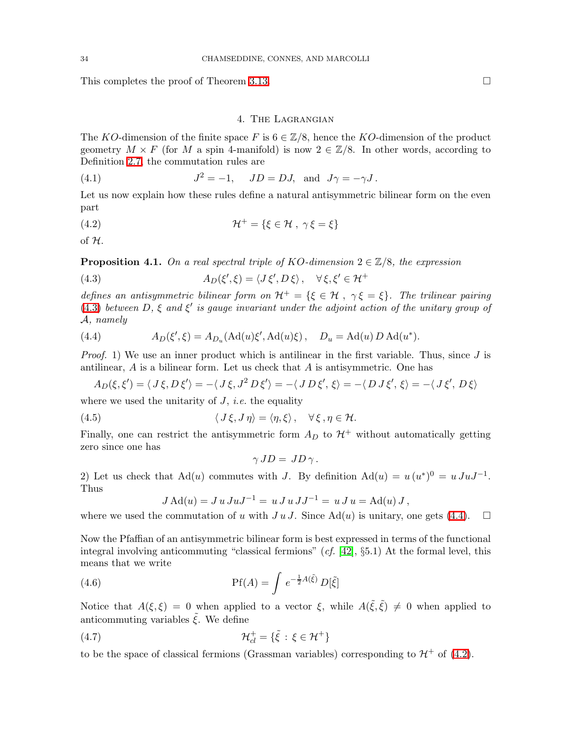<span id="page-33-0"></span>This completes the proof of Theorem [3.13.](#page-29-2)

### <span id="page-33-1"></span>4. The Lagrangian

The KO-dimension of the finite space F is  $6 \in \mathbb{Z}/8$ , hence the KO-dimension of the product geometry  $M \times F$  (for M a spin 4-manifold) is now  $2 \in \mathbb{Z}/8$ . In other words, according to Definition [2.7,](#page-6-1) the commutation rules are

(4.1) 
$$
J^2 = -1
$$
,  $JD = DJ$ , and  $J\gamma = -\gamma J$ .

<span id="page-33-3"></span>Let us now explain how these rules define a natural antisymmetric bilinear form on the even part

(4.2) 
$$
\mathcal{H}^+ = \{\xi \in \mathcal{H}, \ \gamma \xi = \xi\}
$$

<span id="page-33-4"></span>of H.

**Proposition 4.1.** *On a real spectral triple of KO-dimension*  $2 \in \mathbb{Z}/8$ *, the expression* 

(4.3) 
$$
A_D(\xi',\xi) = \langle J\xi', D\xi \rangle, \quad \forall \xi, \xi' \in \mathcal{H}^+
$$

<span id="page-33-2"></span>*defines an antisymmetric bilinear form on*  $\mathcal{H}^+=\{\xi \in \mathcal{H}, \gamma \xi = \xi\}$ *. The trilinear pairing* [\(4.3\)](#page-33-1) *between* D*,* ξ *and* ξ ′ *is gauge invariant under the adjoint action of the unitary group of* A*, namely*

(4.4) 
$$
A_D(\xi', \xi) = A_{D_u}(\text{Ad}(u)\xi', \text{Ad}(u)\xi), \quad D_u = \text{Ad}(u) D \text{Ad}(u^*).
$$

*Proof.* 1) We use an inner product which is antilinear in the first variable. Thus, since J is antilinear, A is a bilinear form. Let us check that A is antisymmetric. One has

$$
A_D(\xi, \xi') = \langle J\xi, D\xi' \rangle = -\langle J\xi, J^2 D\xi' \rangle = -\langle J D\xi', \xi \rangle = -\langle D J\xi', \xi \rangle = -\langle J\xi', D\xi \rangle
$$

where we used the unitarity of J, *i.e.* the equality

(4.5) 
$$
\langle J\xi, J\eta\rangle = \langle \eta, \xi\rangle, \quad \forall \xi, \eta \in \mathcal{H}.
$$

Finally, one can restrict the antisymmetric form  $A_D$  to  $\mathcal{H}^+$  without automatically getting zero since one has

$$
\gamma JD = JD \gamma.
$$

2) Let us check that Ad(u) commutes with J. By definition  $\text{Ad}(u) = u(u^*)^0 = u \text{J} u \text{J}^{-1}$ . Thus

$$
J \operatorname{Ad}(u) = J u J u J^{-1} = u J u J J^{-1} = u J u = \operatorname{Ad}(u) J,
$$

where we used the commutation of u with  $J u J$ . Since Ad(u) is unitary, one gets [\(4.4\)](#page-33-2).  $\square$ 

Now the Pfaffian of an antisymmetric bilinear form is best expressed in terms of the functional integral involving anticommuting "classical fermions" (*cf.* [\[42\]](#page-70-4), §5.1) At the formal level, this means that we write

(4.6) 
$$
\text{Pf}(A) = \int e^{-\frac{1}{2}A(\tilde{\xi})} D[\tilde{\xi}]
$$

<span id="page-33-5"></span>Notice that  $A(\xi,\xi) = 0$  when applied to a vector  $\xi$ , while  $A(\tilde{\xi},\tilde{\xi}) \neq 0$  when applied to anticommuting variables  $\xi$ . We define

$$
\mathcal{H}_{cl}^+ = \{ \tilde{\xi} \, : \, \xi \in \mathcal{H}^+ \}
$$

to be the space of classical fermions (Grassman variables) corresponding to  $\mathcal{H}^+$  of [\(4.2\)](#page-33-3).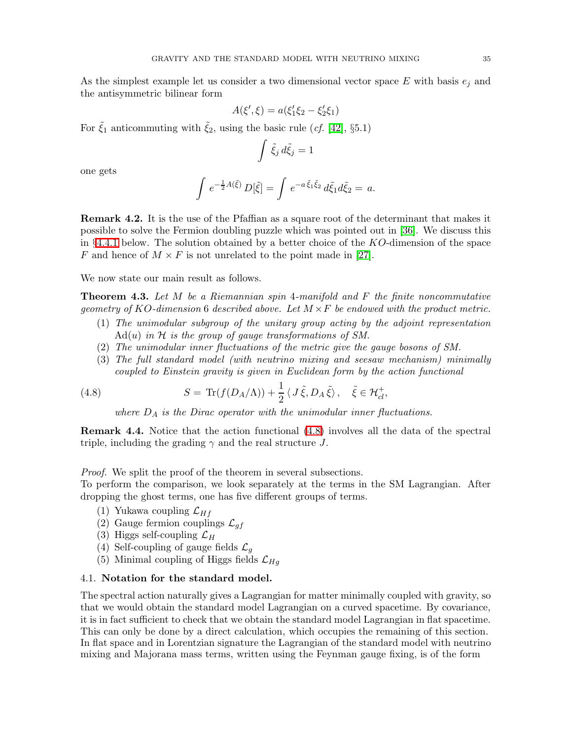As the simplest example let us consider a two dimensional vector space  $E$  with basis  $e_j$  and the antisymmetric bilinear form

$$
A(\xi', \xi) = a(\xi'_1 \xi_2 - \xi'_2 \xi_1)
$$

For  $\tilde{\xi}_1$  anticommuting with  $\tilde{\xi}_2$ , using the basic rule (*cf.* [\[42\]](#page-70-4), §5.1)

<span id="page-34-1"></span>
$$
\int \tilde{\xi}_j \, d\tilde{\xi}_j = 1
$$

one gets

$$
\int e^{-\frac{1}{2}A(\tilde{\xi})} D[\tilde{\xi}] = \int e^{-a\tilde{\xi}_1\tilde{\xi}_2} d\tilde{\xi}_1 d\tilde{\xi}_2 = a.
$$

Remark 4.2. It is the use of the Pfaffian as a square root of the determinant that makes it possible to solve the Fermion doubling puzzle which was pointed out in [\[36\]](#page-70-5). We discuss this in §[4.4.1](#page-44-0) below. The solution obtained by a better choice of the KO-dimension of the space F and hence of  $M \times F$  is not unrelated to the point made in [\[27\]](#page-69-20).

<span id="page-34-2"></span>We now state our main result as follows.

Theorem 4.3. *Let* M *be a Riemannian spin* 4*-manifold and* F *the finite noncommutative geometry of* KO*-dimension* 6 *described above. Let* M ×F *be endowed with the product metric.*

- (1) *The unimodular subgroup of the unitary group acting by the adjoint representation*  $\text{Ad}(u)$  *in*  $H$  *is the group of gauge transformations of SM.*
- (2) *The unimodular inner fluctuations of the metric give the gauge bosons of SM.*
- (3) *The full standard model (with neutrino mixing and seesaw mechanism) minimally coupled to Einstein gravity is given in Euclidean form by the action functional*

(4.8) 
$$
S = \text{Tr}(f(D_A/\Lambda)) + \frac{1}{2} \langle J\tilde{\xi}, D_A\tilde{\xi} \rangle, \quad \tilde{\xi} \in \mathcal{H}_{cl}^+,
$$

*where* D<sup>A</sup> *is the Dirac operator with the unimodular inner fluctuations.*

Remark 4.4. Notice that the action functional [\(4.8\)](#page-34-1) involves all the data of the spectral triple, including the grading  $\gamma$  and the real structure J.

*Proof.* We split the proof of the theorem in several subsections.

To perform the comparison, we look separately at the terms in the SM Lagrangian. After dropping the ghost terms, one has five different groups of terms.

- (1) Yukawa coupling  $\mathcal{L}_{Hf}$
- (2) Gauge fermion couplings  $\mathcal{L}_{qf}$
- (3) Higgs self-coupling  $\mathcal{L}_H$
- (4) Self-coupling of gauge fields  $\mathcal{L}_q$
- (5) Minimal coupling of Higgs fields  $\mathcal{L}_{Ha}$

#### <span id="page-34-0"></span>4.1. Notation for the standard model.

The spectral action naturally gives a Lagrangian for matter minimally coupled with gravity, so that we would obtain the standard model Lagrangian on a curved spacetime. By covariance, it is in fact sufficient to check that we obtain the standard model Lagrangian in flat spacetime. This can only be done by a direct calculation, which occupies the remaining of this section. In flat space and in Lorentzian signature the Lagrangian of the standard model with neutrino mixing and Majorana mass terms, written using the Feynman gauge fixing, is of the form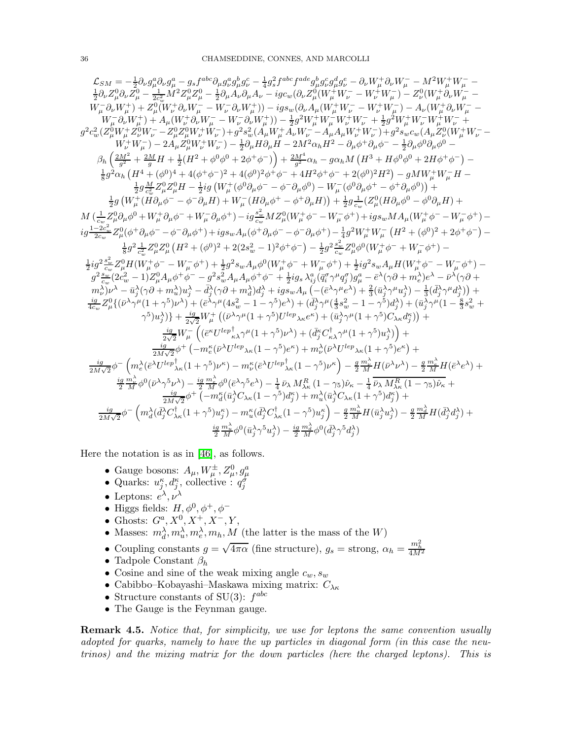$$
\begin{array}{l} {\cal L}_{SM}=-\frac{1}{2}\partial_{\nu}g_{\mu}^{a}\partial_{\nu}g_{\mu}^{a}-g_{s}f^{abc}\partial_{\mu}g_{\nu}^{a}\partial_{\nu}^{a}-\frac{1}{4}g_{s}^{2}f^{abc}f^{ade}g_{\mu}^{b}g_{\nu}^{c}g_{\mu}^{d}\partial_{\nu}^{a}-\partial_{\nu}W_{\mu}^{+}\partial_{\nu}W_{\mu}^{-}-M^{2}W_{\mu}^{+}W_{\mu}^{-}-\\ \frac{1}{2}\partial_{\nu}Z_{\mu}^{0}\partial_{\nu}Z_{\mu}^{0}-\frac{1}{2c_{\mu}^{2}}M^{2}Z_{\mu}^{0}Z_{\mu}^{0}-\frac{1}{2}\partial_{\mu}A_{\nu}\partial_{\mu}A_{\nu}-ig_{C_{w}}(\partial_{\nu}Z_{\mu}^{0}(W_{\mu}^{+}W_{\nu}^{-}-W_{\nu}^{+}W_{\mu}^{-})-Z_{\nu}^{0}(W_{\mu}^{+}\partial_{\nu}W_{\mu}^{-}-W_{\mu}^{-} \partial_{\nu}W_{\mu}^{+})-ig_{S_{w}}(\partial_{\nu}A_{\mu}^{+}W_{\mu}^{+}W_{\nu}^{-}+W_{\nu}^{+}W_{\mu}^{-})-A_{\nu}(W_{\mu}^{+}\partial_{\nu}W_{\mu}^{-}-W_{\mu}^{-} \partial_{\nu}W_{\mu}^{+})-ig_{S_{w}}(\partial_{\nu}A_{\mu}^{+}W_{\mu}^{+}W_{\nu}^{-}+W_{\nu}^{+}W_{\mu}^{-})-A_{\nu}(W_{\mu}^{+}\partial_{\nu}W_{\mu}^{-}-W_{\mu}^{-} \partial_{\nu}W_{\mu}^{+}W_{\mu}^{-})-A_{\nu}(W_{\mu}^{+}W_{\mu}^{-}+Z_{\mu}^{0}W_{\mu}^{+}W_{\mu}^{-})-2g_{\nu}Z_{\mu}^{0}W_{\mu}^{+}W_{\mu}^{-}+2g_{\nu}Z_{\mu}^{0}W_{\mu}^{+}W_{\mu}^{-}+2g_{\nu}Z_{\mu}^{0}W_{\mu}^{+}W_{\nu}^{-}+2g_{\nu}Z_{\mu}^{0}W_{\mu}^{+}W_{\mu}^{-}+2g_{\nu}Z_{\mu}^{0}W_{\mu}
$$

Here the notation is as in [\[46\]](#page-70-6), as follows.

- 
- Gauge bosons:  $A_{\mu}, W_{\mu}^{\pm}, Z_{\mu}^0, g_{\mu}^a$ <br>• Quarks:  $u_j^{\kappa}, d_j^{\kappa}$ , collective :  $q_j^{\sigma}$
- Leptons:  $e^{\lambda}, \nu^{\lambda}$
- Higgs fields:  $H, \phi^0, \phi^+, \phi^-$
- Ghosts:  $G^a, X^0, X^+, X^-, Y,$
- Masses:  $m_d^{\lambda}, m_u^{\lambda}, m_e^{\lambda}, m_h, M$  (the latter is the mass of the W)
- Coupling constants  $g = \sqrt{4\pi\alpha}$  (fine structure),  $g_s =$  strong,  $\alpha_h = \frac{m_h^2}{4M^2}$
- Tadpole Constant  $\beta_h$
- Cosine and sine of the weak mixing angle  $c_w, s_w$
- Cabibbo–Kobayashi–Maskawa mixing matrix:  $C_{\lambda\kappa}$
- Structure constants of SU(3):  $f^{abc}$
- The Gauge is the Feynman gauge.

Remark 4.5. *Notice that, for simplicity, we use for leptons the same convention usually adopted for quarks, namely to have the up particles in diagonal form (in this case the neutrinos) and the mixing matrix for the down particles (here the charged leptons). This is*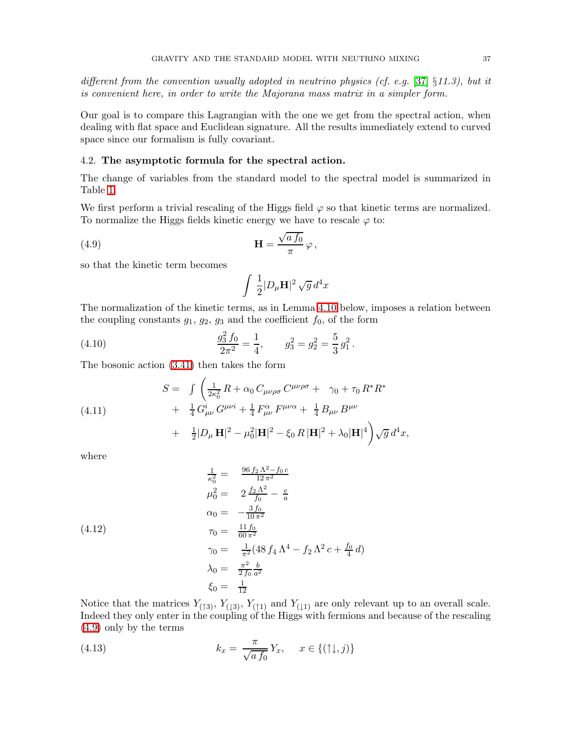*different from the convention usually adopted in neutrino physics (cf. e.g.* [\[37\]](#page-70-1) §*11.3), but it is convenient here, in order to write the Majorana mass matrix in a simpler form.*

Our goal is to compare this Lagrangian with the one we get from the spectral action, when dealing with flat space and Euclidean signature. All the results immediately extend to curved space since our formalism is fully covariant.

#### <span id="page-36-0"></span>4.2. The asymptotic formula for the spectral action.

The change of variables from the standard model to the spectral model is summarized in Table [1.](#page-37-0)

We first perform a trivial rescaling of the Higgs field  $\varphi$  so that kinetic terms are normalized. To normalize the Higgs fields kinetic energy we have to rescale  $\varphi$  to:

(4.9) 
$$
\mathbf{H} = \frac{\sqrt{a f_0}}{\pi} \varphi,
$$

so that the kinetic term becomes

<span id="page-36-4"></span><span id="page-36-1"></span>
$$
\int \frac{1}{2} |D_{\mu} \mathbf{H}|^2 \sqrt{g} d^4 x
$$

The normalization of the kinetic terms, as in Lemma [4.10](#page-46-1) below, imposes a relation between the coupling constants  $g_1, g_2, g_3$  and the coefficient  $f_0$ , of the form

<span id="page-36-2"></span>.

(4.10) 
$$
\frac{g_3^2 f_0}{2\pi^2} = \frac{1}{4}, \qquad g_3^2 = g_2^2 = \frac{5}{3} g_1^2
$$

The bosonic action [\(3.41\)](#page-30-3) then takes the form

(4.11) 
$$
S = \int \left( \frac{1}{2\kappa_0^2} R + \alpha_0 C_{\mu\nu\rho\sigma} C^{\mu\nu\rho\sigma} + \gamma_0 + \tau_0 R^* R^* + \frac{1}{4} G_{\mu\nu}^i G^{\mu\nu i} + \frac{1}{4} F_{\mu\nu}^{\alpha} F^{\mu\nu\alpha} + \frac{1}{4} B_{\mu\nu} B^{\mu\nu} + \frac{1}{2} |D_{\mu} \mathbf{H}|^2 - \mu_0^2 |\mathbf{H}|^2 - \xi_0 R |\mathbf{H}|^2 + \lambda_0 |\mathbf{H}|^4 \right) \sqrt{g} d^4 x,
$$

where

$$
\frac{1}{\kappa_0^2} = \frac{96 f_2 \Lambda^2 - f_0 c}{12 \pi^2}
$$
\n
$$
\mu_0^2 = 2 \frac{f_2 \Lambda^2}{f_0} - \frac{e}{a}
$$
\n
$$
\alpha_0 = -\frac{3 f_0}{10 \pi^2}
$$
\n
$$
\tau_0 = \frac{11 f_0}{60 \pi^2}
$$
\n
$$
\gamma_0 = \frac{1}{\pi^2} (48 f_4 \Lambda^4 - f_2 \Lambda^2 c + \frac{f_0}{4} d)
$$
\n
$$
\lambda_0 = \frac{\pi^2}{2 f_0} \frac{b}{a^2}
$$
\n
$$
\xi_0 = \frac{1}{12}
$$

<span id="page-36-3"></span>Notice that the matrices  $Y_{(13)}$ ,  $Y_{(13)}$ ,  $Y_{(11)}$  and  $Y_{(11)}$  are only relevant up to an overall scale. Indeed they only enter in the coupling of the Higgs with fermions and because of the rescaling [\(4.9\)](#page-36-1) only by the terms

(4.13) 
$$
k_x = \frac{\pi}{\sqrt{af_0}} Y_x, \quad x \in \{(\uparrow \downarrow, j)\}
$$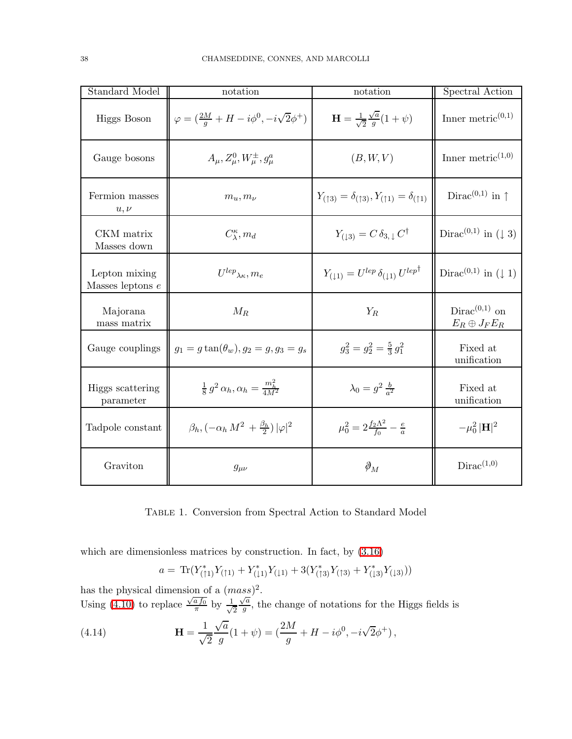| Standard Model                      | notation                                                   | notation                                                                             | Spectral Action                             |
|-------------------------------------|------------------------------------------------------------|--------------------------------------------------------------------------------------|---------------------------------------------|
| Higgs Boson                         | $\varphi = (\frac{2M}{q} + H - i\phi^0, -i\sqrt{2}\phi^+)$ | $\mathbf{H} = \frac{1}{\sqrt{2}} \frac{\sqrt{a}}{q} (1 + \psi)$                      | Inner metric $(0,1)$                        |
| Gauge bosons                        | $A_{\mu}, Z_{\mu}^{0}, W_{\mu}^{\pm}, g_{\mu}^{a}$         | (B, W, V)                                                                            | Inner metric $(1,0)$                        |
| Fermion masses<br>$u,\nu$           | $m_u, m_\nu$                                               | $Y_{(\uparrow 3)} = \delta_{(\uparrow 3)}, Y_{(\uparrow 1)} = \delta_{(\uparrow 1)}$ | Dirac <sup>(0,1)</sup> in $\uparrow$        |
| CKM matrix<br>Masses down           | $C^{\kappa}_{\lambda},m_d$                                 | $Y_{(13)} = C \, \delta_{3, \downarrow} C^{\dagger}$                                 | Dirac <sup>(0,1)</sup> in ( $\downarrow$ 3) |
| Lepton mixing<br>Masses leptons $e$ | $U^{lep}{}_{\lambda\kappa},m_e$                            | $Y_{(11)} = U^{lep} \, \delta_{(11)} \, U^{lep}$                                     | Dirac <sup>(0,1)</sup> in ( $\downarrow$ 1) |
| Majorana<br>mass matrix             | $M_R$                                                      | $Y_R$                                                                                | $Dirac^{(0,1)}$ on<br>$E_R \oplus J_F E_R$  |
| Gauge couplings                     | $g_1 = g \tan(\theta_w), g_2 = g, g_3 = g_s$               | $g_3^2 = g_2^2 = \frac{5}{3} g_1^2$                                                  | Fixed at<br>unification                     |
| Higgs scattering<br>parameter       | $\frac{1}{8} g^2 \alpha_h, \alpha_h = \frac{m_h^2}{4M^2}$  | $\lambda_0 = g^2 \frac{b}{a^2}$                                                      | Fixed at<br>unification                     |
| Tadpole constant                    | $\beta_h, (-\alpha_h M^2 + \frac{\beta_h}{2})  \varphi ^2$ | $\mu_0^2 = 2 \frac{f_2 \Lambda^2}{f_0} - \frac{e}{a}$                                | $-\mu_0^2  \mathbf{H} ^2$                   |
| Graviton                            | $g_{\mu\nu}$                                               | $\partial\!\!\!/_{M}$                                                                | Dirac <sup>(1,0)</sup>                      |

<span id="page-37-0"></span>Table 1. Conversion from Spectral Action to Standard Model

which are dimensionless matrices by construction. In fact, by [\(3.16\)](#page-24-0)

$$
a = \text{Tr}(Y_{(11)}^* Y_{(11)} + Y_{(11)}^* Y_{(11)} + 3(Y_{(13)}^* Y_{(13)} + Y_{(13)}^* Y_{(13)}))
$$

has the physical dimension of a  $(mass)^2$ . Using [\(4.10\)](#page-36-2) to replace  $\frac{\sqrt{af_0}}{\pi}$  $rac{af_0}{\pi}$  by  $rac{1}{\sqrt{2}}$ 2  $\sqrt{a}$  $\frac{\sqrt{a}}{g}$ , the change of notations for the Higgs fields is

(4.14) 
$$
\mathbf{H} = \frac{1}{\sqrt{2}} \frac{\sqrt{a}}{g} (1 + \psi) = \left( \frac{2M}{g} + H - i\phi^0, -i\sqrt{2}\phi^+ \right),
$$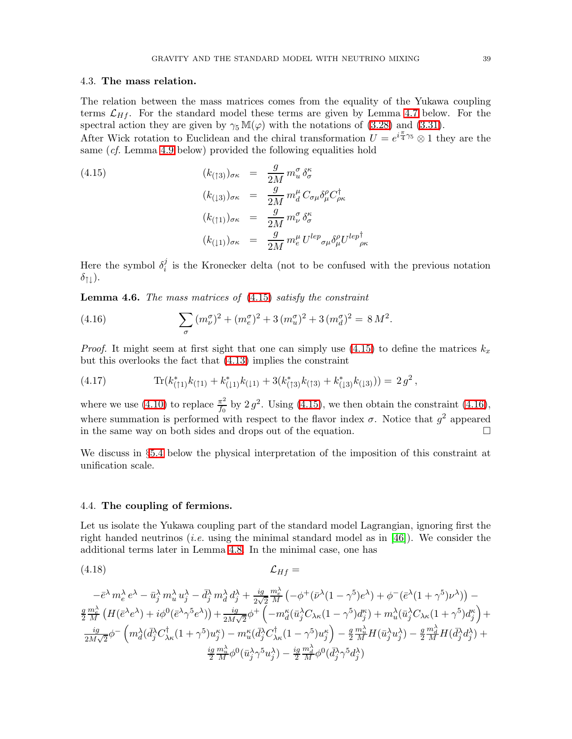### <span id="page-38-0"></span>4.3. The mass relation.

The relation between the mass matrices comes from the equality of the Yukawa coupling terms  $\mathcal{L}_{Hf}$ . For the standard model these terms are given by Lemma [4.7](#page-39-1) below. For the spectral action they are given by  $\gamma_5 M(\varphi)$  with the notations of [\(3.28\)](#page-28-4) and [\(3.31\)](#page-28-5).

After Wick rotation to Euclidean and the chiral transformation  $U = e^{i\frac{\pi}{4}\gamma_5} \otimes 1$  they are the same (*cf.* Lemma [4.9](#page-44-1) below) provided the following equalities hold

<span id="page-38-2"></span>(4.15)  
\n
$$
(k_{(13)})_{\sigma\kappa} = \frac{g}{2M} m_u^{\sigma} \delta_{\sigma}^{\kappa}
$$
\n
$$
(k_{(13)})_{\sigma\kappa} = \frac{g}{2M} m_d^{\mu} C_{\sigma\mu} \delta_{\mu}^{\rho} C_{\rho\kappa}^{\dagger}
$$
\n
$$
(k_{(11)})_{\sigma\kappa} = \frac{g}{2M} m_{\nu}^{\sigma} \delta_{\sigma}^{\kappa}
$$
\n
$$
(k_{(11)})_{\sigma\kappa} = \frac{g}{2M} m_{e}^{\mu} U^{lep}{}_{\sigma\mu} \delta_{\mu}^{\rho} U^{lep}{}_{\rho\kappa}
$$

Here the symbol  $\delta_i^j$  $i<sub>i</sub>$  is the Kronecker delta (not to be confused with the previous notation  $\delta_{\uparrow\,\vert\,\vert}$ .

<span id="page-38-3"></span>Lemma 4.6. *The mass matrices of* [\(4.15\)](#page-38-2) *satisfy the constraint*

(4.16) 
$$
\sum_{\sigma} (m_{\nu}^{\sigma})^2 + (m_{e}^{\sigma})^2 + 3(m_{u}^{\sigma})^2 + 3(m_{d}^{\sigma})^2 = 8 M^2.
$$

*Proof.* It might seem at first sight that one can simply use [\(4.15\)](#page-38-2) to define the matrices  $k_x$ but this overlooks the fact that [\(4.13\)](#page-36-3) implies the constraint

(4.17) 
$$
\text{Tr}(k_{(1)}^*k_{(1)}+k_{(1)}^*k_{(1)}+3(k_{(13)}^*k_{(13)}+k_{(13)}^*k_{(13)}))=2g^2,
$$

where we use [\(4.10\)](#page-36-2) to replace  $\frac{\pi^2}{f_0}$  $\frac{\pi^2}{f_0}$  by 2  $g^2$ . Using [\(4.15\)](#page-38-2), we then obtain the constraint [\(4.16\)](#page-38-3), where summation is performed with respect to the flavor index  $\sigma$ . Notice that  $g^2$  appeared in the same way on both sides and drops out of the equation.  $\Box$ 

We discuss in §[5.4](#page-56-0) below the physical interpretation of the imposition of this constraint at unification scale.

#### <span id="page-38-1"></span>4.4. The coupling of fermions.

Let us isolate the Yukawa coupling part of the standard model Lagrangian, ignoring first the right handed neutrinos (*i.e.* using the minimal standard model as in [\[46\]](#page-70-6)). We consider the additional terms later in Lemma [4.8.](#page-43-0) In the minimal case, one has

$$
(4.18) \t\t \t\t \mathcal{L}_{Hf} =
$$

$$
\begin{split} -\bar{e}^\lambda\,m^\lambda_e\,e^\lambda - \bar{u}^\lambda_j\,m^\lambda_u\,u^\lambda_j - \bar{d}^\lambda_j\,m^\lambda_d\,d^\lambda_j + \tfrac{ig}{2\sqrt{2}}\tfrac{m^\lambda_e}{M}\left(-\phi^+(\bar{\nu}^\lambda(1-\gamma^5)e^\lambda)+\phi^-(\bar{e}^\lambda(1+\gamma^5)\nu^\lambda)\right) - \\ \tfrac{g}{2}\tfrac{m^\lambda_e}{M}\left(H(\bar{e}^\lambda e^\lambda)+i\phi^0(\bar{e}^\lambda\gamma^5 e^\lambda)\right) + \tfrac{ig}{2M\sqrt{2}}\phi^+\left(-m^\kappa_d(\bar{u}^\lambda_j C_{\lambda\kappa}(1-\gamma^5)d^\kappa_j)+m^\lambda_u(\bar{u}^\lambda_j C_{\lambda\kappa}(1+\gamma^5)d^\kappa_j\right) + \\ \tfrac{ig}{2M\sqrt{2}}\phi^-\left(m^\lambda_d(\bar{d}^\lambda_j C^\dagger_{\lambda\kappa}(1+\gamma^5)u^\kappa_j)-m^\kappa_u(\bar{d}^\lambda_j C^\dagger_{\lambda\kappa}(1-\gamma^5)u^\kappa_j\right) - \tfrac{g}{2}\tfrac{m^\lambda_u}{M}H(\bar{u}^\lambda_j u^\lambda_j) - \tfrac{g}{2}\tfrac{m^\lambda_d}{M}H(\bar{d}^\lambda_j d^\lambda_j) + \\ \tfrac{ig}{2}\tfrac{m^\lambda_u}{M}\phi^0(\bar{u}^\lambda_j\gamma^5 u^\lambda_j) - \tfrac{ig}{2}\tfrac{m^\lambda_d}{M}\phi^0(\bar{d}^\lambda_j\gamma^5 d^\lambda_j) \end{split}
$$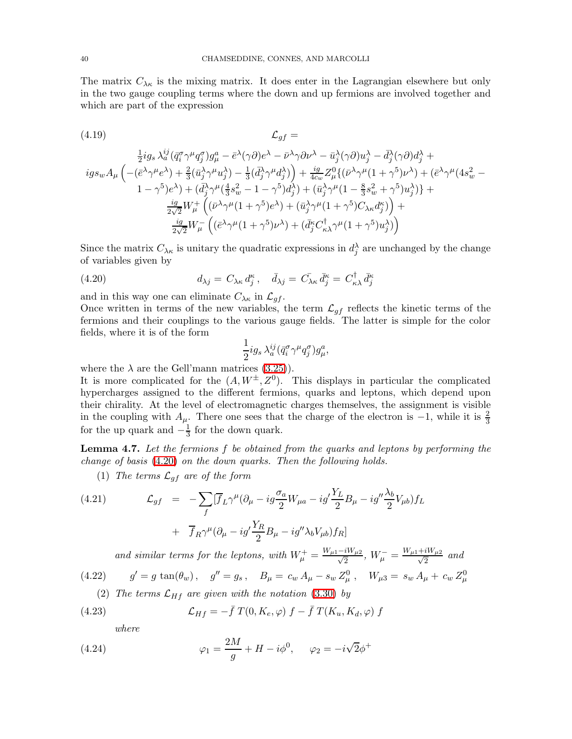<span id="page-39-2"></span>The matrix  $C_{\lambda\kappa}$  is the mixing matrix. It does enter in the Lagrangian elsewhere but only in the two gauge coupling terms where the down and up fermions are involved together and which are part of the expression

(4.19)  
\n
$$
\mathcal{L}_{gf} =
$$
\n
$$
\frac{1}{2}ig_s\lambda_a^{ij}(\bar{q}_i^{\sigma}\gamma^{\mu}q_j^{\sigma})g_{\mu}^{a} - \bar{e}^{\lambda}(\gamma\partial)e^{\lambda} - \bar{\nu}^{\lambda}\gamma\partial\nu^{\lambda} - \bar{u}_j^{\lambda}(\gamma\partial)u_j^{\lambda} - \bar{d}_j^{\lambda}(\gamma\partial)d_j^{\lambda} +
$$
\n
$$
ig_s{}_{w}A_{\mu}\left(-(\bar{e}^{\lambda}\gamma^{\mu}e^{\lambda}) + \frac{2}{3}(\bar{u}_j^{\lambda}\gamma^{\mu}u_j^{\lambda}) - \frac{1}{3}(\bar{d}_j^{\lambda}\gamma^{\mu}d_j^{\lambda})\right) + \frac{ig}{4c_w}Z_{\mu}^{0}\{(\bar{\nu}^{\lambda}\gamma^{\mu}(1+\gamma^5)\nu^{\lambda}) + (\bar{e}^{\lambda}\gamma^{\mu}(4s_w^2 - 1-\gamma^5)e^{\lambda}) + (\bar{d}_j^{\lambda}\gamma^{\mu}(\frac{4}{3}s_w^2 - 1-\gamma^5)d_j^{\lambda}) + (\bar{u}_j^{\lambda}\gamma^{\mu}(1-\frac{8}{3}s_w^2+\gamma^5)u_j^{\lambda})\} +
$$
\n
$$
\frac{ig}{2\sqrt{2}}W_{\mu}^{+}\left((\bar{\nu}^{\lambda}\gamma^{\mu}(1+\gamma^5)e^{\lambda}) + (\bar{u}_j^{\lambda}\gamma^{\mu}(1+\gamma^5)C_{\lambda\kappa}d_j^{\kappa})\right) +
$$
\n
$$
\frac{ig}{2\sqrt{2}}W_{\mu}^{-}\left((\bar{e}^{\lambda}\gamma^{\mu}(1+\gamma^5)\nu^{\lambda}) + (\bar{d}_j^{\kappa}C_{\kappa\lambda}^{\dagger}\gamma^{\mu}(1+\gamma^5)u_j^{\lambda})\right)
$$

<span id="page-39-0"></span>Since the matrix  $C_{\lambda\kappa}$  is unitary the quadratic expressions in  $d_j^{\lambda}$  are unchanged by the change of variables given by

(4.20) 
$$
d_{\lambda j} = C_{\lambda \kappa} d_j^{\kappa}, \quad \bar{d}_{\lambda j} = C_{\lambda \kappa} \bar{d}_j^{\kappa} = C_{\kappa \lambda}^{\dagger} \bar{d}_j^{\kappa}
$$

and in this way one can eliminate  $C_{\lambda\kappa}$  in  $\mathcal{L}_{gf}$ .

Once written in terms of the new variables, the term  $\mathcal{L}_{af}$  reflects the kinetic terms of the fermions and their couplings to the various gauge fields. The latter is simple for the color fields, where it is of the form

<span id="page-39-4"></span>
$$
\frac{1}{2} i g_s\, \lambda_a^{ij} \big(\bar q_i^\sigma \gamma^\mu q_j^\sigma\big) g_\mu^a,
$$

where the  $\lambda$  are the Gell'mann matrices [\(3.25\)](#page-26-2)).

It is more complicated for the  $(A, W^{\pm}, Z^0)$ . This displays in particular the complicated hypercharges assigned to the different fermions, quarks and leptons, which depend upon their chirality. At the level of electromagnetic charges themselves, the assignment is visible in the coupling with  $A_{\mu}$ . There one sees that the charge of the electron is  $-1$ , while it is  $\frac{2}{3}$ for the up quark and  $-\frac{1}{3}$  $\frac{1}{3}$  for the down quark.

<span id="page-39-1"></span>Lemma 4.7. *Let the fermions* f *be obtained from the quarks and leptons by performing the change of basis* [\(4.20\)](#page-39-0) *on the down quarks. Then the following holds.*

(1) *The terms*  $\mathcal{L}_{gf}$  *are of the form* 

<span id="page-39-3"></span>(4.21) 
$$
\mathcal{L}_{gf} = -\sum_{f} [\overline{f}_{L} \gamma^{\mu} (\partial_{\mu} - ig \frac{\sigma_{a}}{2} W_{\mu a} - ig' \frac{Y_{L}}{2} B_{\mu} - ig'' \frac{\lambda_{b}}{2} V_{\mu b}) f_{L} + \overline{f}_{R} \gamma^{\mu} (\partial_{\mu} - ig' \frac{Y_{R}}{2} B_{\mu} - ig'' \lambda_{b} V_{\mu b}) f_{R}]
$$

and similar terms for the leptons, with  $W^+_\mu = \frac{W_{\mu 1} - iW_{\mu 2}}{\sqrt{2}}$  $\frac{iW_{\mu 2}}{2}$ ,  $W_{\mu}^{-} = \frac{W_{\mu 1} + iW_{\mu 2}}{\sqrt{2}}$  $rac{w_{\mu 2}}{2}$  and

(4.22) 
$$
g' = g \tan(\theta_w), \quad g'' = g_s, \quad B_\mu = c_w A_\mu - s_w Z_\mu^0, \quad W_{\mu 3} = s_w A_\mu + c_w Z_\mu^0
$$

(2) The terms  $\mathcal{L}_{Hf}$  are given with the notation [\(3.30\)](#page-28-6) by

(4.23) 
$$
\mathcal{L}_{Hf} = -\bar{f} T(0, K_e, \varphi) f - \bar{f} T(K_u, K_d, \varphi) f
$$

*where*

(4.24) 
$$
\varphi_1 = \frac{2M}{g} + H - i\phi^0, \quad \varphi_2 = -i\sqrt{2}\phi^+
$$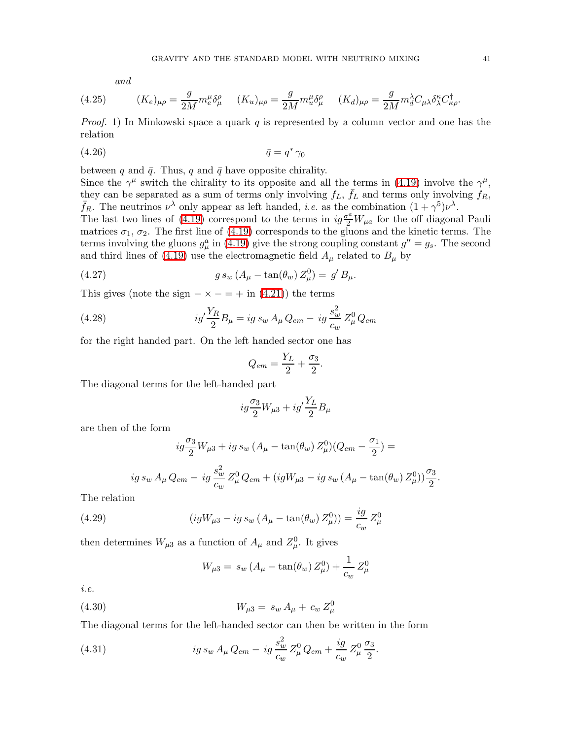*and*

<span id="page-40-1"></span>(4.25) 
$$
(K_e)_{\mu\rho} = \frac{g}{2M} m_e^{\mu} \delta_{\mu}^{\rho} \quad (K_u)_{\mu\rho} = \frac{g}{2M} m_u^{\mu} \delta_{\mu}^{\rho} \quad (K_d)_{\mu\rho} = \frac{g}{2M} m_d^{\lambda} C_{\mu\lambda} \delta_{\lambda}^{\kappa} C_{\kappa\rho}^{\dagger}.
$$

<span id="page-40-0"></span>*Proof.* 1) In Minkowski space a quark q is represented by a column vector and one has the relation

$$
\overline{q} = q^* \gamma_0
$$

between q and  $\bar{q}$ . Thus, q and  $\bar{q}$  have opposite chirality.

Since the  $\gamma^{\mu}$  switch the chirality to its opposite and all the terms in [\(4.19\)](#page-39-2) involve the  $\gamma^{\mu}$ , they can be separated as a sum of terms only involving  $f_L$ ,  $\bar{f}_L$  and terms only involving  $f_R$ ,  $\bar{f}_R$ . The neutrinos  $\nu^{\lambda}$  only appear as left handed, *i.e.* as the combination  $(1 + \gamma^5)\nu^{\lambda}$ .

The last two lines of [\(4.19\)](#page-39-2) correspond to the terms in  $ig\frac{\sigma^a}{2}W_{\mu a}$  for the off diagonal Pauli matrices  $\sigma_1$ ,  $\sigma_2$ . The first line of [\(4.19\)](#page-39-2) corresponds to the gluons and the kinetic terms. The terms involving the gluons  $g^a_\mu$  in [\(4.19\)](#page-39-2) give the strong coupling constant  $g'' = g_s$ . The second and third lines of [\(4.19\)](#page-39-2) use the electromagnetic field  $A_\mu$  related to  $B_\mu$  by

(4.27) 
$$
g s_w (A_\mu - \tan(\theta_w) Z_\mu^0) = g' B_\mu.
$$

This gives (note the sign  $-\times - = +$  in [\(4.21\)](#page-39-3)) the terms

(4.28) 
$$
ig' \frac{Y_R}{2} B_\mu = ig s_w A_\mu Q_{em} - ig \frac{s_w^2}{c_w} Z_\mu^0 Q_{em}
$$

for the right handed part. On the left handed sector one has

<span id="page-40-2"></span>
$$
Q_{em} = \frac{Y_L}{2} + \frac{\sigma_3}{2}.
$$

The diagonal terms for the left-handed part

$$
ig\frac{\sigma_3}{2}W_{\mu 3} + ig'\frac{Y_L}{2}B_{\mu}
$$

are then of the form

$$
ig\frac{\sigma_3}{2}W_{\mu 3} + ig s_w (A_\mu - \tan(\theta_w) Z^0_\mu)(Q_{em} - \frac{\sigma_1}{2}) =
$$
  

$$
ig s_w A_\mu Q_{em} - ig \frac{s_w^2}{c_w} Z^0_\mu Q_{em} + (ig W_{\mu 3} - ig s_w (A_\mu - \tan(\theta_w) Z^0_\mu)) \frac{\sigma_3}{2}
$$

The relation

(4.29) 
$$
(igW_{\mu 3} - ig s_w (A_{\mu} - \tan(\theta_w) Z^0_{\mu})) = \frac{ig}{c_w} Z^0_{\mu}
$$

then determines  $W_{\mu 3}$  as a function of  $A_{\mu}$  and  $Z_{\mu}^{0}$ . It gives

$$
W_{\mu 3} = s_w (A_{\mu} - \tan(\theta_w) Z_{\mu}^0) + \frac{1}{c_w} Z_{\mu}^0
$$

*i.e.*

(4.30) 
$$
W_{\mu 3} = s_w A_{\mu} + c_w Z_{\mu}^0
$$

The diagonal terms for the left-handed sector can then be written in the form

(4.31) 
$$
ig s_w A_\mu Q_{em} - ig \frac{s_w^2}{c_w} Z_\mu^0 Q_{em} + \frac{ig}{c_w} Z_\mu^0 \frac{\sigma_3}{2}.
$$

.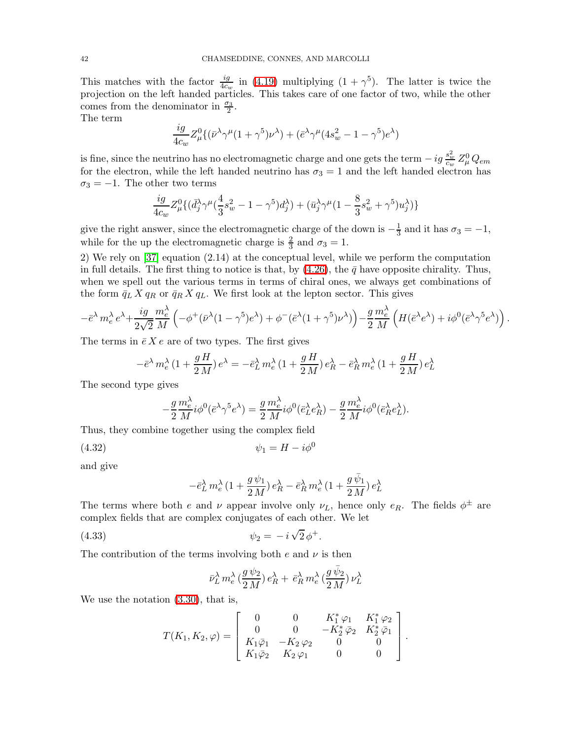This matches with the factor  $\frac{ig}{4c_w}$  in [\(4.19\)](#page-39-2) multiplying  $(1 + \gamma^5)$ . The latter is twice the projection on the left handed particles. This takes care of one factor of two, while the other comes from the denominator in  $\frac{\sigma_3}{2}$ .

The term

$$
\frac{ig}{4c_w}Z^0_\mu\{(\bar\nu^\lambda\gamma^\mu(1+\gamma^5)\nu^\lambda) + (\bar e^\lambda\gamma^\mu(4s_w^2-1-\gamma^5)e^\lambda)
$$

is fine, since the neutrino has no electromagnetic charge and one gets the term  $- ig \frac{s_w^2}{c_w} Z^0_\mu Q_{em}$ for the electron, while the left handed neutrino has  $\sigma_3 = 1$  and the left handed electron has  $\sigma_3 = -1$ . The other two terms

$$
\frac{ig}{4c_w}Z^0_\mu\{(\bar{d}_j^\lambda\gamma^\mu(\frac{4}{3}s_w^2-1-\gamma^5)d_j^\lambda) + (\bar{u}_j^\lambda\gamma^\mu(1-\frac{8}{3}s_w^2+\gamma^5)u_j^\lambda)\}\
$$

give the right answer, since the electromagnetic charge of the down is  $-\frac{1}{3}$  $\frac{1}{3}$  and it has  $\sigma_3 = -1$ , while for the up the electromagnetic charge is  $\frac{2}{3}$  and  $\sigma_3 = 1$ .

2) We rely on [\[37\]](#page-70-1) equation (2.14) at the conceptual level, while we perform the computation in full details. The first thing to notice is that, by  $(4.26)$ , the  $\bar{q}$  have opposite chirality. Thus, when we spell out the various terms in terms of chiral ones, we always get combinations of the form  $\bar{q}_L X q_R$  or  $\bar{q}_R X q_L$ . We first look at the lepton sector. This gives

$$
-\bar{e}^{\lambda} m_e^{\lambda} e^{\lambda} + \frac{ig}{2\sqrt{2}} \frac{m_e^{\lambda}}{M} \left( -\phi^+(\bar{\nu}^{\lambda}(1-\gamma^5)e^{\lambda}) + \phi^-(\bar{e}^{\lambda}(1+\gamma^5)\nu^{\lambda}) \right) - \frac{g}{2} \frac{m_e^{\lambda}}{M} \left( H(\bar{e}^{\lambda} e^{\lambda}) + i\phi^0(\bar{e}^{\lambda}\gamma^5 e^{\lambda}) \right).
$$

The terms in  $\bar{e} X e$  are of two types. The first gives

$$
-\bar{e}^{\lambda} m_e^{\lambda} (1 + \frac{gH}{2M}) e^{\lambda} = -\bar{e}_L^{\lambda} m_e^{\lambda} (1 + \frac{gH}{2M}) e_R^{\lambda} - \bar{e}_R^{\lambda} m_e^{\lambda} (1 + \frac{gH}{2M}) e_L^{\lambda}
$$

The second type gives

$$
-\frac{g}{2}\frac{m_e^{\lambda}}{M}i\phi^0(\bar{e}^{\lambda}\gamma^5 e^{\lambda}) = \frac{g}{2}\frac{m_e^{\lambda}}{M}i\phi^0(\bar{e}_L^{\lambda}e_R^{\lambda}) - \frac{g}{2}\frac{m_e^{\lambda}}{M}i\phi^0(\bar{e}_R^{\lambda}e_L^{\lambda}).
$$

Thus, they combine together using the complex field

$$
\psi_1 = H - i\phi^0
$$

and give

$$
-\bar{e}_{L}^{\lambda}\,m_{e}^{\lambda}\,(1+\frac{g\,\psi_{1}}{2\,M})\,e_{R}^{\lambda}-\bar{e}_{R}^{\lambda}\,m_{e}^{\lambda}\,(1+\frac{g\,\bar{\psi}_{1}}{2\,M})\,e_{L}^{\lambda}
$$

The terms where both e and  $\nu$  appear involve only  $\nu_L$ , hence only  $e_R$ . The fields  $\phi^{\pm}$  are complex fields that are complex conjugates of each other. We let

(4.33) 
$$
\psi_2 = -i\sqrt{2}\phi^+.
$$

The contribution of the terms involving both  $e$  and  $\nu$  is then

$$
\bar{\nu}_L^{\lambda}\,m_e^{\lambda}\,(\frac{g\,\psi_2}{2\,M})\,e_R^{\lambda}\,+\,\bar{e}_R^{\lambda}\,m_e^{\lambda}\,(\frac{g\,\bar{\psi}_2}{2\,M})\,\nu_L^{\lambda}
$$

We use the notation [\(3.30\)](#page-28-6), that is,

$$
T(K_1, K_2, \varphi) = \begin{bmatrix} 0 & 0 & K_1^* \varphi_1 & K_1^* \varphi_2 \\ 0 & 0 & -K_2^* \bar{\varphi}_2 & K_2^* \bar{\varphi}_1 \\ K_1 \bar{\varphi}_1 & -K_2 \varphi_2 & 0 & 0 \\ K_1 \bar{\varphi}_2 & K_2 \varphi_1 & 0 & 0 \end{bmatrix}
$$

.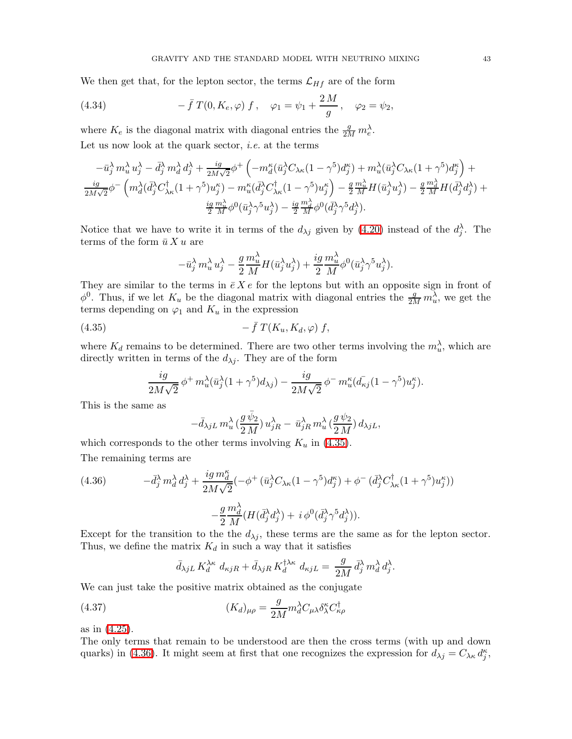We then get that, for the lepton sector, the terms  $\mathcal{L}_{Hf}$  are of the form

(4.34) 
$$
- \bar{f} T(0, K_e, \varphi) f, \quad \varphi_1 = \psi_1 + \frac{2M}{g}, \quad \varphi_2 = \psi_2,
$$

where  $K_e$  is the diagonal matrix with diagonal entries the  $\frac{g}{2M} m_e^{\lambda}$ . Let us now look at the quark sector, *i.e.* at the terms

$$
\begin{split} -\bar{u}_j^\lambda\,m_u^\lambda\,u_j^\lambda-\bar{d}_j^\lambda\,m_d^\lambda\,d_j^\lambda+\tfrac{ig}{2M\sqrt{2}}\phi^+\left(-m_d^\kappa(\bar{u}_j^\lambda C_{\lambda\kappa}(1-\gamma^5)d_j^\kappa)+m_u^\lambda(\bar{u}_j^\lambda C_{\lambda\kappa}(1+\gamma^5)d_j^\kappa\right)+\\ \tfrac{ig}{2M\sqrt{2}}\phi^-\left(m_d^\lambda(\bar{d}_j^\lambda C_{\lambda\kappa}^\dagger(1+\gamma^5)u_j^\kappa)-m_u^\kappa(\bar{d}_j^\lambda C_{\lambda\kappa}^\dagger(1-\gamma^5)u_j^\kappa\right)-\tfrac{g}{2}\tfrac{m_u^\lambda}{M}H(\bar{u}_j^\lambda u_j^\lambda)-\tfrac{g}{2}\tfrac{m_d^\lambda}{M}H(\bar{d}_j^\lambda d_j^\lambda)+\\ \tfrac{ig}{2}\tfrac{m_u^\lambda}{M}\phi^0(\bar{u}_j^\lambda\gamma^5u_j^\lambda)-\tfrac{ig}{2}\tfrac{m_d^\lambda}{M}\phi^0(\bar{d}_j^\lambda\gamma^5d_j^\lambda). \end{split}
$$

Notice that we have to write it in terms of the  $d_{\lambda j}$  given by [\(4.20\)](#page-39-0) instead of the  $d_j^{\lambda}$ . The terms of the form  $\bar{u} X u$  are

<span id="page-42-2"></span><span id="page-42-0"></span>
$$
-\bar{u}_j^{\lambda} \, m_u^{\lambda} \, u_j^{\lambda} - \frac{g}{2} \frac{m_u^{\lambda}}{M} H(\bar{u}_j^{\lambda} u_j^{\lambda}) + \frac{ig}{2} \frac{m_u^{\lambda}}{M} \phi^0(\bar{u}_j^{\lambda} \gamma^5 u_j^{\lambda}).
$$

They are similar to the terms in  $\bar{\epsilon} X \epsilon$  for the leptons but with an opposite sign in front of  $\phi^0$ . Thus, if we let  $K_u$  be the diagonal matrix with diagonal entries the  $\frac{g}{2M} m_u^{\lambda}$ , we get the terms depending on  $\varphi_1$  and  $K_u$  in the expression

(4.35) <sup>−</sup> ¯f T(Ku,Kd,ϕ) f,

where  $K_d$  remains to be determined. There are two other terms involving the  $m_u^{\lambda}$ , which are directly written in terms of the  $d_{\lambda i}$ . They are of the form

$$
\frac{ig}{2M\sqrt{2}}\phi^+ m_u^{\lambda}(\bar{u}_j^{\lambda}(1+\gamma^5)d_{\lambda j}) - \frac{ig}{2M\sqrt{2}}\phi^- m_u^{\kappa}(\bar{d_{\kappa j}}(1-\gamma^5)u_j^{\kappa}).
$$

This is the same as

$$
-\bar d_{\lambda j L}\, m_u^\lambda\, (\frac{g\,\bar\psi_2}{2\,M})\, u^\lambda_{j R} -\, \bar u^\lambda_{j R}\, m_u^\lambda\, (\frac{g\,\psi_2}{2\,M})\, d_{\lambda j L},
$$

<span id="page-42-1"></span>which corresponds to the other terms involving  $K_u$  in [\(4.35\)](#page-42-0). The remaining terms are

(4.36) 
$$
- \bar{d}_j^{\lambda} m_d^{\lambda} d_j^{\lambda} + \frac{ig m_d^{\kappa}}{2M\sqrt{2}} \left( -\phi^+ \left( \bar{u}_j^{\lambda} C_{\lambda \kappa} (1 - \gamma^5) d_j^{\kappa} \right) + \phi^- \left( \bar{d}_j^{\lambda} C_{\lambda \kappa}^{\dagger} (1 + \gamma^5) u_j^{\kappa} \right) \right) - \frac{g m_d^{\lambda}}{2 M} \left( H (\bar{d}_j^{\lambda} d_j^{\lambda}) + i \phi^0 (\bar{d}_j^{\lambda} \gamma^5 d_j^{\lambda}) \right).
$$

Except for the transition to the the  $d_{\lambda j}$ , these terms are the same as for the lepton sector. Thus, we define the matrix  $K_d$  in such a way that it satisfies

$$
\bar{d}_{\lambda jL} K_d^{\lambda \kappa} d_{\kappa jR} + \bar{d}_{\lambda jR} K_d^{\dagger \lambda \kappa} d_{\kappa jL} = \frac{g}{2M} \bar{d}_j^{\lambda} m_d^{\lambda} d_j^{\lambda}.
$$

We can just take the positive matrix obtained as the conjugate

(4.37) 
$$
(K_d)_{\mu\rho} = \frac{g}{2M} m_d^{\lambda} C_{\mu\lambda} \delta_{\lambda}^{\kappa} C_{\kappa\rho}^{\dagger}
$$

as in [\(4.25\)](#page-40-1).

The only terms that remain to be understood are then the cross terms (with up and down quarks) in [\(4.36\)](#page-42-1). It might seem at first that one recognizes the expression for  $d_{\lambda j} = C_{\lambda \kappa} d_j^{\kappa}$ ,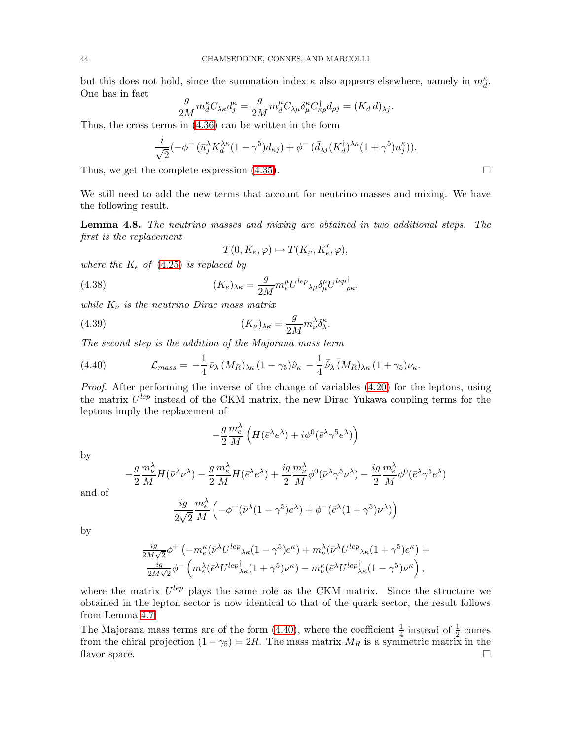but this does not hold, since the summation index  $\kappa$  also appears elsewhere, namely in  $m_d^{\kappa}$ . One has in fact

$$
\frac{g}{2M}m_d^{\kappa}C_{\lambda\kappa}d_j^{\kappa} = \frac{g}{2M}m_d^{\mu}C_{\lambda\mu}\delta_{\mu}^{\kappa}C_{\kappa\rho}^{\dagger}d_{\rho j} = (K_d d)_{\lambda j}.
$$

Thus, the cross terms in [\(4.36\)](#page-42-1) can be written in the form

$$
\frac{i}{\sqrt{2}}(-\phi^+(\bar{u}_j^{\lambda}K_d^{\lambda\kappa}(1-\gamma^5)d_{\kappa j})+\phi^-(\bar{d}_{\lambda j}(K_d^{\dagger})^{\lambda\kappa}(1+\gamma^5)u_j^{\kappa})).
$$

Thus, we get the complete expression  $(4.35)$ .

<span id="page-43-0"></span>We still need to add the new terms that account for neutrino masses and mixing. We have the following result.

Lemma 4.8. *The neutrino masses and mixing are obtained in two additional steps. The first is the replacement*

<span id="page-43-2"></span><span id="page-43-1"></span>
$$
T(0, K_e, \varphi) \mapsto T(K_{\nu}, K_{e}', \varphi),
$$

*where the*  $K_e$  *of* [\(4.25\)](#page-40-1) *is replaced by* 

(4.38) 
$$
(K_e)_{\lambda\kappa} = \frac{g}{2M} m_e^{\mu} U^{lep}{}_{\lambda\mu} \delta^{\rho}_{\mu} U^{lep}{}_{\rho\kappa},
$$

*while*  $K_{\nu}$  *is the neutrino Dirac mass matrix* 

(4.39) 
$$
(K_{\nu})_{\lambda\kappa} = \frac{g}{2M} m_{\nu}^{\lambda} \delta_{\lambda}^{\kappa}.
$$

*The second step is the addition of the Majorana mass term*

(4.40) 
$$
\mathcal{L}_{mass} = -\frac{1}{4}\bar{\nu}_{\lambda} (M_R)_{\lambda\kappa} (1-\gamma_5)\hat{\nu}_{\kappa} - \frac{1}{4}\bar{\hat{\nu}}_{\lambda} (M_R)_{\lambda\kappa} (1+\gamma_5)\nu_{\kappa}.
$$

*Proof.* After performing the inverse of the change of variables  $(4.20)$  for the leptons, using the matrix  $U^{lep}$  instead of the CKM matrix, the new Dirac Yukawa coupling terms for the leptons imply the replacement of

$$
-\frac{g}{2}\frac{m_e^\lambda}{M}\left(H(\bar{e}^\lambda e^\lambda)+i\phi^0(\bar{e}^\lambda\gamma^5 e^\lambda)\right)
$$

by

$$
-\frac{g}{2}\frac{m_{\nu}^{\lambda}}{M}H(\bar{\nu}^{\lambda}\nu^{\lambda}) - \frac{g}{2}\frac{m_{e}^{\lambda}}{M}H(\bar{e}^{\lambda}e^{\lambda}) + \frac{ig}{2}\frac{m_{\nu}^{\lambda}}{M}\phi^{0}(\bar{\nu}^{\lambda}\gamma^{5}\nu^{\lambda}) - \frac{ig}{2}\frac{m_{e}^{\lambda}}{M}\phi^{0}(\bar{e}^{\lambda}\gamma^{5}e^{\lambda})
$$

and of

$$
\frac{ig}{2\sqrt{2}}\frac{m_e^{\lambda}}{M}\left(-\phi^+(\bar{\nu}^{\lambda}(1-\gamma^5)e^{\lambda})+\phi^-(\bar{e}^{\lambda}(1+\gamma^5)\nu^{\lambda})\right)
$$

by

$$
\frac{ig}{2M\sqrt{2}}\phi^+\left(-m_e^{\kappa}(\bar{\nu}^{\lambda}U^{lep}\mathbf{1}_{\kappa}(1-\gamma^5)e^{\kappa})+m_{\nu}^{\lambda}(\bar{\nu}^{\lambda}U^{lep}\mathbf{1}_{\kappa}(1+\gamma^5)e^{\kappa})+\frac{ig}{2M\sqrt{2}}\phi^-\left(m_e^{\lambda}(\bar{e}^{\lambda}U^{lep}\mathbf{1}_{\kappa}(1+\gamma^5)\nu^{\kappa})-m_{\nu}^{\kappa}(\bar{e}^{\lambda}U^{lep}\mathbf{1}_{\kappa}(1-\gamma^5)\nu^{\kappa})\right),\right.
$$

where the matrix  $U^{lep}$  plays the same role as the CKM matrix. Since the structure we obtained in the lepton sector is now identical to that of the quark sector, the result follows from Lemma [4.7.](#page-39-1)

The Majorana mass terms are of the form [\(4.40\)](#page-43-1), where the coefficient  $\frac{1}{4}$  instead of  $\frac{1}{2}$  comes from the chiral projection  $(1 - \gamma_5) = 2R$ . The mass matrix  $M_R$  is a symmetric matrix in the flavor space. flavor space.  $\Box$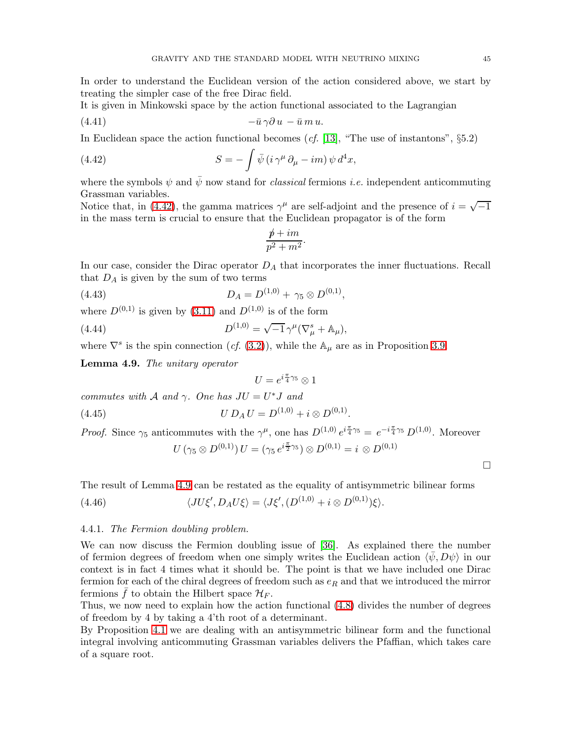In order to understand the Euclidean version of the action considered above, we start by treating the simpler case of the free Dirac field.

It is given in Minkowski space by the action functional associated to the Lagrangian

$$
(4.41) \t\t -\bar{u}\gamma\partial u - \bar{u}\,m\,u.
$$

In Euclidean space the action functional becomes (*cf.* [\[13\]](#page-69-21), "The use of instantons", §5.2)

(4.42) 
$$
S = -\int \bar{\psi} \left( i \gamma^{\mu} \partial_{\mu} - im \right) \psi d^{4}x,
$$

where the symbols  $\psi$  and  $\bar{\psi}$  now stand for *classical* fermions *i.e.* independent anticommuting Grassman variables.

Notice that, in [\(4.42\)](#page-44-2), the gamma matrices  $\gamma^{\mu}$  are self-adjoint and the presence of  $i = \sqrt{-1}$ in the mass term is crucial to ensure that the Euclidean propagator is of the form

<span id="page-44-2"></span>
$$
\frac{p\!\!\! /+im}{p^2+m^2}.
$$

In our case, consider the Dirac operator  $D_A$  that incorporates the inner fluctuations. Recall that  $D_A$  is given by the sum of two terms

(4.43) 
$$
D_A = D^{(1,0)} + \gamma_5 \otimes D^{(0,1)},
$$

where  $D^{(0,1)}$  is given by [\(3.11\)](#page-22-3) and  $D^{(1,0)}$  is of the form

(4.44) 
$$
D^{(1,0)} = \sqrt{-1} \gamma^{\mu} (\nabla_{\mu}^{s} + A_{\mu}),
$$

<span id="page-44-1"></span>where  $\nabla^s$  is the spin connection (*cf.* [\(3.2\)](#page-19-3)), while the  $\mathbb{A}_{\mu}$  are as in Proposition [3.9.](#page-25-1)

Lemma 4.9. *The unitary operator*

$$
U = e^{i\frac{\pi}{4}\gamma_5} \otimes 1
$$

*commutes with*  $\mathcal A$  *and*  $\gamma$ *. One has*  $JU = U^*J$  *and* 

(4.45) 
$$
U D_A U = D^{(1,0)} + i \otimes D^{(0,1)}.
$$

*Proof.* Since  $\gamma_5$  anticommutes with the  $\gamma^{\mu}$ , one has  $D^{(1,0)} e^{i\frac{\pi}{4}\gamma_5} = e^{-i\frac{\pi}{4}\gamma_5} D^{(1,0)}$ . Moreover

$$
U(\gamma_5 \otimes D^{(0,1)}) U = (\gamma_5 e^{i\frac{\pi}{2}\gamma_5}) \otimes D^{(0,1)} = i \otimes D^{(0,1)}
$$

 $\Box$ 

The result of Lemma [4.9](#page-44-1) can be restated as the equality of antisymmetric bilinear forms

(4.46) 
$$
\langle JU\xi', D_A U\xi \rangle = \langle J\xi', (D^{(1,0)} + i \otimes D^{(0,1)})\xi \rangle.
$$

### <span id="page-44-0"></span>4.4.1. *The Fermion doubling problem.*

We can now discuss the Fermion doubling issue of [\[36\]](#page-70-5). As explained there the number of fermion degrees of freedom when one simply writes the Euclidean action  $\langle \psi, D\psi \rangle$  in our context is in fact 4 times what it should be. The point is that we have included one Dirac fermion for each of the chiral degrees of freedom such as  $e_R$  and that we introduced the mirror fermions f to obtain the Hilbert space  $\mathcal{H}_F$ .

Thus, we now need to explain how the action functional [\(4.8\)](#page-34-1) divides the number of degrees of freedom by 4 by taking a 4'th root of a determinant.

By Proposition [4.1](#page-33-4) we are dealing with an antisymmetric bilinear form and the functional integral involving anticommuting Grassman variables delivers the Pfaffian, which takes care of a square root.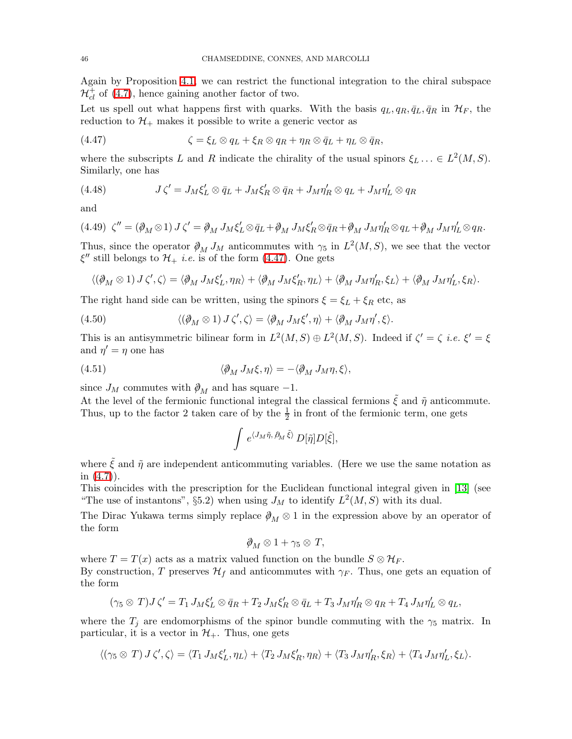Again by Proposition [4.1,](#page-33-4) we can restrict the functional integration to the chiral subspace  $\mathcal{H}_{cl}^+$  of [\(4.7\)](#page-33-5), hence gaining another factor of two.

<span id="page-45-0"></span>Let us spell out what happens first with quarks. With the basis  $q_L, q_R, \bar{q}_L, \bar{q}_R$  in  $\mathcal{H}_F$ , the reduction to  $\mathcal{H}_+$  makes it possible to write a generic vector as

(4.47) 
$$
\zeta = \xi_L \otimes q_L + \xi_R \otimes q_R + \eta_R \otimes \bar{q}_L + \eta_L \otimes \bar{q}_R,
$$

<span id="page-45-2"></span>where the subscripts L and R indicate the chirality of the usual spinors  $\xi_L \ldots \in L^2(M, S)$ . Similarly, one has

(4.48) 
$$
J\zeta' = J_M \xi'_L \otimes \bar{q}_L + J_M \xi'_R \otimes \bar{q}_R + J_M \eta'_R \otimes q_L + J_M \eta'_L \otimes q_R
$$

and

$$
(4.49)\ \zeta'' = (\partial_M \otimes 1) J \zeta' = \partial_M J_M \zeta_L' \otimes \bar{q}_L + \partial_M J_M \zeta_R' \otimes \bar{q}_R + \partial_M J_M \eta_R' \otimes q_L + \partial_M J_M \eta_L' \otimes q_R.
$$

Thus, since the operator  $\partial_M J_M$  anticommutes with  $\gamma_5$  in  $L^2(M, S)$ , we see that the vector  $\xi''$  still belongs to  $\mathcal{H}_+$  *i.e.* is of the form [\(4.47\)](#page-45-0). One gets

$$
\langle (\partial_M \otimes 1) J \zeta', \zeta \rangle = \langle \partial_M J_M \xi'_L, \eta_R \rangle + \langle \partial_M J_M \xi'_R, \eta_L \rangle + \langle \partial_M J_M \eta'_R, \xi_L \rangle + \langle \partial_M J_M \eta'_L, \xi_R \rangle.
$$

The right hand side can be written, using the spinors  $\xi = \xi_L + \xi_R$  etc, as

(4.50) 
$$
\langle (\partial_M \otimes 1) J \zeta', \zeta \rangle = \langle \partial_M J_M \xi', \eta \rangle + \langle \partial_M J_M \eta', \xi \rangle.
$$

<span id="page-45-3"></span>This is an antisymmetric bilinear form in  $L^2(M, S) \oplus L^2(M, S)$ . Indeed if  $\zeta' = \zeta$  *i.e.*  $\xi' = \xi$ and  $\eta' = \eta$  one has

(4.51) 
$$
\langle \partial_M J_M \xi, \eta \rangle = - \langle \partial_M J_M \eta, \xi \rangle,
$$

since  $J_M$  commutes with  $\partial_M$  and has square -1.

At the level of the fermionic functional integral the classical fermions  $\tilde{\xi}$  and  $\tilde{\eta}$  anticommute. Thus, up to the factor 2 taken care of by the  $\frac{1}{2}$  in front of the fermionic term, one gets

<span id="page-45-1"></span>
$$
\int e^{\langle J_M\tilde\eta,\,\hat\beta_M\,\tilde\xi\rangle}\,D[\tilde\eta]D[\tilde\xi],
$$

where  $\tilde{\xi}$  and  $\tilde{\eta}$  are independent anticommuting variables. (Here we use the same notation as in [\(4.7\)](#page-33-5)).

This coincides with the prescription for the Euclidean functional integral given in [\[13\]](#page-69-21) (see "The use of instantons",  $\S5.2$ ) when using  $J_M$  to identify  $L^2(M, S)$  with its dual.

The Dirac Yukawa terms simply replace  $\partial_M \otimes 1$  in the expression above by an operator of the form

$$
\mathcal{D}_M \otimes 1 + \gamma_5 \otimes T,
$$

where  $T = T(x)$  acts as a matrix valued function on the bundle  $S \otimes \mathcal{H}_F$ .

By construction, T preserves  $\mathcal{H}_f$  and anticommutes with  $\gamma_F$ . Thus, one gets an equation of the form

$$
(\gamma_5 \otimes T)J\zeta' = T_1 J_M \zeta_L' \otimes \bar{q}_R + T_2 J_M \zeta_R' \otimes \bar{q}_L + T_3 J_M \eta_R' \otimes q_R + T_4 J_M \eta_L' \otimes q_L,
$$

where the  $T_j$  are endomorphisms of the spinor bundle commuting with the  $\gamma_5$  matrix. In particular, it is a vector in  $\mathcal{H}_+$ . Thus, one gets

$$
\langle (\gamma_5 \otimes T) J \zeta', \zeta \rangle = \langle T_1 J_M \zeta_L', \eta_L \rangle + \langle T_2 J_M \zeta_R', \eta_R \rangle + \langle T_3 J_M \eta_R', \zeta_R \rangle + \langle T_4 J_M \eta_L', \zeta_L \rangle.
$$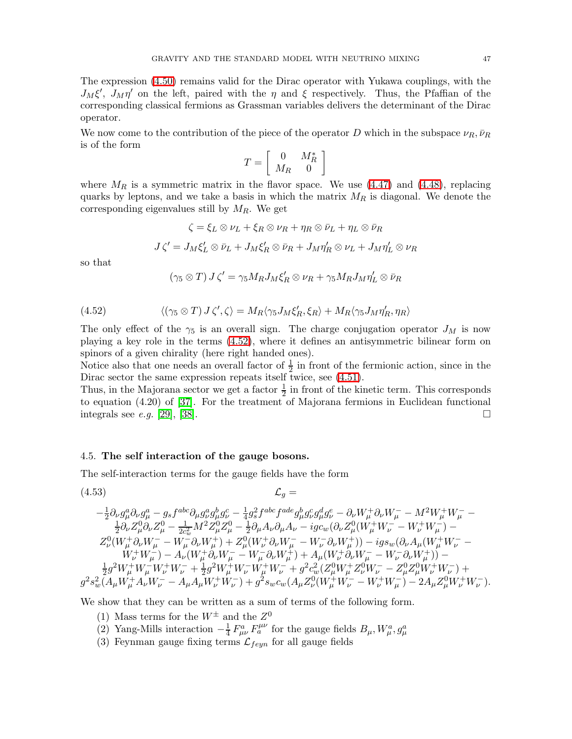The expression [\(4.50\)](#page-45-1) remains valid for the Dirac operator with Yukawa couplings, with the  $J_M \xi'$ ,  $J_M \eta'$  on the left, paired with the  $\eta$  and  $\xi$  respectively. Thus, the Pfaffian of the corresponding classical fermions as Grassman variables delivers the determinant of the Dirac operator.

We now come to the contribution of the piece of the operator D which in the subspace  $\nu_R, \bar{\nu}_R$ is of the form

$$
T=\left[\begin{array}{cc}0&M_R^*\\M_R&0\end{array}\right]
$$

where  $M_R$  is a symmetric matrix in the flavor space. We use  $(4.47)$  and  $(4.48)$ , replacing quarks by leptons, and we take a basis in which the matrix  $M_R$  is diagonal. We denote the corresponding eigenvalues still by  $M_R$ . We get

$$
\zeta = \xi_L \otimes \nu_L + \xi_R \otimes \nu_R + \eta_R \otimes \bar{\nu}_L + \eta_L \otimes \bar{\nu}_R
$$

$$
J\zeta' = J_M \xi'_L \otimes \bar{\nu}_L + J_M \xi'_R \otimes \bar{\nu}_R + J_M \eta'_R \otimes \nu_L + J_M \eta'_L \otimes \nu_R
$$

<span id="page-46-2"></span>so that

$$
(\gamma_5 \otimes T) J \zeta' = \gamma_5 M_R J_M \zeta'_R \otimes \nu_R + \gamma_5 M_R J_M \eta'_L \otimes \bar{\nu}_R
$$

(4.52) 
$$
\langle (\gamma_5 \otimes T) J \zeta', \zeta \rangle = M_R \langle \gamma_5 J_M \zeta'_R, \zeta_R \rangle + M_R \langle \gamma_5 J_M \eta'_R, \eta_R \rangle
$$

The only effect of the  $\gamma_5$  is an overall sign. The charge conjugation operator  $J_M$  is now playing a key role in the terms [\(4.52\)](#page-46-2), where it defines an antisymmetric bilinear form on spinors of a given chirality (here right handed ones).

Notice also that one needs an overall factor of  $\frac{1}{2}$  in front of the fermionic action, since in the Dirac sector the same expression repeats itself twice, see [\(4.51\)](#page-45-3).

Thus, in the Majorana sector we get a factor  $\frac{1}{2}$  in front of the kinetic term. This corresponds to equation (4.20) of [\[37\]](#page-70-1). For the treatment of Majorana fermions in Euclidean functional integrals see *e.g.* [\[29\]](#page-69-5), [\[38\]](#page-70-0).

### <span id="page-46-0"></span>4.5. The self interaction of the gauge bosons.

The self-interaction terms for the gauge fields have the form

$$
\begin{array}{c} \mathcal{L}_{g} = \\ (4.53) \qquad \qquad \mathcal{L}_{g} = \\ -\frac{1}{2}\partial_{\nu}g^{a}_{\mu}\partial_{\nu}g^{a}_{\mu} - g_{s}f^{abc}\partial_{\mu}g^{a}_{\nu}g^{b}_{\mu}g^{c}_{\nu} - \frac{1}{4}g^{2}_{s}f^{abc}f^{ade}g^{b}_{\mu}g^{c}_{\nu}g^{d}_{\mu}g^{e}_{\nu} - \partial_{\nu}W^{+}_{\mu}\partial_{\nu}W^{-}_{\mu} - M^{2}W^{+}_{\mu}W^{-}_{\mu} - \\ \frac{1}{2}\partial_{\nu}Z^{0}_{\mu}\partial_{\nu}Z^{0}_{\mu} - \frac{1}{2c^{2}_{w}}M^{2}Z^{0}_{\mu}Z^{0}_{\mu} - \frac{1}{2}\partial_{\mu}A_{\nu}\partial_{\mu}A_{\nu} - ig c_{w}(\partial_{\nu}Z^{0}_{\mu}(W^{+}_{\mu}W^{-}_{\nu} - W^{+}_{\nu}W^{-}_{\mu}) - \\ Z^{0}_{\nu}(W^{+}_{\mu}\partial_{\nu}W^{-}_{\mu} - W^{-}_{\mu}\partial_{\nu}W^{+}_{\mu}) + Z^{0}_{\mu}(W^{+}_{\nu}\partial_{\nu}W^{-}_{\mu} - W^{-}_{\nu}\partial_{\nu}W^{+}_{\mu})) - ig s_{w}(\partial_{\nu}A_{\mu}(W^{+}_{\mu}W^{-}_{\nu} - W^{-}_{\nu}W^{-}_{\mu}) - \\ W^{+}_{\nu}W^{-}_{\mu}) - A_{\nu}(W^{+}_{\mu}\partial_{\nu}W^{-}_{\mu} - W^{-}_{\mu}\partial_{\nu}W^{+}_{\mu}) + A_{\mu}(W^{+}_{\nu}\partial_{\nu}W^{-}_{\mu} - W^{-}_{\nu}\partial_{\nu}W^{+}_{\mu})) - \\ \frac{1}{2}g^{2}W^{+}_{\mu}W^{-}_{\mu}W^{+}_{\nu}W^{-}_{\nu} + \frac{1}{2}g^{2}W^{+}_{\mu}W^{-}_{\nu}W^{+}_{\mu}W^{-}_{\nu}W^{+}_{\mu}W^{-}_{\nu} + g^{2}c^{2}_{w}(Z^{0}_{\mu}W^{+}_{\mu}Z^{0}_{\nu}W^{-}_{\nu} - Z^{0}_{\mu}Z^{0}_{\mu}W^{+}_{\nu}W^{-}_{\nu}) + \\ g^{2}s^{2}_{w}(A_{\mu}W^{+}_{\mu}A_{\nu}W^{-}_{\
$$

<span id="page-46-1"></span>We show that they can be written as a sum of terms of the following form.

- (1) Mass terms for the  $W^{\pm}$  and the  $Z^{0}$
- (2) Yang-Mills interaction  $-\frac{1}{4}$  $\frac{1}{4} F_{\mu\nu}^a\,F^{\mu\nu}_a$  for the gauge fields  $B_\mu, W_\mu^a, g_\mu^a$
- (3) Feynman gauge fixing terms  $\mathcal{L}_{feyn}$  for all gauge fields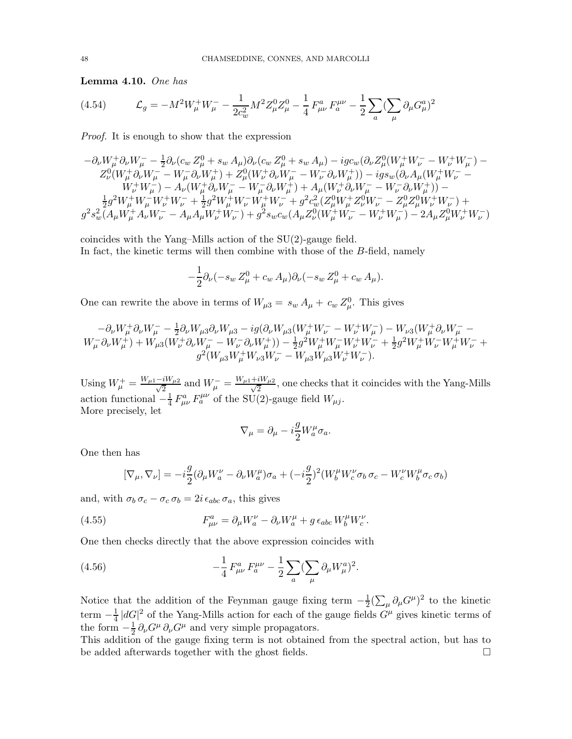<span id="page-47-0"></span>Lemma 4.10. *One has*

$$
(4.54) \t\t\mathcal{L}_g = -M^2 W^+_\mu W^-_\mu - \frac{1}{2c_w^2} M^2 Z^0_\mu Z^0_\mu - \frac{1}{4} F^a_{\mu\nu} F^{\mu\nu}_a - \frac{1}{2} \sum_a (\sum_\mu \partial_\mu G^a_\mu)^2
$$

*Proof.* It is enough to show that the expression

$$
\begin{array}{l} -\partial_{\nu}W^{+}_{\mu}\partial_{\nu}W^{-}_{\mu}-\frac{1}{2}\partial_{\nu}(c_{w}\,Z^{0}_{\mu}+s_{w}\,A_{\mu})\partial_{\nu}(c_{w}\,Z^{0}_{\mu}+s_{w}\,A_{\mu})-ig c_{w}(\partial_{\nu}Z^{0}_{\mu}(W^{+}_{\mu}W^{-}_{\nu}-W^{+}_{\nu}W^{-}_{\mu})-\\ Z^{0}_{\nu}(W^{+}_{\mu}\partial_{\nu}W^{-}_{\mu}-W^{-}_{\mu}\partial_{\nu}W^{+}_{\mu})+Z^{0}_{\mu}(W^{+}_{\nu}\partial_{\nu}W^{-}_{\mu}-W^{-}_{\nu}\partial_{\nu}W^{+}_{\mu}))-ig s_{w}(\partial_{\nu}A_{\mu}(W^{+}_{\mu}W^{-}_{\nu}-W^{-}_{\nu}W^{+}_{\nu}W^{-}_{\mu})-\\ W^{+}_{\nu}W^{-}_{\mu})-A_{\nu}(W^{+}_{\mu}\partial_{\nu}W^{-}_{\mu}-W^{-}_{\mu}\partial_{\nu}W^{+}_{\mu})+A_{\mu}(W^{+}_{\nu}\partial_{\nu}W^{-}_{\mu}-W^{-}_{\nu}\partial_{\nu}W^{+}_{\mu}))-\\ \frac{1}{2}g^{2}W^{+}_{\mu}W^{-}_{\mu}W^{+}_{\nu}W^{-}_{\nu}+\frac{1}{2}g^{2}W^{+}_{\mu}W^{-}_{\nu}W^{+}_{\mu}W^{-}_{\nu}+g^{2}c^{2}_{w}(Z^{0}_{\mu}W^{+}_{\mu}Z^{0}_{\nu}W^{-}_{\nu}-Z^{0}_{\mu}Z^{0}_{\mu}W^{+}_{\nu}W^{-}_{\nu})+\\ g^{2}s^{2}_{w}(A_{\mu}W^{+}_{\mu}A_{\nu}W^{-}_{\nu}-A_{\mu}A_{\mu}W^{+}_{\nu}W^{-}_{\nu})+g^{2}s_{w}c_{w}(A_{\mu}Z^{0}_{\nu}(W^{+}_{\mu}W^{-}_{\nu}-W^{+}_{\nu}W^{-}_{\mu})-2A_{\mu}Z^{0}_{\mu}W^{+}_{\nu}W^{-}_{\nu}) \end{array}
$$

coincides with the Yang–Mills action of the SU(2)-gauge field. In fact, the kinetic terms will then combine with those of the B-field, namely

$$
-\frac{1}{2}\partial_{\nu}(-s_w Z^0_{\mu}+c_w A_{\mu})\partial_{\nu}(-s_w Z^0_{\mu}+c_w A_{\mu}).
$$

One can rewrite the above in terms of  $W_{\mu 3} = s_w A_\mu + c_w Z_\mu^0$ . This gives

$$
-\partial_{\nu}W_{\mu}^{+}\partial_{\nu}W_{\mu}^{-}-\frac{1}{2}\partial_{\nu}W_{\mu 3}\partial_{\nu}W_{\mu 3}-ig(\partial_{\nu}W_{\mu 3}(W_{\mu}^{+}W_{\nu}^{-}-W_{\nu}^{+}W_{\mu}^{-})-W_{\nu 3}(W_{\mu}^{+}\partial_{\nu}W_{\mu}^{-}-W_{\mu}^{-}\partial_{\nu}W_{\mu}^{+})+W_{\mu 3}(W_{\nu}^{+}\partial_{\nu}W_{\mu}^{-}-W_{\nu}^{-}\partial_{\nu}W_{\mu}^{+}))-\frac{1}{2}g^{2}W_{\mu}^{+}W_{\mu}^{-}W_{\nu}^{+}W_{\nu}^{-}+\frac{1}{2}g^{2}W_{\mu}^{+}W_{\nu}^{-}W_{\mu}^{+}W_{\nu}^{-}+g^{2}(W_{\mu 3}W_{\mu}^{+}W_{\nu 3}W_{\nu}^{-}-W_{\mu 3}W_{\mu 3}W_{\nu}^{+}W_{\nu}^{-}).
$$

Using  $W^+_{\mu} = \frac{W_{\mu 1} - iW_{\mu 2}}{\sqrt{2}}$  $\frac{iW_{\mu 2}}{2}$  and  $W_{\mu}^{-} = \frac{W_{\mu 1} + iW_{\mu 2}}{\sqrt{2}}$  $\frac{2W\mu^2}{2}$ , one checks that it coincides with the Yang-Mills action functional  $-\frac{1}{4}$  $\frac{1}{4} F_{\mu\nu}^a F_a^{\mu\nu}$  of the SU(2)-gauge field  $W_{\mu j}$ . More precisely, let

$$
\nabla_{\mu} = \partial_{\mu} - i \frac{g}{2} W^{\mu}_{a} \sigma_{a}.
$$

One then has

$$
[\nabla_{\mu}, \nabla_{\nu}] = -i\frac{g}{2}(\partial_{\mu}W^{\nu}_{a} - \partial_{\nu}W^{\mu}_{a})\sigma_{a} + (-i\frac{g}{2})^{2}(W^{\mu}_{b}W^{\nu}_{c}\sigma_{b}\sigma_{c} - W^{\nu}_{c}W^{\mu}_{b}\sigma_{c}\sigma_{b})
$$

and, with  $\sigma_b \sigma_c - \sigma_c \sigma_b = 2i \epsilon_{abc} \sigma_a$ , this gives

(4.55) 
$$
F^a_{\mu\nu} = \partial_\mu W^\nu_a - \partial_\nu W^\mu_a + g \,\epsilon_{abc} \, W^\mu_b W^\nu_c.
$$

One then checks directly that the above expression coincides with

(4.56) 
$$
-\frac{1}{4} F_{\mu\nu}^a F_a^{\mu\nu} - \frac{1}{2} \sum_a (\sum_\mu \partial_\mu W_\mu^a)^2.
$$

Notice that the addition of the Feynman gauge fixing term  $-\frac{1}{2}$  $\frac{1}{2}(\sum_{\mu}\partial_{\mu}G^{\mu})^2$  to the kinetic term  $-\frac{1}{4}$  $\frac{1}{4}$  |dG|<sup>2</sup> of the Yang-Mills action for each of the gauge fields  $G^{\mu}$  gives kinetic terms of the form  $-\frac{1}{2}$  $\frac{1}{2} \partial_{\nu} G^{\mu} \partial_{\nu} G^{\mu}$  and very simple propagators.

This addition of the gauge fixing term is not obtained from the spectral action, but has to be added afterwards together with the ghost fields.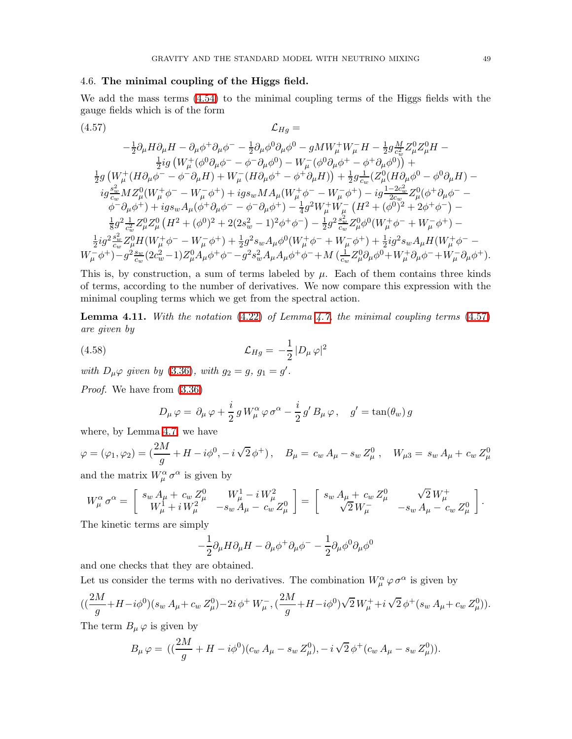## <span id="page-48-0"></span>4.6. The minimal coupling of the Higgs field.

<span id="page-48-1"></span>We add the mass terms [\(4.54\)](#page-47-0) to the minimal coupling terms of the Higgs fields with the gauge fields which is of the form

(4.57) 
$$
\mathcal{L}_{Hg} =
$$

$$
-\frac{1}{2}\partial_{\mu}H\partial_{\mu}H - \partial_{\mu}\phi^{+}\partial_{\mu}\phi^{-} - \frac{1}{2}\partial_{\mu}\phi^{0}\partial_{\mu}\phi^{0} - gMW_{\mu}^{+}W_{\mu}^{-}H - \frac{1}{2}g\frac{M}{c_{\omega}^{2}}Z_{\mu}^{0}Z_{\mu}^{0}H -
$$

$$
\frac{1}{2}ig\left(W_{\mu}^{+}(\phi^{0}\partial_{\mu}\phi^{-} - \phi^{-}\partial_{\mu}\phi^{0}) - W_{\mu}^{-}(\phi^{0}\partial_{\mu}\phi^{+} - \phi^{+}\partial_{\mu}\phi^{0})\right) +
$$

$$
\frac{1}{2}g\left(W_{\mu}^{+}(H\partial_{\mu}\phi^{-} - \phi^{-}\partial_{\mu}H) + W_{\mu}^{-}(H\partial_{\mu}\phi^{+} - \phi^{+}\partial_{\mu}H)\right) + \frac{1}{2}g\frac{1}{c_{w}}\left(Z_{\mu}^{0}(H\partial_{\mu}\phi^{0} - \phi^{0}\partial_{\mu}H) -
$$

$$
ig\frac{s_{w}^{2}}{c_{w}}MZ_{\mu}^{0}(W_{\mu}^{+}\phi^{-} - W_{\mu}^{-}\phi^{+}) + ig s_{w} MA_{\mu}(W_{\mu}^{+}\phi^{-} - W_{\mu}^{-}\phi^{+}) - ig\frac{1-2c_{w}^{2}}{2c_{w}}Z_{\mu}^{0}(\phi^{+}\partial_{\mu}\phi^{-} - \phi^{-}\partial_{\mu}\phi^{+}) + ig s_{w} A_{\mu}(\phi^{+}\partial_{\mu}\phi^{-} - \phi^{-}\partial_{\mu}\phi^{+}) - \frac{1}{4}g^{2}W_{\mu}^{+}W_{\mu}^{-}(H^{2} + (\phi^{0})^{2} + 2\phi^{+}\phi^{-}) -
$$

$$
\frac{1}{8}g^{2}\frac{1}{c_{w}^{2}}Z_{\mu}^{0}Z_{\mu}^{0}(H^{2} + (\phi^{0})^{2} + 2(2s_{w}^{2} - 1)^{2}\phi^{+}\phi^{-}) - \frac{1}{2}g^{2}\frac{s_{w}^{2}}{c_{w}}Z_{\mu}^{0}\phi^{0}(W_{\mu}^{+}\phi^{-} + W_{\mu}^{-}\phi^{+}) -
$$
<math display="block</p>

This is, by construction, a sum of terms labeled by  $\mu$ . Each of them contains three kinds of terms, according to the number of derivatives. We now compare this expression with the minimal coupling terms which we get from the spectral action.

Lemma 4.11. *With the notation* [\(4.22\)](#page-39-4) *of Lemma [4.7,](#page-39-1) the minimal coupling terms* [\(4.57\)](#page-48-1) *are given by*

(4.58) 
$$
\mathcal{L}_{Hg} = -\frac{1}{2} |D_{\mu} \varphi|^2
$$

*with*  $D_{\mu}\varphi$  *given by* [\(3.36\)](#page-29-1)*, with*  $g_2 = g$ *,*  $g_1 = g'$ *.* 

*Proof.* We have from [\(3.36\)](#page-29-1)

$$
D_{\mu}\varphi = \partial_{\mu}\varphi + \frac{i}{2} g W^{\alpha}_{\mu}\varphi \sigma^{\alpha} - \frac{i}{2} g' B_{\mu}\varphi, \quad g' = \tan(\theta_w) g
$$

where, by Lemma [4.7,](#page-39-1) we have

$$
\varphi = (\varphi_1, \varphi_2) = \left(\frac{2M}{g} + H - i\phi^0, -i\sqrt{2}\,\phi^+\right), \quad B_\mu = c_w A_\mu - s_w Z_\mu^0 \;, \quad W_{\mu 3} = s_w A_\mu + c_w Z_\mu^0
$$
  
and the matrix  $W_\mu^\alpha \sigma^\alpha$  is given by

$$
W^{\alpha}_{\mu}\, \sigma^{\alpha} = \left[ \begin{array}{cc} s_w\, A_{\mu} + \,c_w\,Z^0_{\mu} & W^1_{\mu} - i\,W^2_{\mu} \\ W^1_{\mu} + i\,W^2_{\mu} & -s_w\,A_{\mu} - \,c_w\,Z^0_{\mu} \end{array} \right] = \left[ \begin{array}{cc} s_w\, A_{\mu} + \,c_w\,Z^0_{\mu} & \sqrt{2}\,W^+_{\mu} \\ \sqrt{2}\,W^-_{\mu} & -s_w\,A_{\mu} - \,c_w\,Z^0_{\mu} \end{array} \right].
$$

The kinetic terms are simply

$$
-\frac{1}{2}\partial_{\mu}H\partial_{\mu}H - \partial_{\mu}\phi^{+}\partial_{\mu}\phi^{-} - \frac{1}{2}\partial_{\mu}\phi^{0}\partial_{\mu}\phi^{0}
$$

and one checks that they are obtained.

Let us consider the terms with no derivatives. The combination  $W^{\alpha}_{\mu} \varphi \sigma^{\alpha}$  is given by

$$
((\frac{2M}{g} + H - i\phi^0)(s_w A_\mu + c_w Z_\mu^0) - 2i \phi^+ W_\mu^-, (\frac{2M}{g} + H - i\phi^0) \sqrt{2} W_\mu^+ + i \sqrt{2} \phi^+(s_w A_\mu + c_w Z_\mu^0)).
$$

The term  $B_\mu \varphi$  is given by

$$
B_{\mu}\varphi = \left( \left( \frac{2M}{g} + H - i\phi^0 \right) \left( c_w A_{\mu} - s_w Z_{\mu}^0 \right), -i\sqrt{2} \phi^+(c_w A_{\mu} - s_w Z_{\mu}^0) \right).
$$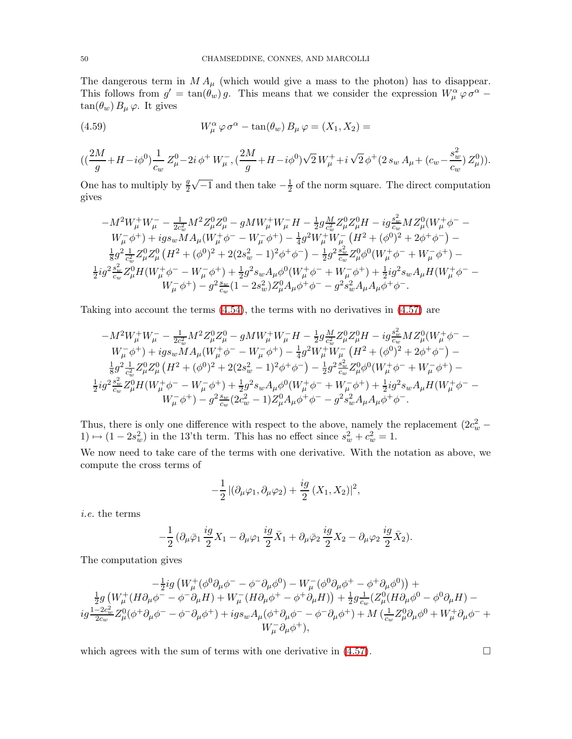The dangerous term in  $MA_{\mu}$  (which would give a mass to the photon) has to disappear. This follows from  $g' = \tan(\theta_w) g$ . This means that we consider the expression  $W^{\alpha}_{\mu} \varphi \sigma^{\alpha}$  –  $\tan(\theta_w) B_\mu \varphi$ . It gives

(4.59) 
$$
W^{\alpha}_{\mu} \varphi \sigma^{\alpha} - \tan(\theta_{w}) B_{\mu} \varphi = (X_1, X_2) =
$$

$$
((\frac{2M}{g} + H - i\phi^0)\frac{1}{c_w} Z^0_\mu - 2i \phi^+ W^-_\mu, (\frac{2M}{g} + H - i\phi^0) \sqrt{2} W^+_\mu + i \sqrt{2} \phi^+ (2 s_w A_\mu + (c_w - \frac{s_w^2}{c_w}) Z^0_\mu)).
$$

One has to multiply by  $\frac{g}{2}$  $\sqrt{-1}$  and then take  $-\frac{1}{2}$  $\frac{1}{2}$  of the norm square. The direct computation gives

$$
\begin{array}{c} -M^2W^+_\mu W^-_\mu-\frac{1}{2c_w^2}M^2Z^0_\mu Z^0_\mu-gMW^+_\mu W^-_\mu H-\frac{1}{2}g\frac{M}{c_w^2}Z^0_\mu Z^0_\mu H-i g\frac{s_w^2}{c_w}MZ^0_\mu (W^+_\mu\phi^--\\ W^-_\mu\phi^+)+ig s_w M A_\mu (W^+_\mu\phi^--W^-_\mu\phi^+)-\frac{1}{4}g^2W^+_\mu W^-_\mu \left(H^2+(\phi^0)^2+2\phi^+\phi^-\right)-\\ \frac{1}{8}g^2\frac{1}{c_w^2}Z^0_\mu Z^0_\mu \left(H^2+(\phi^0)^2+2(2s_w^2-1)^2\phi^+\phi^-\right)-\frac{1}{2}g^2\frac{s_w^2}{c_w}Z^0_\mu\phi^0 (W^+_\mu\phi^-+W^-_\mu\phi^+)-\\ \frac{1}{2}ig^2\frac{s_w^2}{c_w}Z^0_\mu H(W^+_\mu\phi^--W^-_\mu\phi^+)+\frac{1}{2}g^2s_w A_\mu\phi^0 (W^+_\mu\phi^-+W^-_\mu\phi^+)+\frac{1}{2}ig^2s_w A_\mu H(W^+_\mu\phi^--\\ W^-_\mu\phi^+)-g^2\frac{s_w}{c_w}(1-2s_w^2)Z^0_\mu A_\mu\phi^+\phi^--g^2s_w^2 A_\mu A_\mu\phi^+\phi^-. \end{array}
$$

Taking into account the terms [\(4.54\)](#page-47-0), the terms with no derivatives in [\(4.57\)](#page-48-1) are

$$
\begin{array}{c} -M^2W^+_\mu W^-_\mu-\frac{1}{2c_w^2}M^2Z^0_\mu Z^0_\mu-gMW^+_\mu W^-_\mu H-\frac{1}{2}g\frac{M}{c_w^2}Z^0_\mu Z^0_\mu H-i g\frac{s_w^2}{c_w}MZ^0_\mu (W^+_\mu \phi^--\\ W^-_\mu \phi^+)+ig s_w M A_\mu (W^+_\mu \phi^--W^-_\mu \phi^+)-\frac{1}{4}g^2W^+_\mu W^-_\mu \left(H^2+(\phi^0)^2+2\phi^+\phi^-\right)-\\ \frac{1}{8}g^2\frac{1}{c_w^2}Z^0_\mu Z^0_\mu \left(H^2+(\phi^0)^2+2(2s_w^2-1)^2\phi^+\phi^-\right)-\frac{1}{2}g^2\frac{s_w^2}{c_w}Z^0_\mu \phi^0 (W^+_\mu \phi^-+W^-_\mu \phi^+)-\\ \frac{1}{2}ig^2\frac{s_w^2}{c_w}Z^0_\mu H(W^+_\mu \phi^--W^-_\mu \phi^+)+\frac{1}{2}g^2 s_w A_\mu \phi^0 (W^+_\mu \phi^-+W^-_\mu \phi^+)+\frac{1}{2}ig^2 s_w A_\mu H(W^+_\mu \phi^--\\ W^-_\mu \phi^+)-g^2\frac{s_w}{c_w}(2c_w^2-1)Z^0_\mu A_\mu \phi^+ \phi^--g^2s_w^2 A_\mu A_\mu \phi^+ \phi^-. \end{array}
$$

Thus, there is only one difference with respect to the above, namely the replacement  $(2c_w^2 -$ 1) →  $(1 - 2s_w^2)$  in the 13'th term. This has no effect since  $s_w^2 + c_w^2 = 1$ .

We now need to take care of the terms with one derivative. With the notation as above, we compute the cross terms of

$$
-\frac{1}{2}\left| \left(\partial_{\mu}\varphi_1,\partial_{\mu}\varphi_2\right) + \frac{ig}{2}\left(X_1,X_2\right) \right|^2,
$$

*i.e.* the terms

$$
-\frac{1}{2} \left(\partial_{\mu}\bar{\varphi}_1 \frac{ig}{2}X_1 - \partial_{\mu}\varphi_1 \frac{ig}{2}\bar{X}_1 + \partial_{\mu}\bar{\varphi}_2 \frac{ig}{2}X_2 - \partial_{\mu}\varphi_2 \frac{ig}{2}\bar{X}_2\right).
$$

The computation gives

$$
-\frac{1}{2}ig\left(W^+_\mu(\phi^0\partial_\mu\phi^--\phi^-\partial_\mu\phi^0)-W^-_\mu(\phi^0\partial_\mu\phi^+-\phi^+\partial_\mu\phi^0)\right)+\\ \frac{1}{2}g\left(W^+_\mu(H\partial_\mu\phi^--\phi^-\partial_\mu H)+W^-_\mu(H\partial_\mu\phi^+-\phi^+\partial_\mu H)\right)+\frac{1}{2}g\frac{1}{c_w}(Z^0_\mu(H\partial_\mu\phi^0-\phi^0\partial_\mu H)-ig\frac{1-2c_w^2}{2c_w}Z^0_\mu(\phi^+\partial_\mu\phi^--\phi^-\partial_\mu\phi^+)+igs_wA_\mu(\phi^+\partial_\mu\phi^--\phi^-\partial_\mu\phi^+)+M\left(\frac{1}{c_w}Z^0_\mu\partial_\mu\phi^0+W^+_\mu\partial_\mu\phi^-+\\W^-_\mu\partial_\mu\phi^+\right),
$$

which agrees with the sum of terms with one derivative in  $(4.57)$ .

$$
\Box
$$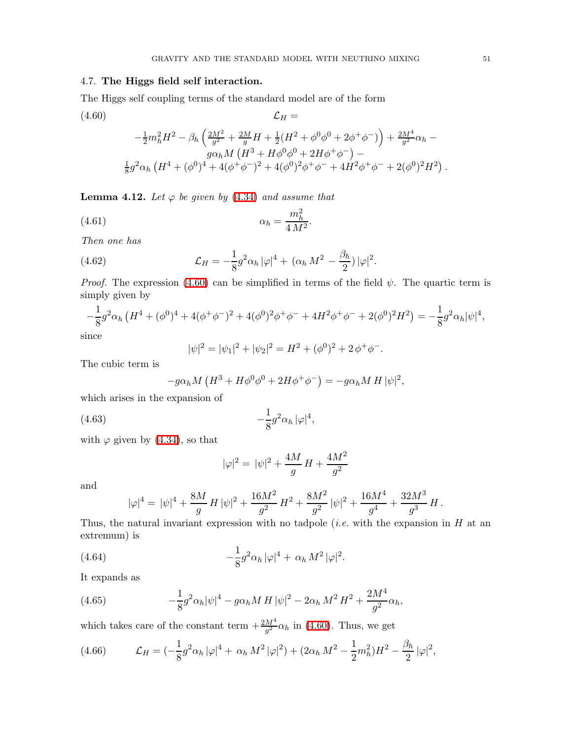### <span id="page-50-0"></span>4.7. The Higgs field self interaction.

<span id="page-50-1"></span>The Higgs self coupling terms of the standard model are of the form

(4.60)  
\n
$$
\mathcal{L}_H =
$$
\n
$$
-\frac{1}{2}m_h^2H^2 - \beta_h \left(\frac{2M^2}{g^2} + \frac{2M}{g}H + \frac{1}{2}(H^2 + \phi^0\phi^0 + 2\phi^+\phi^-)\right) + \frac{2M^4}{g^2}\alpha_h -
$$
\n
$$
g\alpha_hM\left(H^3 + H\phi^0\phi^0 + 2H\phi^+\phi^-\right) -
$$
\n
$$
\frac{1}{8}g^2\alpha_h\left(H^4 + (\phi^0)^4 + 4(\phi^+\phi^-)^2 + 4(\phi^0)^2\phi^+\phi^- + 4H^2\phi^+\phi^- + 2(\phi^0)^2H^2\right).
$$

**Lemma 4.12.** *Let*  $\varphi$  *be given by* [\(4.34\)](#page-42-2) *and assume that* 

$$
\alpha_h = \frac{m_h^2}{4 M^2}.
$$

*Then one has*

(4.62) 
$$
\mathcal{L}_H = -\frac{1}{8}g^2\alpha_h |\varphi|^4 + (\alpha_h M^2 - \frac{\beta_h}{2}) |\varphi|^2.
$$

*Proof.* The expression [\(4.60\)](#page-50-1) can be simplified in terms of the field  $\psi$ . The quartic term is simply given by

$$
-\frac{1}{8}g^2\alpha_h \left(H^4 + (\phi^0)^4 + 4(\phi^+\phi^-)^2 + 4(\phi^0)^2\phi^+\phi^- + 4H^2\phi^+\phi^- + 2(\phi^0)^2H^2\right) = -\frac{1}{8}g^2\alpha_h|\psi|^4,
$$
since

since

<span id="page-50-2"></span>
$$
|\psi|^2 = |\psi_1|^2 + |\psi_2|^2 = H^2 + (\phi^0)^2 + 2\phi^+ \phi^-.
$$

The cubic term is

$$
-g\alpha_h M \left(H^3 + H\phi^0 \phi^0 + 2H\phi^+ \phi^- \right) = -g\alpha_h M H |\psi|^2,
$$

which arises in the expansion of

(4.63) 
$$
-\frac{1}{8}g^2\alpha_h |\varphi|^4,
$$

with  $\varphi$  given by [\(4.34\)](#page-42-2), so that

<span id="page-50-3"></span>
$$
|\varphi|^2 = \, |\psi|^2 + \frac{4M}{g} \, H + \frac{4M^2}{g^2}
$$

and

$$
|\varphi|^4 = |\psi|^4 + \frac{8M}{g} H |\psi|^2 + \frac{16M^2}{g^2} H^2 + \frac{8M^2}{g^2} |\psi|^2 + \frac{16M^4}{g^4} + \frac{32M^3}{g^3} H.
$$

Thus, the natural invariant expression with no tadpole (*i.e.* with the expansion in H at an extremum) is

(4.64) 
$$
-\frac{1}{8}g^2\alpha_h |\varphi|^4 + \alpha_h M^2 |\varphi|^2.
$$

It expands as

(4.65) 
$$
-\frac{1}{8}g^2\alpha_h|\psi|^4 - g\alpha_h M H |\psi|^2 - 2\alpha_h M^2 H^2 + \frac{2M^4}{g^2}\alpha_h,
$$

which takes care of the constant term  $+\frac{2M^4}{g^2}\alpha_h$  in [\(4.60\)](#page-50-1). Thus, we get

$$
(4.66) \qquad \mathcal{L}_H = \left(-\frac{1}{8}g^2\alpha_h |\varphi|^4 + \alpha_h M^2 |\varphi|^2\right) + (2\alpha_h M^2 - \frac{1}{2}m_h^2)H^2 - \frac{\beta_h}{2}|\varphi|^2,
$$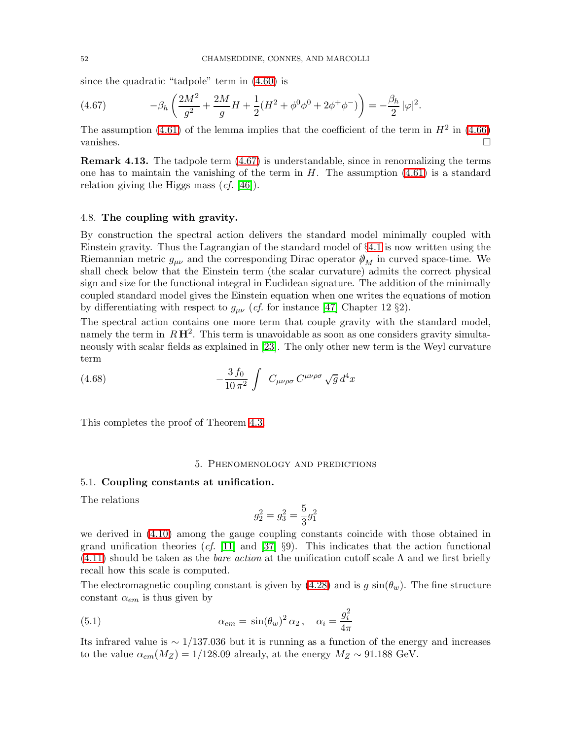<span id="page-51-3"></span>since the quadratic "tadpole" term in [\(4.60\)](#page-50-1) is

(4.67) 
$$
-\beta_h \left(\frac{2M^2}{g^2} + \frac{2M}{g}H + \frac{1}{2}(H^2 + \phi^0 \phi^0 + 2\phi^+ \phi^-)\right) = -\frac{\beta_h}{2} |\varphi|^2.
$$

The assumption [\(4.61\)](#page-50-2) of the lemma implies that the coefficient of the term in  $H^2$  in [\(4.66\)](#page-50-3) vanishes.  $\Box$ 

Remark 4.13. The tadpole term [\(4.67\)](#page-51-3) is understandable, since in renormalizing the terms one has to maintain the vanishing of the term in  $H$ . The assumption  $(4.61)$  is a standard relation giving the Higgs mass (*cf.* [\[46\]](#page-70-6)).

### <span id="page-51-0"></span>4.8. The coupling with gravity.

By construction the spectral action delivers the standard model minimally coupled with Einstein gravity. Thus the Lagrangian of the standard model of §[4.1](#page-34-0) is now written using the Riemannian metric  $g_{\mu\nu}$  and the corresponding Dirac operator  $\partial_M$  in curved space-time. We shall check below that the Einstein term (the scalar curvature) admits the correct physical sign and size for the functional integral in Euclidean signature. The addition of the minimally coupled standard model gives the Einstein equation when one writes the equations of motion by differentiating with respect to  $g_{\mu\nu}$  (*cf.* for instance [\[47\]](#page-70-7) Chapter 12 §2).

The spectral action contains one more term that couple gravity with the standard model, namely the term in  $R H<sup>2</sup>$ . This term is unavoidable as soon as one considers gravity simultaneously with scalar fields as explained in [\[23\]](#page-69-6). The only other new term is the Weyl curvature term

(4.68) 
$$
-\frac{3 f_0}{10 \pi^2} \int C_{\mu\nu\rho\sigma} C^{\mu\nu\rho\sigma} \sqrt{g} d^4x
$$

<span id="page-51-1"></span>This completes the proof of Theorem [4.3.](#page-34-2)

#### 5. Phenomenology and predictions

### <span id="page-51-2"></span>5.1. Coupling constants at unification.

The relations

$$
g_2^2 = g_3^2 = \frac{5}{3}g_1^2
$$

we derived in [\(4.10\)](#page-36-2) among the gauge coupling constants coincide with those obtained in grand unification theories (*cf.* [\[11\]](#page-69-7) and [\[37\]](#page-70-1) §9). This indicates that the action functional [\(4.11\)](#page-36-4) should be taken as the *bare action* at the unification cutoff scale Λ and we first briefly recall how this scale is computed.

The electromagnetic coupling constant is given by  $(4.28)$  and is g  $\sin(\theta_w)$ . The fine structure constant  $\alpha_{em}$  is thus given by

(5.1) 
$$
\alpha_{em} = \sin(\theta_w)^2 \alpha_2, \quad \alpha_i = \frac{g_i^2}{4\pi}
$$

Its infrared value is  $\sim 1/137.036$  but it is running as a function of the energy and increases to the value  $\alpha_{em}(M_Z) = 1/128.09$  already, at the energy  $M_Z \sim 91.188$  GeV.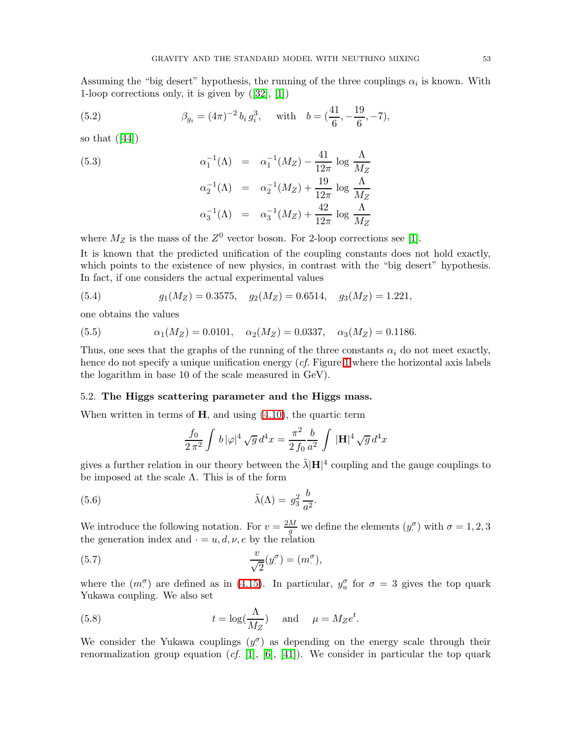Assuming the "big desert" hypothesis, the running of the three couplings  $\alpha_i$  is known. With 1-loopcorrections only, it is given by  $([32], [1])$  $([32], [1])$  $([32], [1])$  $([32], [1])$  $([32], [1])$ 

(5.2) 
$$
\beta_{g_i} = (4\pi)^{-2} b_i g_i^3, \quad \text{with} \quad b = (\frac{41}{6}, -\frac{19}{6}, -7),
$$

sothat  $([44])$  $([44])$  $([44])$ 

(5.3)  
\n
$$
\alpha_1^{-1}(\Lambda) = \alpha_1^{-1}(M_Z) - \frac{41}{12\pi} \log \frac{\Lambda}{M_Z}
$$
\n
$$
\alpha_2^{-1}(\Lambda) = \alpha_2^{-1}(M_Z) + \frac{19}{12\pi} \log \frac{\Lambda}{M_Z}
$$
\n
$$
\alpha_3^{-1}(\Lambda) = \alpha_3^{-1}(M_Z) + \frac{42}{12\pi} \log \frac{\Lambda}{M_Z}
$$

where  $M_Z$  is the mass of the  $Z^0$  vector boson. For 2-loop corrections see [\[1\]](#page-69-18).

It is known that the predicted unification of the coupling constants does not hold exactly, which points to the existence of new physics, in contrast with the "big desert" hypothesis. In fact, if one considers the actual experimental values

(5.4) 
$$
g_1(M_Z) = 0.3575
$$
,  $g_2(M_Z) = 0.6514$ ,  $g_3(M_Z) = 1.221$ ,

one obtains the values

(5.5) 
$$
\alpha_1(M_Z) = 0.0101, \quad \alpha_2(M_Z) = 0.0337, \quad \alpha_3(M_Z) = 0.1186.
$$

Thus, one sees that the graphs of the running of the three constants  $\alpha_i$  do not meet exactly, hence do not specify a unique unification energy (*cf.* Figure [1](#page-53-0) where the horizontal axis labels the logarithm in base 10 of the scale measured in GeV).

### <span id="page-52-0"></span>5.2. The Higgs scattering parameter and the Higgs mass.

When written in terms of  $H$ , and using  $(4.10)$ , the quartic term

<span id="page-52-3"></span><span id="page-52-1"></span>
$$
\frac{f_0}{2\pi^2} \int b |\varphi|^4 \sqrt{g} d^4 x = \frac{\pi^2}{2 f_0} \frac{b}{a^2} \int |\mathbf{H}|^4 \sqrt{g} d^4 x
$$

gives a further relation in our theory between the  $\tilde{\lambda}|\mathbf{H}|^4$  coupling and the gauge couplings to be imposed at the scale  $\Lambda$ . This is of the form

(5.6) 
$$
\tilde{\lambda}(\Lambda) = g_3^2 \frac{b}{a^2}.
$$

We introduce the following notation. For  $v = \frac{2M}{g}$  we define the elements  $(y^{\sigma})$ .  $\binom{\sigma}{\cdot}$  with  $\sigma = 1, 2, 3$ the generation index and  $\cdot = u, d, \nu, e$  by the relation

(5.7) 
$$
\frac{v}{\sqrt{2}}(y^{\sigma}) = (m^{\sigma}),
$$

<span id="page-52-2"></span>where the  $(m^{\sigma})$  are defined as in [\(4.15\)](#page-38-2). In particular,  $y^{\sigma}_u$  for  $\sigma = 3$  gives the top quark Yukawa coupling. We also set

(5.8) 
$$
t = \log(\frac{\Lambda}{M_Z}) \quad \text{and} \quad \mu = M_Z e^t.
$$

We consider the Yukawa couplings  $(y^{\sigma})$  as depending on the energy scale through their renormalization group equation  $(cf. [1], [6], [41])$  $(cf. [1], [6], [41])$  $(cf. [1], [6], [41])$  $(cf. [1], [6], [41])$  $(cf. [1], [6], [41])$  $(cf. [1], [6], [41])$  $(cf. [1], [6], [41])$ . We consider in particular the top quark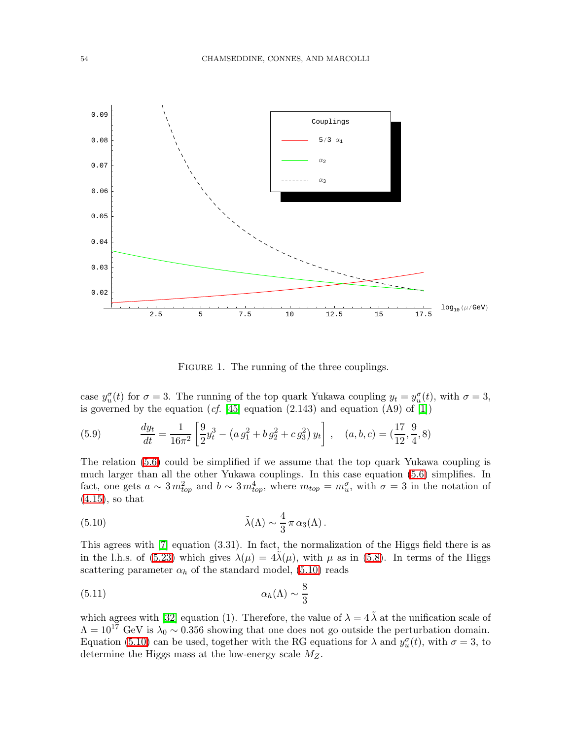

<span id="page-53-2"></span><span id="page-53-0"></span>FIGURE 1. The running of the three couplings.

case  $y_u^{\sigma}(t)$  for  $\sigma = 3$ . The running of the top quark Yukawa coupling  $y_t = y_u^{\sigma}(t)$ , with  $\sigma = 3$ , is governed by the equation  $(cf. [45]$  $(cf. [45]$  equation  $(2.143)$  and equation  $(A9)$  of  $[1]$ )

(5.9) 
$$
\frac{dy_t}{dt} = \frac{1}{16\pi^2} \left[ \frac{9}{2} y_t^3 - \left( a \, g_1^2 + b \, g_2^2 + c \, g_3^2 \right) y_t \right], \quad (a, b, c) = (\frac{17}{12}, \frac{9}{4}, 8)
$$

<span id="page-53-1"></span>The relation [\(5.6\)](#page-52-1) could be simplified if we assume that the top quark Yukawa coupling is much larger than all the other Yukawa couplings. In this case equation [\(5.6\)](#page-52-1) simplifies. In fact, one gets  $a \sim 3 m_{top}^2$  and  $b \sim 3 m_{top}^4$ , where  $m_{top} = m_u^{\sigma}$ , with  $\sigma = 3$  in the notation of [\(4.15\)](#page-38-2), so that

(5.10) 
$$
\tilde{\lambda}(\Lambda) \sim \frac{4}{3} \pi \alpha_3(\Lambda).
$$

This agrees with [\[7\]](#page-69-19) equation (3.31). In fact, the normalization of the Higgs field there is as in the l.h.s. of [\(5.23\)](#page-56-1) which gives  $\lambda(\mu) = 4\lambda(\mu)$ , with  $\mu$  as in [\(5.8\)](#page-52-2). In terms of the Higgs scattering parameter  $\alpha_h$  of the standard model, [\(5.10\)](#page-53-1) reads

(5.11) 
$$
\alpha_h(\Lambda) \sim \frac{8}{3}
$$

which agrees with [\[32\]](#page-70-8) equation (1). Therefore, the value of  $\lambda = 4 \tilde{\lambda}$  at the unification scale of  $\Lambda = 10^{17}$  GeV is  $\lambda_0 \sim 0.356$  showing that one does not go outside the perturbation domain. Equation [\(5.10\)](#page-53-1) can be used, together with the RG equations for  $\lambda$  and  $y_u^{\sigma}(t)$ , with  $\sigma = 3$ , to determine the Higgs mass at the low-energy scale  $M_Z$ .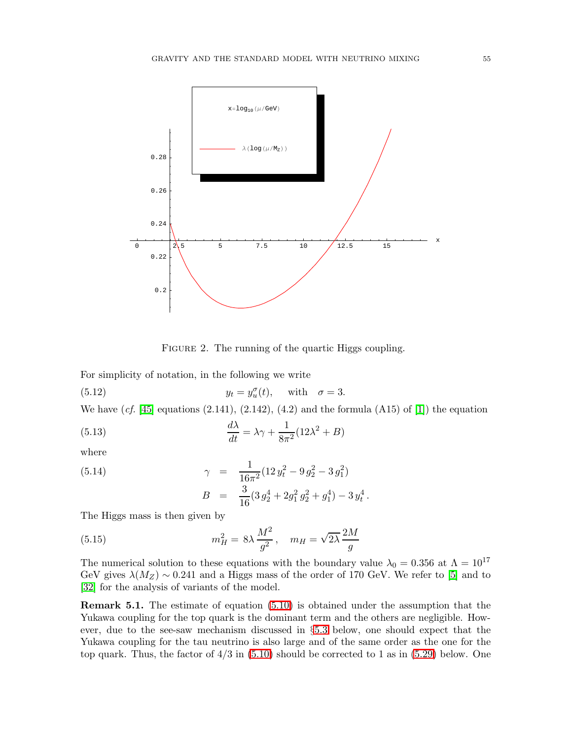

FIGURE 2. The running of the quartic Higgs coupling.

For simplicity of notation, in the following we write

(5.12)  $y_t = y_u^{\sigma}(t)$ , with  $\sigma = 3$ .

We have  $(cf. [45]$  $(cf. [45]$  equations  $(2.141), (2.142), (4.2)$  and the formula  $(A15)$  of  $[1]$ ) the equation

(5.13) 
$$
\frac{d\lambda}{dt} = \lambda \gamma + \frac{1}{8\pi^2} (12\lambda^2 + B)
$$

where

(5.14) 
$$
\gamma = \frac{1}{16\pi^2} (12 y_t^2 - 9 g_2^2 - 3 g_1^2)
$$

$$
B = \frac{3}{16} (3 g_2^4 + 2 g_1^2 g_2^2 + g_1^4) - 3 y_t^4.
$$

The Higgs mass is then given by

(5.15) 
$$
m_H^2 = 8\lambda \frac{M^2}{g^2}, \quad m_H = \sqrt{2\lambda} \frac{2M}{g}
$$

The numerical solution to these equations with the boundary value  $\lambda_0 = 0.356$  at  $\Lambda = 10^{17}$ GeV gives  $\lambda(M_Z) \sim 0.241$  and a Higgs mass of the order of 170 GeV. We refer to [\[5\]](#page-69-23) and to [\[32\]](#page-70-8) for the analysis of variants of the model.

Remark 5.1. The estimate of equation [\(5.10\)](#page-53-1) is obtained under the assumption that the Yukawa coupling for the top quark is the dominant term and the others are negligible. However, due to the see-saw mechanism discussed in §[5.3](#page-55-0) below, one should expect that the Yukawa coupling for the tau neutrino is also large and of the same order as the one for the top quark. Thus, the factor of  $4/3$  in  $(5.10)$  should be corrected to 1 as in  $(5.29)$  below. One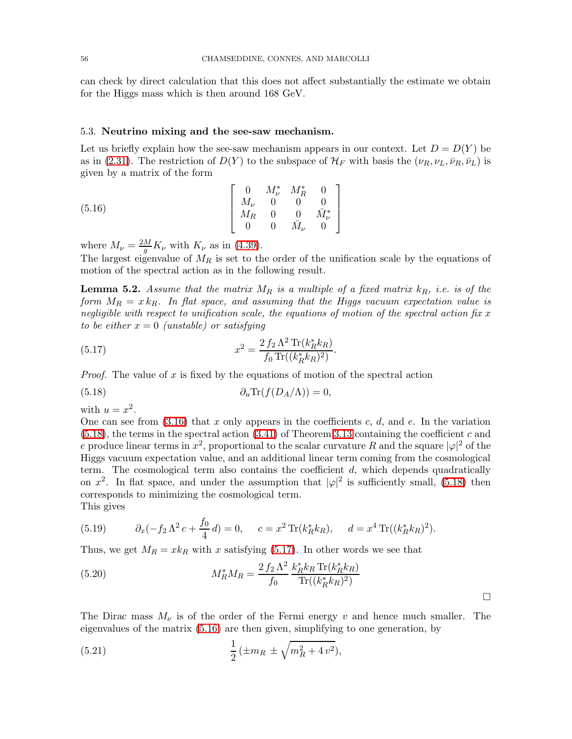can check by direct calculation that this does not affect substantially the estimate we obtain for the Higgs mass which is then around 168 GeV.

#### <span id="page-55-0"></span>5.3. Neutrino mixing and the see-saw mechanism.

<span id="page-55-3"></span>Let us briefly explain how the see-saw mechanism appears in our context. Let  $D = D(Y)$  be as in [\(2.31\)](#page-11-3). The restriction of  $D(Y)$  to the subspace of  $\mathcal{H}_F$  with basis the  $(\nu_R, \nu_L, \bar{\nu}_R, \bar{\nu}_L)$  is given by a matrix of the form

(5.16) 
$$
\begin{bmatrix} 0 & M^*_{\nu} & M^*_{R} & 0 \\ M_{\nu} & 0 & 0 & 0 \\ M_{R} & 0 & 0 & \bar{M}^*_{\nu} \\ 0 & 0 & \bar{M}_{\nu} & 0 \end{bmatrix}
$$

where  $M_{\nu} = \frac{2M}{q}$  $\frac{M}{g}K_{\nu}$  with  $K_{\nu}$  as in [\(4.39\)](#page-43-2).

<span id="page-55-4"></span>The largest eigenvalue of  $M_R$  is set to the order of the unification scale by the equations of motion of the spectral action as in the following result.

<span id="page-55-2"></span>**Lemma 5.2.** Assume that the matrix  $M_R$  is a multiple of a fixed matrix  $k_R$ , i.e. is of the *form*  $M_R = x k_R$ . In flat space, and assuming that the Higgs vacuum expectation value is *negligible with respect to unification scale, the equations of motion of the spectral action fix* x *to be either* x = 0 *(unstable) or satisfying*

(5.17) 
$$
x^2 = \frac{2 f_2 \Lambda^2 \text{Tr}(k_R^* k_R)}{f_0 \text{Tr}((k_R^* k_R)^2)}.
$$

<span id="page-55-1"></span>*Proof.* The value of x is fixed by the equations of motion of the spectral action

(5.18) 
$$
\partial_u \text{Tr}(f(D_A/\Lambda)) = 0,
$$

with  $u = x^2$ .

One can see from  $(3.16)$  that x only appears in the coefficients c, d, and e. In the variation  $(5.18)$ , the terms in the spectral action  $(3.41)$  of Theorem [3.13](#page-29-2) containing the coefficient c and e produce linear terms in  $x^2$ , proportional to the scalar curvature R and the square  $|\varphi|^2$  of the Higgs vacuum expectation value, and an additional linear term coming from the cosmological term. The cosmological term also contains the coefficient  $d$ , which depends quadratically on  $x^2$ . In flat space, and under the assumption that  $|\varphi|^2$  is sufficiently small, [\(5.18\)](#page-55-1) then corresponds to minimizing the cosmological term.

This gives

<span id="page-55-5"></span>(5.19) 
$$
\partial_x (-f_2 \Lambda^2 c + \frac{f_0}{4} d) = 0, \quad c = x^2 \operatorname{Tr}(k_R^* k_R), \quad d = x^4 \operatorname{Tr}((k_R^* k_R)^2).
$$

Thus, we get  $M_R = x k_R$  with x satisfying [\(5.17\)](#page-55-2). In other words we see that

(5.20) 
$$
M_R^* M_R = \frac{2 f_2 \Lambda^2}{f_0} \frac{k_R^* k_R \text{Tr}(k_R^* k_R)}{\text{Tr}((k_R^* k_R)^2)}
$$

<span id="page-55-6"></span>The Dirac mass  $M_{\nu}$  is of the order of the Fermi energy v and hence much smaller. The eigenvalues of the matrix [\(5.16\)](#page-55-3) are then given, simplifying to one generation, by

(5.21) 
$$
\frac{1}{2} (\pm m_R \pm \sqrt{m_R^2 + 4v^2}),
$$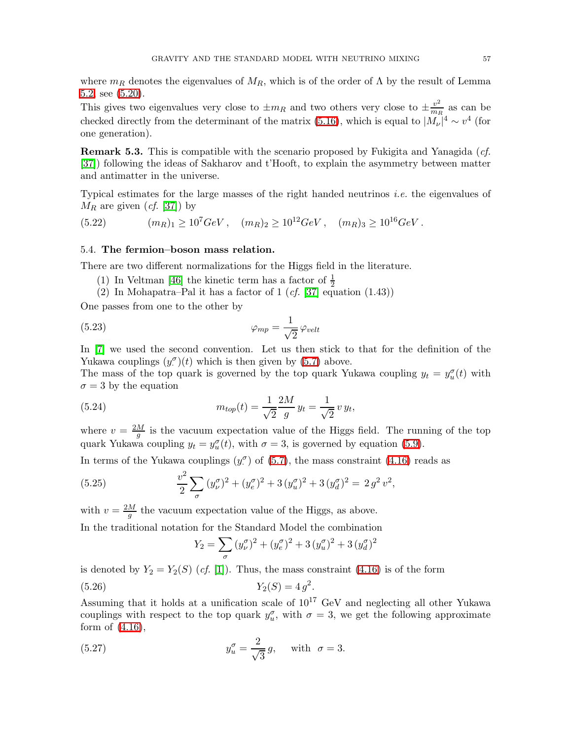where  $m_R$  denotes the eigenvalues of  $M_R$ , which is of the order of  $\Lambda$  by the result of Lemma [5.2,](#page-55-4) see [\(5.20\)](#page-55-5).

This gives two eigenvalues very close to  $\pm m_R$  and two others very close to  $\pm \frac{v^2}{m_R}$  $\frac{v^2}{m_R}$  as can be checked directly from the determinant of the matrix [\(5.16\)](#page-55-3), which is equal to  $|M_{\nu}|^4 \sim v^4$  (for one generation).

Remark 5.3. This is compatible with the scenario proposed by Fukigita and Yanagida (*cf.* [\[37\]](#page-70-1)) following the ideas of Sakharov and t'Hooft, to explain the asymmetry between matter and antimatter in the universe.

<span id="page-56-2"></span>Typical estimates for the large masses of the right handed neutrinos *i.e.* the eigenvalues of  $M_R$  are given (*cf.* [\[37\]](#page-70-1)) by

(5.22) 
$$
(m_R)_1 \ge 10^7 GeV, \quad (m_R)_2 \ge 10^{12} GeV, \quad (m_R)_3 \ge 10^{16} GeV.
$$

#### <span id="page-56-0"></span>5.4. The fermion–boson mass relation.

There are two different normalizations for the Higgs field in the literature.

- <span id="page-56-1"></span>(1) In Veltman [\[46\]](#page-70-6) the kinetic term has a factor of  $\frac{1}{2}$
- (2) In Mohapatra–Pal it has a factor of 1 (*cf.* [\[37\]](#page-70-1) equation (1.43))

One passes from one to the other by

(5.23) 
$$
\varphi_{mp} = \frac{1}{\sqrt{2}} \varphi_{velt}
$$

In [\[7\]](#page-69-19) we used the second convention. Let us then stick to that for the definition of the Yukawa couplings  $(y^{\sigma})(t)$  which is then given by [\(5.7\)](#page-52-3) above.

The mass of the top quark is governed by the top quark Yukawa coupling  $y_t = y_u^{\sigma}(t)$  with  $\sigma = 3$  by the equation

(5.24) 
$$
m_{top}(t) = \frac{1}{\sqrt{2}} \frac{2M}{g} y_t = \frac{1}{\sqrt{2}} v y_t,
$$

where  $v = \frac{2M}{g}$  $\frac{M}{g}$  is the vacuum expectation value of the Higgs field. The running of the top quark Yukawa coupling  $y_t = y_u^{\sigma}(t)$ , with  $\sigma = 3$ , is governed by equation [\(5.9\)](#page-53-2).

In terms of the Yukawa couplings  $(y^{\sigma})$  $\binom{\sigma}{0}$  of [\(5.7\)](#page-52-3), the mass constraint [\(4.16\)](#page-38-3) reads as

(5.25) 
$$
\frac{v^2}{2} \sum_{\sigma} (y^{\sigma}_{\nu})^2 + (y^{\sigma}_{e})^2 + 3 (y^{\sigma}_{u})^2 + 3 (y^{\sigma}_{d})^2 = 2 g^2 v^2,
$$

with  $v = \frac{2M}{a}$  $\frac{M}{g}$  the vacuum expectation value of the Higgs, as above.

In the traditional notation for the Standard Model the combination

<span id="page-56-3"></span>
$$
Y_2 = \sum_{\sigma} (y_{\nu}^{\sigma})^2 + (y_e^{\sigma})^2 + 3 (y_u^{\sigma})^2 + 3 (y_d^{\sigma})^2
$$

is denoted by  $Y_2 = Y_2(S)$  (*cf.* [\[1\]](#page-69-18)). Thus, the mass constraint [\(4.16\)](#page-38-3) is of the form (5.26)  $Y_2(S) = 4g^2$ .

Assuming that it holds at a unification scale of  $10^{17}$  GeV and neglecting all other Yukawa couplings with respect to the top quark  $y_u^{\sigma}$ , with  $\sigma = 3$ , we get the following approximate form of [\(4.16\)](#page-38-3),

(5.27) 
$$
y_u^{\sigma} = \frac{2}{\sqrt{3}} g, \text{ with } \sigma = 3.
$$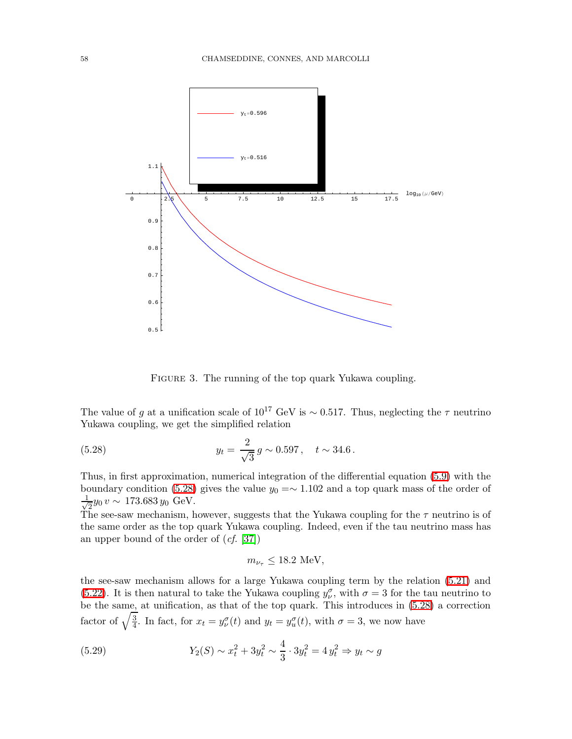

<span id="page-57-1"></span>FIGURE 3. The running of the top quark Yukawa coupling.

The value of g at a unification scale of  $10^{17}$  GeV is ~ 0.517. Thus, neglecting the  $\tau$  neutrino Yukawa coupling, we get the simplified relation

(5.28) 
$$
y_t = \frac{2}{\sqrt{3}} g \sim 0.597, \quad t \sim 34.6.
$$

Thus, in first approximation, numerical integration of the differential equation [\(5.9\)](#page-53-2) with the boundary condition [\(5.28\)](#page-57-1) gives the value  $y_0 = \sim 1.102$  and a top quark mass of the order of √ 1  $\frac{1}{2}y_0 v \sim 173.683 y_0 \text{ GeV}.$ 

The see-saw mechanism, however, suggests that the Yukawa coupling for the  $\tau$  neutrino is of the same order as the top quark Yukawa coupling. Indeed, even if the tau neutrino mass has an upper bound of the order of (*cf.* [\[37\]](#page-70-1))

<span id="page-57-0"></span>
$$
m_{\nu_{\tau}} \leq 18.2 \text{ MeV},
$$

the see-saw mechanism allows for a large Yukawa coupling term by the relation [\(5.21\)](#page-55-6) and [\(5.22\)](#page-56-2). It is then natural to take the Yukawa coupling  $y^{\sigma}_{\nu}$ , with  $\sigma = 3$  for the tau neutrino to be the same, at unification, as that of the top quark. This introduces in [\(5.28\)](#page-57-1) a correction factor of  $\sqrt{\frac{3}{4}}$  $\frac{3}{4}$ . In fact, for  $x_t = y^{\sigma}_{\nu}(t)$  and  $y_t = y^{\sigma}_{u}(t)$ , with  $\sigma = 3$ , we now have

(5.29) 
$$
Y_2(S) \sim x_t^2 + 3y_t^2 \sim \frac{4}{3} \cdot 3y_t^2 = 4 y_t^2 \Rightarrow y_t \sim g
$$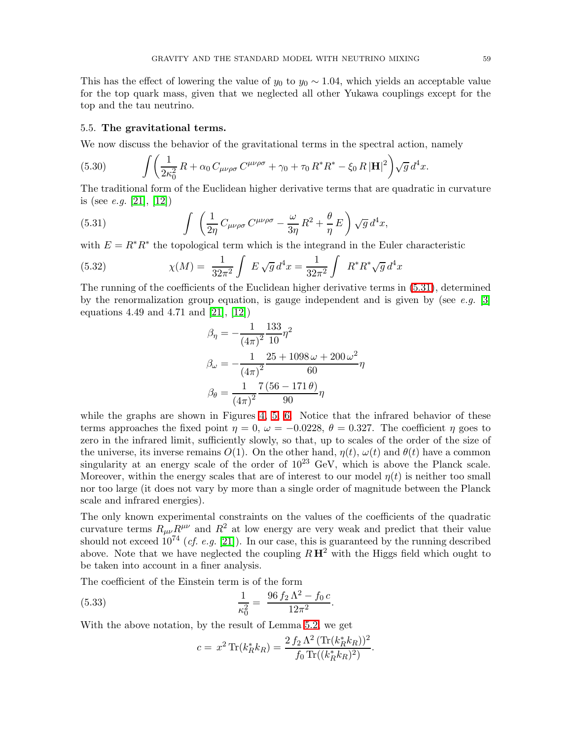This has the effect of lowering the value of  $y_0$  to  $y_0 \sim 1.04$ , which yields an acceptable value for the top quark mass, given that we neglected all other Yukawa couplings except for the top and the tau neutrino.

### <span id="page-58-0"></span>5.5. The gravitational terms.

We now discuss the behavior of the gravitational terms in the spectral action, namely

(5.30) 
$$
\int \left( \frac{1}{2\kappa_0^2} R + \alpha_0 C_{\mu\nu\rho\sigma} C^{\mu\nu\rho\sigma} + \gamma_0 + \tau_0 R^* R^* - \xi_0 R |\mathbf{H}|^2 \right) \sqrt{g} d^4 x.
$$

<span id="page-58-1"></span>The traditional form of the Euclidean higher derivative terms that are quadratic in curvature is (see *e.g.* [\[21\]](#page-69-2), [\[12\]](#page-69-1))

(5.31) 
$$
\int \left( \frac{1}{2\eta} C_{\mu\nu\rho\sigma} C^{\mu\nu\rho\sigma} - \frac{\omega}{3\eta} R^2 + \frac{\theta}{\eta} E \right) \sqrt{g} d^4x,
$$

with  $E = R^*R^*$  the topological term which is the integrand in the Euler characteristic

(5.32) 
$$
\chi(M) = \frac{1}{32\pi^2} \int E \sqrt{g} d^4 x = \frac{1}{32\pi^2} \int R^* R^* \sqrt{g} d^4 x
$$

The running of the coefficients of the Euclidean higher derivative terms in [\(5.31\)](#page-58-1), determined by the renormalization group equation, is gauge independent and is given by (see *e.g.* [\[3\]](#page-69-24) equations 4.49 and 4.71 and [\[21\]](#page-69-2), [\[12\]](#page-69-1))

$$
\beta_{\eta} = -\frac{1}{(4\pi)^2} \frac{133}{10} \eta^2
$$

$$
\beta_{\omega} = -\frac{1}{(4\pi)^2} \frac{25 + 1098 \omega + 200 \omega^2}{60} \eta
$$

$$
\beta_{\theta} = \frac{1}{(4\pi)^2} \frac{7 (56 - 171 \theta)}{90} \eta
$$

while the graphs are shown in Figures [4,](#page-59-0) [5,](#page-60-0) [6.](#page-61-1) Notice that the infrared behavior of these terms approaches the fixed point  $\eta = 0$ ,  $\omega = -0.0228$ ,  $\theta = 0.327$ . The coefficient  $\eta$  goes to zero in the infrared limit, sufficiently slowly, so that, up to scales of the order of the size of the universe, its inverse remains  $O(1)$ . On the other hand,  $\eta(t)$ ,  $\omega(t)$  and  $\theta(t)$  have a common singularity at an energy scale of the order of  $10^{23}$  GeV, which is above the Planck scale. Moreover, within the energy scales that are of interest to our model  $\eta(t)$  is neither too small nor too large (it does not vary by more than a single order of magnitude between the Planck scale and infrared energies).

The only known experimental constraints on the values of the coefficients of the quadratic curvature terms  $R_{\mu\nu}R^{\mu\nu}$  and  $R^2$  at low energy are very weak and predict that their value should not exceed 10<sup>74</sup> (*cf. e.g.* [\[21\]](#page-69-2)). In our case, this is guaranteed by the running described above. Note that we have neglected the coupling  $R H<sup>2</sup>$  with the Higgs field which ought to be taken into account in a finer analysis.

The coefficient of the Einstein term is of the form

(5.33) 
$$
\frac{1}{\kappa_0^2} = \frac{96 f_2 \Lambda^2 - f_0 c}{12\pi^2}
$$

With the above notation, by the result of Lemma [5.2,](#page-55-4) we get

$$
c = x^{2} \operatorname{Tr}(k_{R}^{*} k_{R}) = \frac{2 f_{2} \Lambda^{2} (\operatorname{Tr}(k_{R}^{*} k_{R}))^{2}}{f_{0} \operatorname{Tr}((k_{R}^{*} k_{R})^{2})}.
$$

.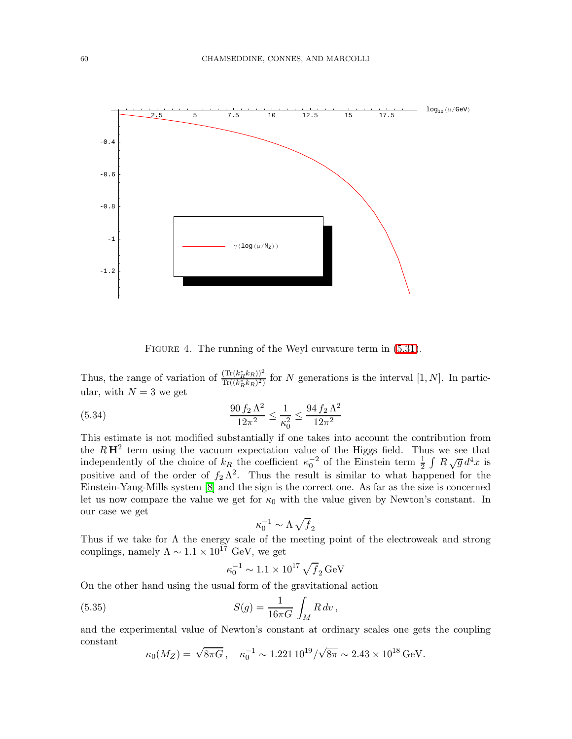

<span id="page-59-0"></span>FIGURE 4. The running of the Weyl curvature term in  $(5.31)$ .

Thus, the range of variation of  $\frac{(\text{Tr}(k_R^* k_R))^2}{\text{Tr}(k^* k_R)^2}$  $\frac{\Gamma(1(k_R k_R))}{\Gamma(1(k_R^* k_R)^2)}$  for N generations is the interval  $[1, N]$ . In particular, with  $N = 3$  we get

(5.34) 
$$
\frac{90 f_2 \Lambda^2}{12\pi^2} \le \frac{1}{\kappa_0^2} \le \frac{94 f_2 \Lambda^2}{12\pi^2}
$$

This estimate is not modified substantially if one takes into account the contribution from the  $R\mathbf{H}^2$  term using the vacuum expectation value of the Higgs field. Thus we see that independently of the choice of  $k_R$  the coefficient  $\kappa_0^{-2}$  of the Einstein term  $\frac{1}{2} \int R \sqrt{g} d^4x$  is positive and of the order of  $f_2 \Lambda^2$ . Thus the result is similar to what happened for the Einstein-Yang-Mills system [\[8\]](#page-69-4) and the sign is the correct one. As far as the size is concerned let us now compare the value we get for  $\kappa_0$  with the value given by Newton's constant. In our case we get

$$
\kappa_0^{-1} \sim \Lambda \sqrt{f}_2
$$

Thus if we take for  $\Lambda$  the energy scale of the meeting point of the electroweak and strong couplings, namely  $\Lambda \sim 1.1 \times 10^{17}$  GeV, we get

$$
\kappa_0^{-1} \sim 1.1 \times 10^{17} \sqrt{f}_2 \,\mathrm{GeV}
$$

On the other hand using the usual form of the gravitational action

(5.35) 
$$
S(g) = \frac{1}{16\pi G} \int_M R \, dv \,,
$$

and the experimental value of Newton's constant at ordinary scales one gets the coupling constant

$$
\kappa_0(M_Z) = \sqrt{8\pi G}, \quad \kappa_0^{-1} \sim 1.221 10^{19} / \sqrt{8\pi} \sim 2.43 \times 10^{18} \,\text{GeV}.
$$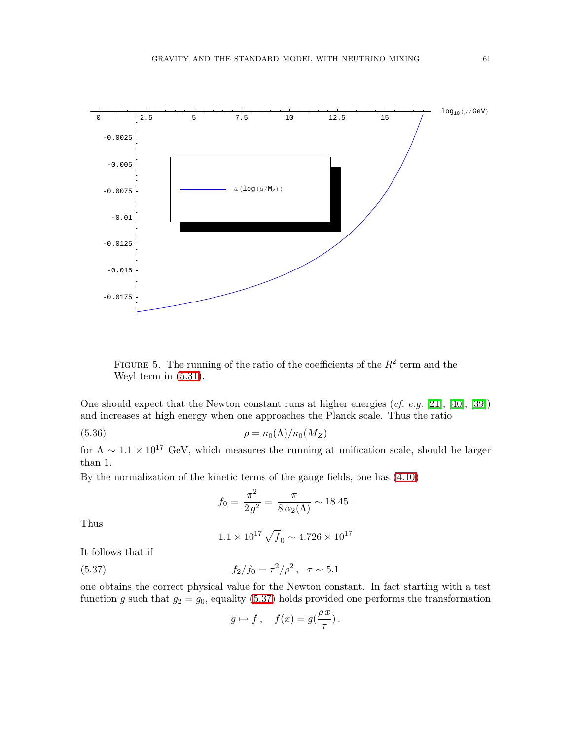

<span id="page-60-0"></span>FIGURE 5. The running of the ratio of the coefficients of the  $R^2$  term and the Weyl term in [\(5.31\)](#page-58-1).

One should expect that the Newton constant runs at higher energies (*cf. e.g.* [\[21\]](#page-69-2), [\[40\]](#page-70-11), [\[39\]](#page-70-12)) and increases at high energy when one approaches the Planck scale. Thus the ratio

(5.36) 
$$
\rho = \kappa_0(\Lambda)/\kappa_0(M_Z)
$$

for  $\Lambda \sim 1.1 \times 10^{17}$  GeV, which measures the running at unification scale, should be larger than 1.

By the normalization of the kinetic terms of the gauge fields, one has [\(4.10\)](#page-36-2)

$$
f_0 = \frac{\pi^2}{2g^2} = \frac{\pi}{8 \alpha_2(\Lambda)} \sim 18.45.
$$

Thus

$$
1.1 \times 10^{17} \sqrt{f}_0 \sim 4.726 \times 10^{17}
$$

<span id="page-60-1"></span>It follows that if

(5.37) 
$$
f_2/f_0 = \tau^2/\rho^2, \quad \tau \sim 5.1
$$

one obtains the correct physical value for the Newton constant. In fact starting with a test function g such that  $g_2 = g_0$ , equality [\(5.37\)](#page-60-1) holds provided one performs the transformation

$$
g\mapsto f\,,\quad f(x)=g(\frac{\rho\,x}{\tau})\,.
$$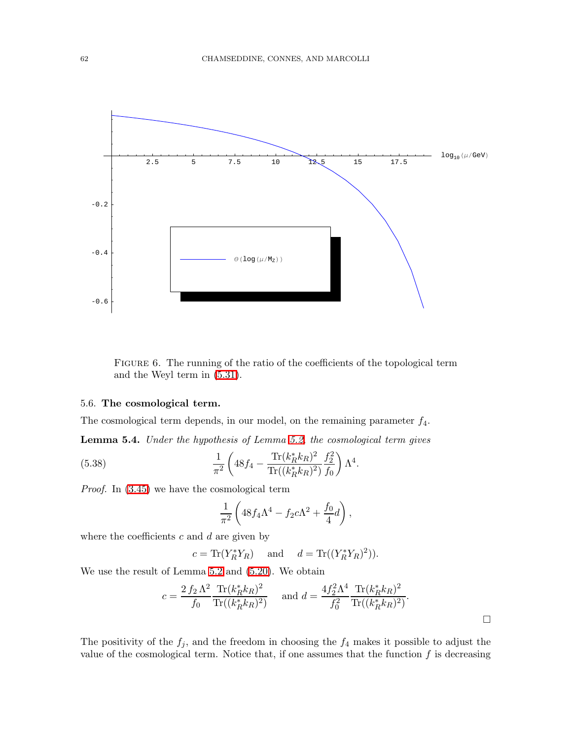

<span id="page-61-1"></span>Figure 6. The running of the ratio of the coefficients of the topological term and the Weyl term in [\(5.31\)](#page-58-1).

#### <span id="page-61-0"></span>5.6. The cosmological term.

The cosmological term depends, in our model, on the remaining parameter  $f_4$ .

Lemma 5.4. *Under the hypothesis of Lemma [5.2,](#page-55-4) the cosmological term gives*

(5.38) 
$$
\frac{1}{\pi^2} \left( 48 f_4 - \frac{\text{Tr}(k_R^* k_R)^2}{\text{Tr}((k_R^* k_R)^2)} \frac{f_2^2}{f_0} \right) \Lambda^4.
$$

*Proof.* In [\(3.45\)](#page-31-0) we have the cosmological term

<span id="page-61-2"></span>
$$
\frac{1}{\pi^2} \left( 48 f_4 \Lambda^4 - f_2 c \Lambda^2 + \frac{f_0}{4} d \right),
$$

where the coefficients  $c$  and  $d$  are given by

$$
c = \text{Tr}(Y_R^* Y_R) \quad \text{and} \quad d = \text{Tr}((Y_R^* Y_R)^2)).
$$

We use the result of Lemma [5.2](#page-55-4) and [\(5.20\)](#page-55-5). We obtain

$$
c = \frac{2 f_2 \Lambda^2}{f_0} \frac{\text{Tr}(k_R^* k_R)^2}{\text{Tr}((k_R^* k_R)^2)} \quad \text{and } d = \frac{4 f_2^2 \Lambda^4}{f_0^2} \frac{\text{Tr}(k_R^* k_R)^2}{\text{Tr}((k_R^* k_R)^2)}.
$$

The positivity of the  $f_j$ , and the freedom in choosing the  $f_4$  makes it possible to adjust the value of the cosmological term. Notice that, if one assumes that the function  $f$  is decreasing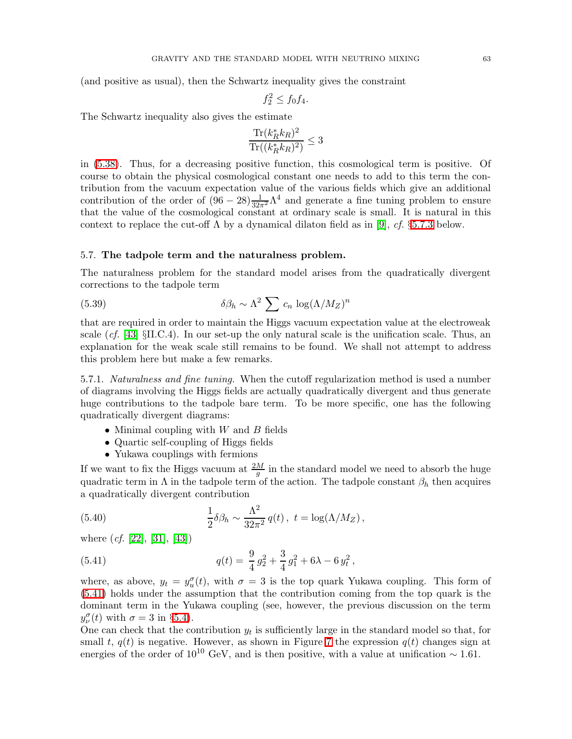(and positive as usual), then the Schwartz inequality gives the constraint

$$
f_2^2 \le f_0 f_4.
$$

The Schwartz inequality also gives the estimate

$$
\frac{\text{Tr}(k_R^* k_R)^2}{\text{Tr}((k_R^* k_R)^2)} \le 3
$$

in [\(5.38\)](#page-61-2). Thus, for a decreasing positive function, this cosmological term is positive. Of course to obtain the physical cosmological constant one needs to add to this term the contribution from the vacuum expectation value of the various fields which give an additional contribution of the order of  $(96-28)\frac{1}{32\pi^2}\Lambda^4$  and generate a fine tuning problem to ensure that the value of the cosmological constant at ordinary scale is small. It is natural in this context to replace the cut-off  $\Lambda$  by a dynamical dilaton field as in [\[9\]](#page-69-25), *cf.* §[5.7.3](#page-65-0) below.

#### <span id="page-62-0"></span>5.7. The tadpole term and the naturalness problem.

The naturalness problem for the standard model arises from the quadratically divergent corrections to the tadpole term

(5.39) 
$$
\delta \beta_h \sim \Lambda^2 \sum c_n \log(\Lambda/M_Z)^n
$$

that are required in order to maintain the Higgs vacuum expectation value at the electroweak scale (*cf.* [\[43\]](#page-70-13) §II.C.4). In our set-up the only natural scale is the unification scale. Thus, an explanation for the weak scale still remains to be found. We shall not attempt to address this problem here but make a few remarks.

5.7.1. *Naturalness and fine tuning.* When the cutoff regularization method is used a number of diagrams involving the Higgs fields are actually quadratically divergent and thus generate huge contributions to the tadpole bare term. To be more specific, one has the following quadratically divergent diagrams:

- Minimal coupling with  $W$  and  $B$  fields
- Quartic self-coupling of Higgs fields
- Yukawa couplings with fermions

If we want to fix the Higgs vacuum at  $\frac{2M}{g}$  in the standard model we need to absorb the huge quadratic term in  $\Lambda$  in the tadpole term of the action. The tadpole constant  $\beta_h$  then acquires a quadratically divergent contribution

(5.40) 
$$
\frac{1}{2}\delta\beta_h \sim \frac{\Lambda^2}{32\pi^2}q(t), \ t = \log(\Lambda/M_Z),
$$

<span id="page-62-1"></span>where (*cf.* [\[22\]](#page-69-26), [\[31\]](#page-70-14), [\[43\]](#page-70-13))

(5.41) 
$$
q(t) = \frac{9}{4}g_2^2 + \frac{3}{4}g_1^2 + 6\lambda - 6y_t^2,
$$

where, as above,  $y_t = y_u^{\sigma}(t)$ , with  $\sigma = 3$  is the top quark Yukawa coupling. This form of [\(5.41\)](#page-62-1) holds under the assumption that the contribution coming from the top quark is the dominant term in the Yukawa coupling (see, however, the previous discussion on the term  $y_{\nu}^{\sigma}(t)$  with  $\sigma = 3$  in §[5.4\)](#page-56-0).

One can check that the contribution  $y_t$  is sufficiently large in the standard model so that, for small t,  $q(t)$  is negative. However, as shown in Figure [7](#page-64-0) the expression  $q(t)$  changes sign at energies of the order of 10<sup>10</sup> GeV, and is then positive, with a value at unification  $\sim 1.61$ .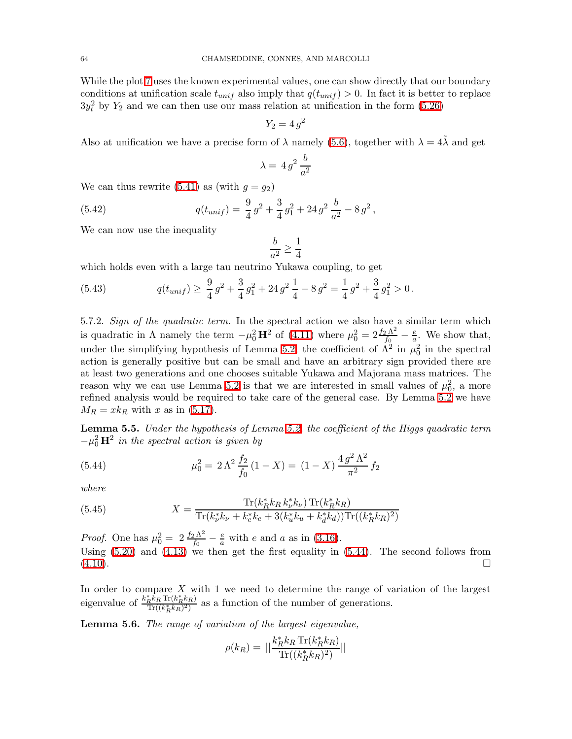While the plot [7](#page-64-0) uses the known experimental values, one can show directly that our boundary conditions at unification scale  $t_{unif}$  also imply that  $q(t_{unif}) > 0$ . In fact it is better to replace  $3y_t^2$  by  $Y_2$  and we can then use our mass relation at unification in the form [\(5.26\)](#page-56-3)

$$
Y_2 = 4\,g^2
$$

Also at unification we have a precise form of  $\lambda$  namely [\(5.6\)](#page-52-1), together with  $\lambda = 4\tilde{\lambda}$  and get

$$
\lambda = 4 g^2 \frac{b}{a^2}
$$

We can thus rewrite  $(5.41)$  as (with  $g = g_2$ )

(5.42) 
$$
q(t_{unif}) = \frac{9}{4}g^2 + \frac{3}{4}g_1^2 + 24g^2\frac{b}{a^2} - 8g^2,
$$

We can now use the inequality

$$
\frac{b}{a^2} \ge \frac{1}{4}
$$

which holds even with a large tau neutrino Yukawa coupling, to get

(5.43) 
$$
q(t_{unif}) \geq \frac{9}{4}g^2 + \frac{3}{4}g_1^2 + 24g^2\frac{1}{4} - 8g^2 = \frac{1}{4}g^2 + \frac{3}{4}g_1^2 > 0.
$$

5.7.2. *Sign of the quadratic term.* In the spectral action we also have a similar term which is quadratic in  $\Lambda$  namely the term  $-\mu_0^2 \mathbf{H}^2$  of [\(4.11\)](#page-36-4) where  $\mu_0^2 = 2 \frac{f_2 \Lambda^2}{f_0} - \frac{e}{a}$  $\frac{e}{a}$ . We show that, under the simplifying hypothesis of Lemma [5.2,](#page-55-4) the coefficient of  $\Lambda^2$  in  $\mu_0^2$  in the spectral action is generally positive but can be small and have an arbitrary sign provided there are at least two generations and one chooses suitable Yukawa and Majorana mass matrices. The reason why we can use Lemma [5.2](#page-55-4) is that we are interested in small values of  $\mu_0^2$ , a more refined analysis would be required to take care of the general case. By Lemma [5.2](#page-55-4) we have  $M_R = x k_R$  with x as in [\(5.17\)](#page-55-2).

<span id="page-63-0"></span>Lemma 5.5. *Under the hypothesis of Lemma [5.2,](#page-55-4) the coefficient of the Higgs quadratic term*  $-\mu_0^2 \mathbf{H}^2$  *in the spectral action is given by* 

(5.44) 
$$
\mu_0^2 = 2\Lambda^2 \frac{f_2}{f_0} (1 - X) = (1 - X) \frac{4g^2 \Lambda^2}{\pi^2} f_2
$$

<span id="page-63-2"></span>*where*

(5.45) 
$$
X = \frac{\text{Tr}(k_R^* k_R k_\nu^* k_\nu) \text{Tr}(k_R^* k_R)}{\text{Tr}(k_\nu^* k_\nu + k_e^* k_e + 3(k_u^* k_u + k_d^* k_d)) \text{Tr}((k_R^* k_R)^2)}
$$

*Proof.* One has  $\mu_0^2 = 2 \frac{f_2 \Lambda^2}{f_0} - \frac{e}{a}$  with e and a as in [\(3.16\)](#page-24-0). Using  $(5.20)$  and  $(4.13)$  we then get the first equality in  $(5.44)$ . The second follows from  $(4.10)$ .

In order to compare  $X$  with 1 we need to determine the range of variation of the largest eigenvalue of  $\frac{k_R^* k_R \text{Tr}(k_R^* k_R)}{\text{Tr}((k^* k_R)^2)}$  $\frac{R^k R^{11(k_R k_R)}}{\text{Tr}((k_R^* k_R)^2)}$  as a function of the number of generations.

<span id="page-63-1"></span>Lemma 5.6. *The range of variation of the largest eigenvalue,*

$$
\rho(k_R) = ||\frac{k_R^* k_R \operatorname{Tr}(k_R^* k_R)}{\operatorname{Tr}((k_R^* k_R)^2)}||
$$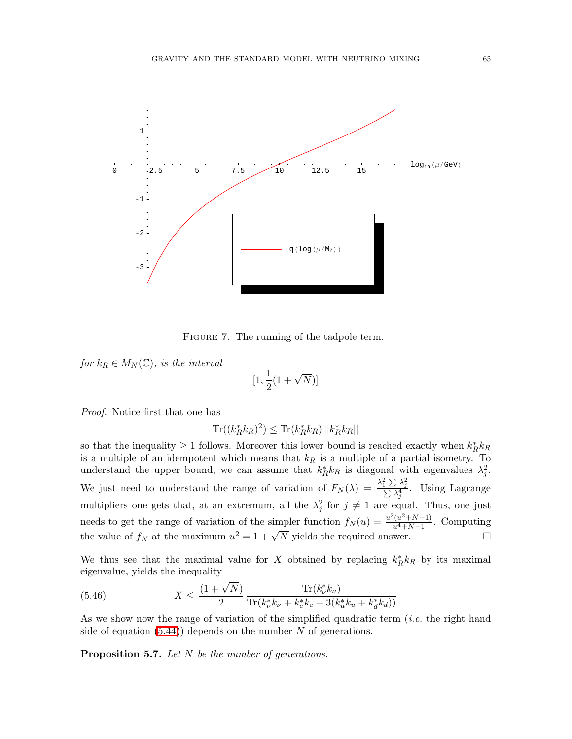

<span id="page-64-0"></span>FIGURE 7. The running of the tadpole term.

*for*  $k_R \in M_N(\mathbb{C})$ *, is the interval* 

$$
[1, \frac{1}{2}(1+\sqrt{N})]
$$

*Proof.* Notice first that one has

$$
\text{Tr}((k_R^* k_R)^2) \le \text{Tr}(k_R^* k_R) ||k_R^* k_R||
$$

so that the inequality  $\geq 1$  follows. Moreover this lower bound is reached exactly when  $k_R^* k_R$ is a multiple of an idempotent which means that  $k_R$  is a multiple of a partial isometry. To understand the upper bound, we can assume that  $k_R^* k_R$  is diagonal with eigenvalues  $\lambda_j^2$ . We just need to understand the range of variation of  $F_N(\lambda) = \frac{\lambda_1^2 \sum \lambda_j^2}{\sum \lambda_1^2}$  $\frac{1}{2} \frac{\sum \lambda_j^4}{\lambda_i^4}$ . Using Lagrange multipliers one gets that, at an extremum, all the  $\lambda_j^2$  for  $j \neq 1$  are equal. Thus, one just needs to get the range of variation of the simpler function  $f_N(u) = \frac{u^2(u^2+N-1)}{u^4+N-1}$  $\frac{(u^2+N-1)}{u^4+N-1}$ . Computing the value of  $f_N$  at the maximum  $u^2 = 1 + \sqrt{N}$  yields the required answer.

We thus see that the maximal value for X obtained by replacing  $k_R^* k_R$  by its maximal eigenvalue, yields the inequality

(5.46) 
$$
X \leq \frac{(1+\sqrt{N})}{2} \frac{\text{Tr}(k_{\nu}^{*}k_{\nu})}{\text{Tr}(k_{\nu}^{*}k_{\nu} + k_{e}^{*}k_{e} + 3(k_{u}^{*}k_{u} + k_{d}^{*}k_{d}))}
$$

As we show now the range of variation of the simplified quadratic term (*i.e.* the right hand side of equation  $(5.44)$  depends on the number N of generations.

Proposition 5.7. *Let* N *be the number of generations.*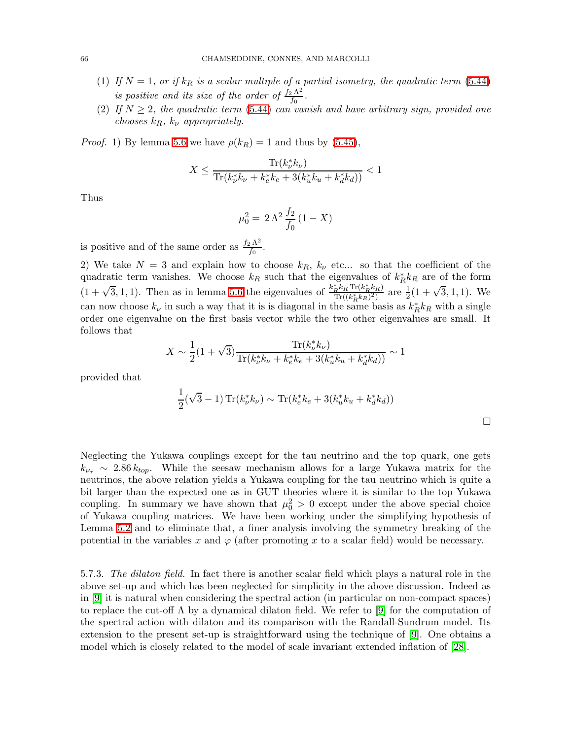- (1) If  $N = 1$ , or if  $k_R$  is a scalar multiple of a partial isometry, the quadratic term [\(5.44\)](#page-63-0) *is positive and its size of the order of*  $\frac{f_2 \Lambda^2}{f_0}$ .
- (2) If  $N \geq 2$ , the quadratic term [\(5.44\)](#page-63-0) can vanish and have arbitrary sign, provided one *chooses*  $k_R$ *,*  $k_\nu$  *appropriately.*

*Proof.* 1) By lemma [5.6](#page-63-1) we have  $\rho(k_R) = 1$  and thus by [\(5.45\)](#page-63-2),

$$
X \le \frac{\text{Tr}(k_{\nu}^* k_{\nu})}{\text{Tr}(k_{\nu}^* k_{\nu} + k_e^* k_e + 3(k_u^* k_u + k_d^* k_d))} < 1
$$

Thus

$$
\mu_0^2 = 2\,\Lambda^2 \,\frac{f_2}{f_0} \,(1 - X)
$$

is positive and of the same order as  $\frac{f_2 \Lambda^2}{f_0}$ .

2) We take  $N = 3$  and explain how to choose  $k_R$ ,  $k_{\nu}$  etc... so that the coefficient of the quadratic term vanishes. We choose  $k_R$  such that the eigenvalues of  $k_R^* k_R$  are of the form  $(1+\sqrt{3},1,1)$ . Then as in lemma [5.6](#page-63-1) the eigenvalues of  $\frac{k_R^*\tilde{k}_RR\operatorname{Tr}(k_R^*k_R)}{\operatorname{Tr}((k^*k_R)^2)}$  $\frac{r_R k_R \text{Tr}(k_R^* k_R)}{\text{Tr}((k_R^* k_R)^2)}$  are  $\frac{1}{2}(1+\sqrt{3},1,1)$ . We can now choose  $k_{\nu}$  in such a way that it is is diagonal in the same basis as  $k_R^* k_R$  with a single order one eigenvalue on the first basis vector while the two other eigenvalues are small. It follows that

$$
X \sim \frac{1}{2}(1+\sqrt{3})\frac{\text{Tr}(k_{\nu}^{*}k_{\nu})}{\text{Tr}(k_{\nu}^{*}k_{\nu}+k_{e}^{*}k_{e}+3(k_{u}^{*}k_{u}+k_{d}^{*}k_{d}))} \sim 1
$$

provided that

$$
\frac{1}{2}(\sqrt{3}-1)\operatorname{Tr}(k_{\nu}^{*}k_{\nu}) \sim \operatorname{Tr}(k_{e}^{*}k_{e} + 3(k_{u}^{*}k_{u} + k_{d}^{*}k_{d}))
$$

Neglecting the Yukawa couplings except for the tau neutrino and the top quark, one gets  $k_{\nu_{\tau}} \sim 2.86 \, k_{top}$ . While the seesaw mechanism allows for a large Yukawa matrix for the neutrinos, the above relation yields a Yukawa coupling for the tau neutrino which is quite a bit larger than the expected one as in GUT theories where it is similar to the top Yukawa coupling. In summary we have shown that  $\mu_0^2 > 0$  except under the above special choice of Yukawa coupling matrices. We have been working under the simplifying hypothesis of Lemma [5.2](#page-55-4) and to eliminate that, a finer analysis involving the symmetry breaking of the potential in the variables x and  $\varphi$  (after promoting x to a scalar field) would be necessary.

<span id="page-65-0"></span>5.7.3. *The dilaton field.* In fact there is another scalar field which plays a natural role in the above set-up and which has been neglected for simplicity in the above discussion. Indeed as in [\[9\]](#page-69-25) it is natural when considering the spectral action (in particular on non-compact spaces) to replace the cut-off  $\Lambda$  by a dynamical dilaton field. We refer to [\[9\]](#page-69-25) for the computation of the spectral action with dilaton and its comparison with the Randall-Sundrum model. Its extension to the present set-up is straightforward using the technique of [\[9\]](#page-69-25). One obtains a model which is closely related to the model of scale invariant extended inflation of [\[28\]](#page-69-27).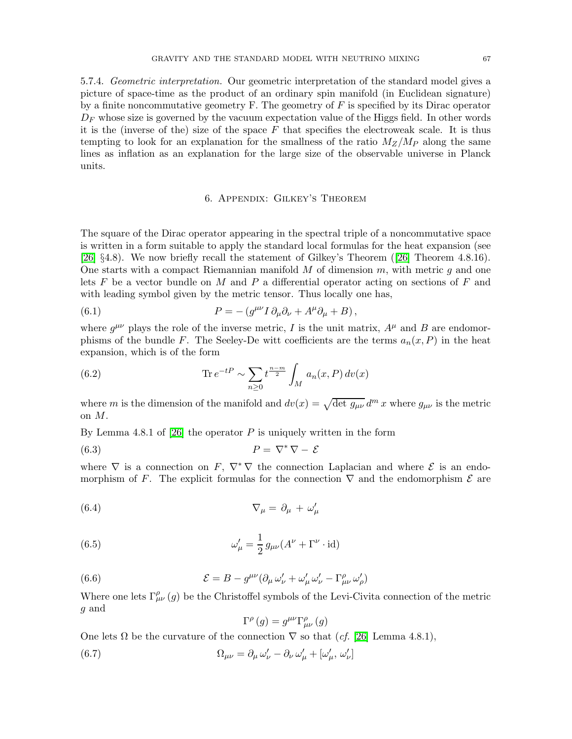5.7.4. *Geometric interpretation.* Our geometric interpretation of the standard model gives a picture of space-time as the product of an ordinary spin manifold (in Euclidean signature) by a finite noncommutative geometry F. The geometry of  $F$  is specified by its Dirac operator  $D<sub>F</sub>$  whose size is governed by the vacuum expectation value of the Higgs field. In other words it is the (inverse of the) size of the space  $F$  that specifies the electroweak scale. It is thus tempting to look for an explanation for the smallness of the ratio  $M_Z/M_P$  along the same lines as inflation as an explanation for the large size of the observable universe in Planck units.

### 6. Appendix: Gilkey's Theorem

<span id="page-66-0"></span>The square of the Dirac operator appearing in the spectral triple of a noncommutative space is written in a form suitable to apply the standard local formulas for the heat expansion (see [\[26\]](#page-69-28) §4.8). We now briefly recall the statement of Gilkey's Theorem ([\[26\]](#page-69-28) Theorem 4.8.16). One starts with a compact Riemannian manifold  $M$  of dimension  $m$ , with metric  $q$  and one lets  $F$  be a vector bundle on  $M$  and  $P$  a differential operator acting on sections of  $F$  and with leading symbol given by the metric tensor. Thus locally one has,

(6.1) 
$$
P = -(g^{\mu\nu}I\,\partial_{\mu}\partial_{\nu} + A^{\mu}\partial_{\mu} + B),
$$

where  $g^{\mu\nu}$  plays the role of the inverse metric, I is the unit matrix,  $A^{\mu}$  and B are endomorphisms of the bundle F. The Seeley-De witt coefficients are the terms  $a_n(x, P)$  in the heat expansion, which is of the form

(6.2) 
$$
\operatorname{Tr} e^{-tP} \sim \sum_{n\geq 0} t^{\frac{n-m}{2}} \int_M a_n(x, P) \, dv(x)
$$

where m is the dimension of the manifold and  $dv(x) = \sqrt{\det g_{\mu\nu}} d^m x$  where  $g_{\mu\nu}$  is the metric on M.

By Lemma 4.8.1 of [\[26\]](#page-69-28) the operator  $P$  is uniquely written in the form

$$
(6.3) \t\t P = \nabla^* \nabla - \mathcal{E}
$$

where  $\nabla$  is a connection on  $F$ ,  $\nabla^* \nabla$  the connection Laplacian and where  $\mathcal E$  is an endomorphism of F. The explicit formulas for the connection  $\nabla$  and the endomorphism  $\mathcal E$  are

$$
\nabla_{\mu} = \partial_{\mu} + \omega_{\mu}'
$$

(6.5) 
$$
\omega'_{\mu} = \frac{1}{2} g_{\mu\nu} (A^{\nu} + \Gamma^{\nu} \cdot \text{id})
$$

(6.6) 
$$
\mathcal{E} = B - g^{\mu\nu} (\partial_{\mu} \omega'_{\nu} + \omega'_{\mu} \omega'_{\nu} - \Gamma^{\rho}_{\mu\nu} \omega'_{\rho})
$$

Where one lets  $\Gamma^{\rho}_{\mu\nu}(g)$  be the Christoffel symbols of the Levi-Civita connection of the metric g and

$$
\Gamma^{\rho}\left(g\right)=g^{\mu\nu}\Gamma^{\rho}_{\mu\nu}\left(g\right)
$$

One lets  $\Omega$  be the curvature of the connection  $\nabla$  so that (*cf.* [\[26\]](#page-69-28) Lemma 4.8.1),

(6.7) 
$$
\Omega_{\mu\nu} = \partial_{\mu} \omega'_{\nu} - \partial_{\nu} \omega'_{\mu} + [\omega'_{\mu}, \omega'_{\nu}]
$$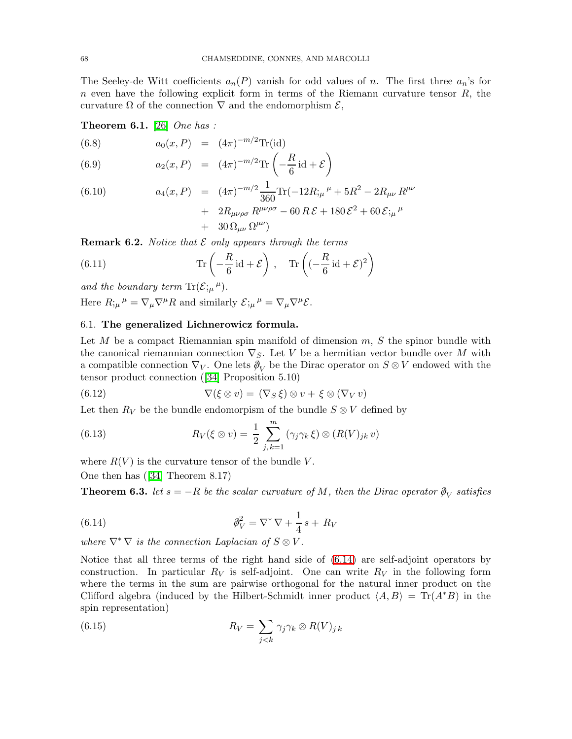The Seeley-de Witt coefficients  $a_n(P)$  vanish for odd values of n. The first three  $a_n$ 's for n even have the following explicit form in terms of the Riemann curvature tensor  $R$ , the curvature  $\Omega$  of the connection  $\nabla$  and the endomorphism  $\mathcal{E},$ 

<span id="page-67-1"></span>Theorem 6.1. [\[26\]](#page-69-28) *One has :*

(6.8) 
$$
a_0(x, P) = (4\pi)^{-m/2} \text{Tr}(\text{id})
$$

(6.9) 
$$
a_2(x, P) = (4\pi)^{-m/2} \text{Tr}\left(-\frac{R}{6} \text{id} + \mathcal{E}\right)
$$

(6.10) 
$$
a_4(x, P) = (4\pi)^{-m/2} \frac{1}{360} \text{Tr}(-12R;_{\mu}{}^{\mu} + 5R^2 - 2R_{\mu\nu}R^{\mu\nu} + 2R_{\mu\nu\rho\sigma}R^{\mu\nu\rho\sigma} - 60 R\mathcal{E} + 180 \mathcal{E}^2 + 60 \mathcal{E};_{\mu}{}^{\mu} + 30 \Omega_{\mu\nu} \Omega^{\mu\nu})
$$

<span id="page-67-2"></span>Remark 6.2. *Notice that* E *only appears through the terms*

(6.11) 
$$
\operatorname{Tr}\left(-\frac{R}{6}\operatorname{id}+\mathcal{E}\right), \quad \operatorname{Tr}\left((-\frac{R}{6}\operatorname{id}+\mathcal{E})^2\right)
$$

and the boundary term  $\text{Tr}(\mathcal{E};_{\mu}^{\mu})$ .

Here  $R_{;\mu}^{\mu} = \nabla_{\mu} \nabla^{\mu} R$  and similarly  $\mathcal{E}_{;\mu}^{\mu} = \nabla_{\mu} \nabla^{\mu} \mathcal{E}$ .

### <span id="page-67-0"></span>6.1. The generalized Lichnerowicz formula.

Let  $M$  be a compact Riemannian spin manifold of dimension  $m, S$  the spinor bundle with the canonical riemannian connection  $\nabla_S$ . Let V be a hermitian vector bundle over M with a compatible connection  $\nabla_V$ . One lets  $\partial_V$  be the Dirac operator on  $S \otimes V$  endowed with the tensor product connection([\[34\]](#page-70-15) Proposition 5.10)

(6.12) 
$$
\nabla(\xi \otimes v) = (\nabla_S \xi) \otimes v + \xi \otimes (\nabla_V v)
$$

Let then  $R_V$  be the bundle endomorpism of the bundle  $S \otimes V$  defined by

(6.13) 
$$
R_V(\xi \otimes v) = \frac{1}{2} \sum_{j,k=1}^m (\gamma_j \gamma_k \xi) \otimes (R(V)_{jk} v)
$$

where  $R(V)$  is the curvature tensor of the bundle V.

One then has([\[34\]](#page-70-15) Theorem 8.17)

<span id="page-67-3"></span>**Theorem 6.3.** *let*  $s = -R$  *be the scalar curvature of*  $M$ *, then the Dirac operator*  $\hat{\phi}_V$  *satisfies* 

(6.14) 
$$
\partial_V^2 = \nabla^* \nabla + \frac{1}{4} s + R_V
$$

*where*  $\nabla^* \nabla$  *is the connection Laplacian of*  $S \otimes V$ *.* 

Notice that all three terms of the right hand side of [\(6.14\)](#page-67-3) are self-adjoint operators by construction. In particular  $R_V$  is self-adjoint. One can write  $R_V$  in the following form where the terms in the sum are pairwise orthogonal for the natural inner product on the Clifford algebra (induced by the Hilbert-Schmidt inner product  $\langle A, B \rangle = \text{Tr}(A^*B)$  in the spin representation)

(6.15) 
$$
R_V = \sum_{j < k} \gamma_j \gamma_k \otimes R(V)_{j\,k}
$$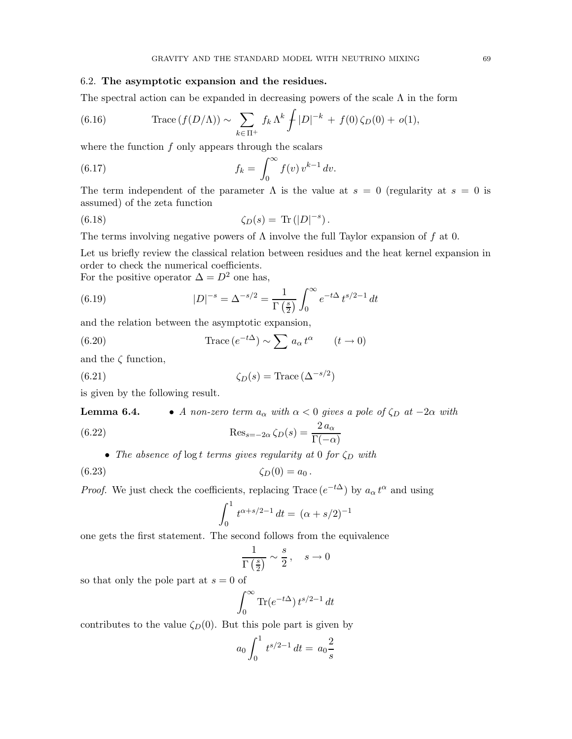### <span id="page-68-0"></span>6.2. The asymptotic expansion and the residues.

The spectral action can be expanded in decreasing powers of the scale  $\Lambda$  in the form

(6.16) Trace 
$$
(f(D/\Lambda)) \sim \sum_{k \in \Pi^+} f_k \Lambda^k \int |D|^{-k} + f(0) \zeta_D(0) + o(1),
$$

where the function  $f$  only appears through the scalars

(6.17) 
$$
f_k = \int_0^\infty f(v) v^{k-1} dv.
$$

The term independent of the parameter  $\Lambda$  is the value at  $s = 0$  (regularity at  $s = 0$  is assumed) of the zeta function

(6.18) 
$$
\zeta_D(s) = \text{Tr}(|D|^{-s}).
$$

The terms involving negative powers of  $\Lambda$  involve the full Taylor expansion of f at 0.

Let us briefly review the classical relation between residues and the heat kernel expansion in order to check the numerical coefficients.

For the positive operator  $\Delta = D^2$  one has,

(6.19) 
$$
|D|^{-s} = \Delta^{-s/2} = \frac{1}{\Gamma(\frac{s}{2})} \int_0^\infty e^{-t\Delta} t^{s/2 - 1} dt
$$

and the relation between the asymptotic expansion,

(6.20) Trace 
$$
(e^{-t\Delta}) \sim \sum a_{\alpha} t^{\alpha}
$$
  $(t \to 0)$ 

and the  $\zeta$  function,

(6.21) 
$$
\zeta_D(s) = \text{Trace}(\Delta^{-s/2})
$$

is given by the following result.

**Lemma 6.4.** • A non-zero term 
$$
a_{\alpha}
$$
 with  $\alpha < 0$  gives a pole of  $\zeta_D$  at  $-2\alpha$  with

(6.22) 
$$
\operatorname{Res}_{s=-2\alpha} \zeta_D(s) = \frac{2 a_{\alpha}}{\Gamma(-\alpha)}
$$

• The absence of  $\log t$  *terms gives regularity at* 0 *for*  $\zeta_D$  *with* 

(6.23) 
$$
\zeta_D(0) = a_0.
$$

*Proof.* We just check the coefficients, replacing Trace  $(e^{-t\Delta})$  by  $a_{\alpha} t^{\alpha}$  and using

<span id="page-68-2"></span><span id="page-68-1"></span>
$$
\int_0^1 t^{\alpha+s/2-1} dt = (\alpha+s/2)^{-1}
$$

one gets the first statement. The second follows from the equivalence

$$
\frac{1}{\Gamma\left(\frac{s}{2}\right)} \sim \frac{s}{2}, \quad s \to 0
$$

so that only the pole part at  $s = 0$  of

$$
\int_0^\infty \text{Tr}(e^{-t\Delta}) t^{s/2-1} dt
$$

contributes to the value  $\zeta_D(0)$ . But this pole part is given by

$$
a_0 \int_0^1 t^{s/2 - 1} dt = a_0 \frac{2}{s}
$$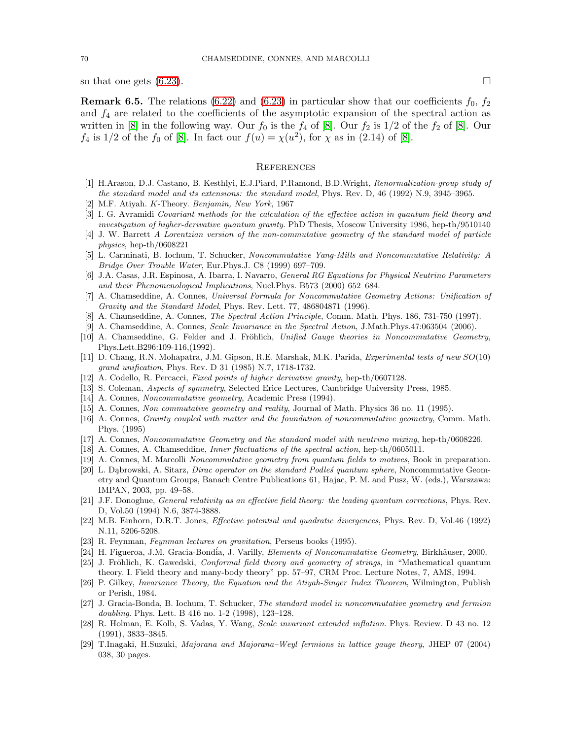<span id="page-69-3"></span>so that one gets [\(6.23\)](#page-68-1).

**Remark 6.5.** The relations [\(6.22\)](#page-68-2) and [\(6.23\)](#page-68-1) in particular show that our coefficients  $f_0$ ,  $f_2$ and  $f_4$  are related to the coefficients of the asymptotic expansion of the spectral action as written in [\[8\]](#page-69-4) in the following way. Our  $f_0$  is the  $f_4$  of [8]. Our  $f_2$  is 1/2 of the  $f_2$  of [8]. Our  $f_4$  is  $1/2$  of the  $f_0$  of [\[8\]](#page-69-4). In fact our  $f(u) = \chi(u^2)$ , for  $\chi$  as in (2.14) of [8].

#### **REFERENCES**

- <span id="page-69-18"></span><span id="page-69-14"></span><span id="page-69-0"></span>[1] H.Arason, D.J. Castano, B. Kesthlyi, E.J.Piard, P.Ramond, B.D.Wright, Renormalization-group study of the standard model and its extensions: the standard model, Phys. Rev. D, 46 (1992) N.9, 3945–3965.
- <span id="page-69-24"></span>[2] M.F. Atiyah. K-Theory. Benjamin, New York, 1967
- [3] I. G. Avramidi Covariant methods for the calculation of the effective action in quantum field theory and investigation of higher-derivative quantum gravity. PhD Thesis, Moscow University 1986, hep-th/9510140
- <span id="page-69-11"></span>[4] J. W. Barrett A Lorentzian version of the non-commutative geometry of the standard model of particle physics, hep-th/0608221
- <span id="page-69-23"></span>[5] L. Carminati, B. Iochum, T. Schucker, Noncommutative Yang-Mills and Noncommutative Relativity: A Bridge Over Trouble Water, Eur.Phys.J. C8 (1999) 697–709.
- <span id="page-69-22"></span>[6] J.A. Casas, J.R. Espinosa, A. Ibarra, I. Navarro, General RG Equations for Physical Neutrino Parameters and their Phenomenological Implications, Nucl.Phys. B573 (2000) 652–684.
- <span id="page-69-19"></span>[7] A. Chamseddine, A. Connes, Universal Formula for Noncommutative Geometry Actions: Unification of Gravity and the Standard Model, Phys. Rev. Lett. 77, 486804871 (1996).
- <span id="page-69-4"></span>[8] A. Chamseddine, A. Connes, The Spectral Action Principle, Comm. Math. Phys. 186, 731-750 (1997).
- [9] A. Chamseddine, A. Connes, Scale Invariance in the Spectral Action, J.Math.Phys.47:063504 (2006).
- <span id="page-69-25"></span><span id="page-69-12"></span>[10] A. Chamseddine, G. Felder and J. Fröhlich, Unified Gauge theories in Noncommutative Geometry, Phys.Lett.B296:109-116,(1992).
- <span id="page-69-7"></span>[11] D. Chang, R.N. Mohapatra, J.M. Gipson, R.E. Marshak, M.K. Parida, Experimental tests of new SO(10) grand unification, Phys. Rev. D 31 (1985) N.7, 1718-1732.
- <span id="page-69-21"></span><span id="page-69-1"></span>[12] A. Codello, R. Percacci, Fixed points of higher derivative gravity, hep-th/0607128.
- <span id="page-69-16"></span>[13] S. Coleman, Aspects of symmetry, Selected Erice Lectures, Cambridge University Press, 1985.
- <span id="page-69-13"></span>[14] A. Connes, Noncommutative geometry, Academic Press (1994).
- [15] A. Connes, Non commutative geometry and reality, Journal of Math. Physics 36 no. 11 (1995).
- <span id="page-69-15"></span>[16] A. Connes, Gravity coupled with matter and the foundation of noncommutative geometry, Comm. Math. Phys. (1995)
- <span id="page-69-10"></span>[17] A. Connes, Noncommutative Geometry and the standard model with neutrino mixing, hep-th/0608226.
- [18] A. Connes, A. Chamseddine, Inner fluctuations of the spectral action, hep-th/0605011.
- <span id="page-69-8"></span>[19] A. Connes, M. Marcolli Noncommutative geometry from quantum fields to motives, Book in preparation.
- [20] L. Dabrowski, A. Sitarz, *Dirac operator on the standard Podles quantum sphere*, Noncommutative Geometry and Quantum Groups, Banach Centre Publications 61, Hajac, P. M. and Pusz, W. (eds.), Warszawa: IMPAN, 2003, pp. 49–58.
- <span id="page-69-2"></span>[21] J.F. Donoghue, General relativity as an effective field theory: the leading quantum corrections, Phys. Rev. D, Vol.50 (1994) N.6, 3874-3888.
- <span id="page-69-26"></span><span id="page-69-6"></span>[22] M.B. Einhorn, D.R.T. Jones, Effective potential and quadratic divergences, Phys. Rev. D, Vol.46 (1992) N.11, 5206-5208.
- [23] R. Feynman, Feynman lectures on gravitation, Perseus books (1995).
- <span id="page-69-17"></span><span id="page-69-9"></span>[24] H. Figueroa, J.M. Gracia-Bondia, J. Varilly, *Elements of Noncommutative Geometry*, Birkhäuser, 2000.
- [25] J. Fröhlich, K. Gawedski, Conformal field theory and geometry of strings, in "Mathematical quantum theory. I. Field theory and many-body theory" pp. 57–97, CRM Proc. Lecture Notes, 7, AMS, 1994.
- <span id="page-69-28"></span>[26] P. Gilkey, Invariance Theory, the Equation and the Atiyah-Singer Index Theorem, Wilmington, Publish or Perish, 1984.
- <span id="page-69-20"></span>[27] J. Gracia-Bonda, B. Iochum, T. Schucker, The standard model in noncommutative geometry and fermion doubling. Phys. Lett. B 416 no. 1-2 (1998), 123–128.
- <span id="page-69-27"></span>[28] R. Holman, E. Kolb, S. Vadas, Y. Wang, Scale invariant extended inflation. Phys. Review. D 43 no. 12 (1991), 3833–3845.
- <span id="page-69-5"></span>[29] T.Inagaki, H.Suzuki, Majorana and Majorana–Weyl fermions in lattice gauge theory, JHEP 07 (2004) 038, 30 pages.